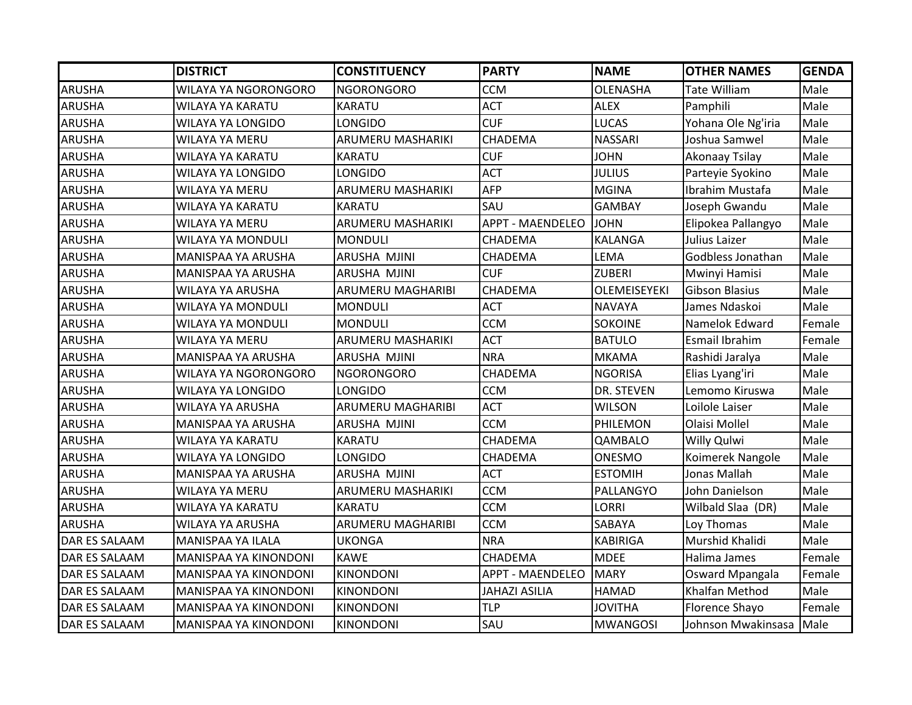|                      | <b>DISTRICT</b>           | <b>CONSTITUENCY</b>      | <b>PARTY</b>            | <b>NAME</b>         | <b>OTHER NAMES</b>    | <b>GENDA</b> |
|----------------------|---------------------------|--------------------------|-------------------------|---------------------|-----------------------|--------------|
| <b>ARUSHA</b>        | WILAYA YA NGORONGORO      | <b>NGORONGORO</b>        | <b>CCM</b>              | <b>OLENASHA</b>     | <b>Tate William</b>   | Male         |
| <b>ARUSHA</b>        | <b>WILAYA YA KARATU</b>   | <b>KARATU</b>            | <b>ACT</b>              | <b>ALEX</b>         | Pamphili              | Male         |
| <b>ARUSHA</b>        | <b>WILAYA YA LONGIDO</b>  | LONGIDO                  | <b>CUF</b>              | <b>LUCAS</b>        | Yohana Ole Ng'iria    | Male         |
| <b>ARUSHA</b>        | WILAYA YA MERU            | ARUMERU MASHARIKI        | CHADEMA                 | <b>NASSARI</b>      | Joshua Samwel         | Male         |
| <b>ARUSHA</b>        | WILAYA YA KARATU          | <b>KARATU</b>            | <b>CUF</b>              | <b>JOHN</b>         | Akonaay Tsilay        | Male         |
| <b>ARUSHA</b>        | <b>WILAYA YA LONGIDO</b>  | <b>LONGIDO</b>           | <b>ACT</b>              | <b>JULIUS</b>       | Parteyie Syokino      | Male         |
| <b>ARUSHA</b>        | WILAYA YA MERU            | ARUMERU MASHARIKI        | <b>AFP</b>              | <b>MGINA</b>        | Ibrahim Mustafa       | Male         |
| <b>ARUSHA</b>        | WILAYA YA KARATU          | <b>KARATU</b>            | SAU                     | <b>GAMBAY</b>       | Joseph Gwandu         | Male         |
| ARUSHA               | WILAYA YA MERU            | ARUMERU MASHARIKI        | <b>APPT - MAENDELEO</b> | <b>JOHN</b>         | Elipokea Pallangyo    | Male         |
| <b>ARUSHA</b>        | <b>WILAYA YA MONDULI</b>  | <b>MONDULI</b>           | <b>CHADEMA</b>          | <b>KALANGA</b>      | Julius Laizer         | Male         |
| <b>ARUSHA</b>        | MANISPAA YA ARUSHA        | ARUSHA MJINI             | CHADEMA                 | LEMA                | Godbless Jonathan     | Male         |
| <b>ARUSHA</b>        | MANISPAA YA ARUSHA        | ARUSHA MJINI             | <b>CUF</b>              | <b>ZUBERI</b>       | Mwinyi Hamisi         | Male         |
| <b>ARUSHA</b>        | WILAYA YA ARUSHA          | ARUMERU MAGHARIBI        | CHADEMA                 | <b>OLEMEISEYEKI</b> | <b>Gibson Blasius</b> | Male         |
| <b>ARUSHA</b>        | WILAYA YA MONDULI         | <b>MONDULI</b>           | <b>ACT</b>              | <b>NAVAYA</b>       | James Ndaskoi         | Male         |
| <b>ARUSHA</b>        | WILAYA YA MONDULI         | <b>MONDULI</b>           | <b>CCM</b>              | <b>SOKOINE</b>      | Namelok Edward        | Female       |
| <b>ARUSHA</b>        | WILAYA YA MERU            | ARUMERU MASHARIKI        | <b>ACT</b>              | <b>BATULO</b>       | Esmail Ibrahim        | Female       |
| <b>ARUSHA</b>        | <b>MANISPAA YA ARUSHA</b> | ARUSHA MJINI             | <b>NRA</b>              | <b>MKAMA</b>        | Rashidi Jaralya       | Male         |
| <b>ARUSHA</b>        | WILAYA YA NGORONGORO      | <b>NGORONGORO</b>        | CHADEMA                 | <b>NGORISA</b>      | Elias Lyang'iri       | Male         |
| <b>ARUSHA</b>        | WILAYA YA LONGIDO         | <b>LONGIDO</b>           | <b>CCM</b>              | DR. STEVEN          | Lemomo Kiruswa        | Male         |
| <b>ARUSHA</b>        | WILAYA YA ARUSHA          | <b>ARUMERU MAGHARIBI</b> | <b>ACT</b>              | <b>WILSON</b>       | Loilole Laiser        | Male         |
| ARUSHA               | MANISPAA YA ARUSHA        | ARUSHA MJINI             | <b>CCM</b>              | PHILEMON            | Olaisi Mollel         | Male         |
| <b>ARUSHA</b>        | WILAYA YA KARATU          | KARATU                   | CHADEMA                 | QAMBALO             | Willy Qulwi           | Male         |
| <b>ARUSHA</b>        | <b>WILAYA YA LONGIDO</b>  | <b>LONGIDO</b>           | CHADEMA                 | <b>ONESMO</b>       | Koimerek Nangole      | Male         |
| <b>ARUSHA</b>        | MANISPAA YA ARUSHA        | ARUSHA MJINI             | <b>ACT</b>              | <b>ESTOMIH</b>      | Jonas Mallah          | Male         |
| <b>ARUSHA</b>        | WILAYA YA MERU            | <b>ARUMERU MASHARIKI</b> | <b>CCM</b>              | PALLANGYO           | John Danielson        | Male         |
| <b>ARUSHA</b>        | WILAYA YA KARATU          | <b>KARATU</b>            | <b>CCM</b>              | LORRI               | Wilbald Slaa (DR)     | Male         |
| <b>ARUSHA</b>        | WILAYA YA ARUSHA          | ARUMERU MAGHARIBI        | <b>CCM</b>              | SABAYA              | Loy Thomas            | Male         |
| <b>DAR ES SALAAM</b> | <b>MANISPAA YA ILALA</b>  | <b>UKONGA</b>            | <b>NRA</b>              | <b>KABIRIGA</b>     | Murshid Khalidi       | Male         |
| DAR ES SALAAM        | MANISPAA YA KINONDONI     | <b>KAWE</b>              | CHADEMA                 | <b>MDEE</b>         | Halima James          | Female       |
| DAR ES SALAAM        | MANISPAA YA KINONDONI     | <b>KINONDONI</b>         | <b>APPT - MAENDELEO</b> | <b>MARY</b>         | Osward Mpangala       | Female       |
| <b>DAR ES SALAAM</b> | MANISPAA YA KINONDONI     | <b>KINONDONI</b>         | <b>JAHAZI ASILIA</b>    | <b>HAMAD</b>        | Khalfan Method        | Male         |
| <b>DAR ES SALAAM</b> | MANISPAA YA KINONDONI     | <b>KINONDONI</b>         | <b>TLP</b>              | <b>JOVITHA</b>      | Florence Shayo        | Female       |
| <b>DAR ES SALAAM</b> | MANISPAA YA KINONDONI     | <b>KINONDONI</b>         | SAU                     | <b>MWANGOSI</b>     | Johnson Mwakinsasa    | Male         |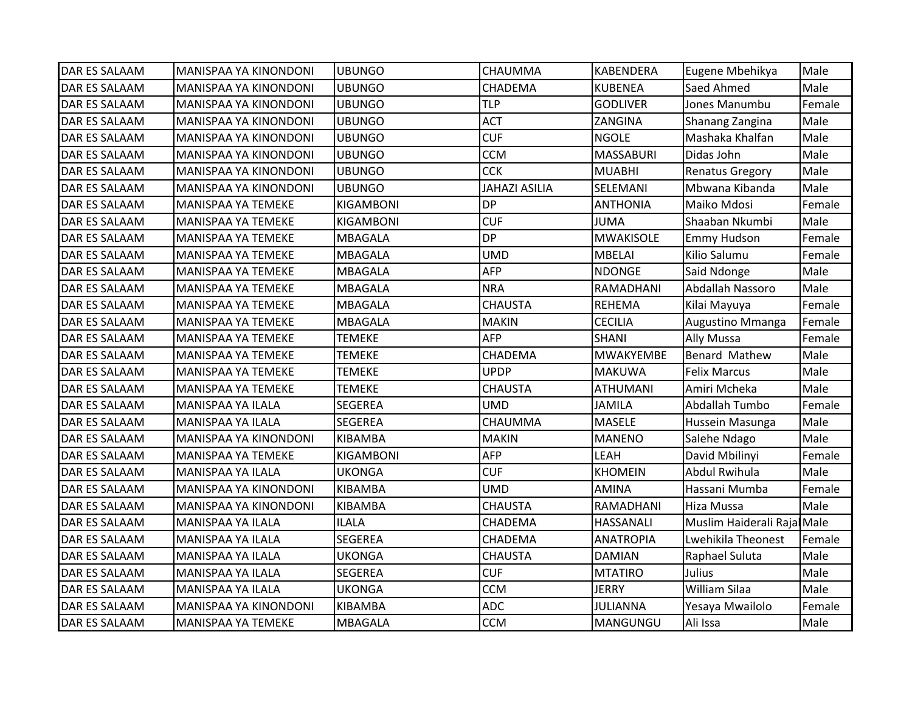| <b>DAR ES SALAAM</b> | <b>MANISPAA YA KINONDONI</b> | <b>UBUNGO</b>    | <b>CHAUMMA</b>       | <b>KABENDERA</b> | Eugene Mbehikya            | Male   |
|----------------------|------------------------------|------------------|----------------------|------------------|----------------------------|--------|
| <b>DAR ES SALAAM</b> | MANISPAA YA KINONDONI        | <b>UBUNGO</b>    | CHADEMA              | <b>KUBENEA</b>   | Saed Ahmed                 | Male   |
| DAR ES SALAAM        | MANISPAA YA KINONDONI        | <b>UBUNGO</b>    | <b>TLP</b>           | <b>GODLIVER</b>  | Jones Manumbu              | Female |
| DAR ES SALAAM        | MANISPAA YA KINONDONI        | <b>UBUNGO</b>    | <b>ACT</b>           | ZANGINA          | Shanang Zangina            | Male   |
| DAR ES SALAAM        | MANISPAA YA KINONDONI        | <b>UBUNGO</b>    | <b>CUF</b>           | <b>NGOLE</b>     | Mashaka Khalfan            | Male   |
| DAR ES SALAAM        | MANISPAA YA KINONDONI        | <b>UBUNGO</b>    | <b>CCM</b>           | <b>MASSABURI</b> | Didas John                 | Male   |
| DAR ES SALAAM        | MANISPAA YA KINONDONI        | <b>UBUNGO</b>    | <b>CCK</b>           | <b>MUABHI</b>    | <b>Renatus Gregory</b>     | Male   |
| DAR ES SALAAM        | MANISPAA YA KINONDONI        | <b>UBUNGO</b>    | <b>JAHAZI ASILIA</b> | SELEMANI         | Mbwana Kibanda             | Male   |
| DAR ES SALAAM        | MANISPAA YA TEMEKE           | <b>KIGAMBONI</b> | <b>DP</b>            | <b>ANTHONIA</b>  | Maiko Mdosi                | Female |
| DAR ES SALAAM        | MANISPAA YA TEMEKE           | <b>KIGAMBONI</b> | <b>CUF</b>           | <b>JUMA</b>      | Shaaban Nkumbi             | Male   |
| DAR ES SALAAM        | MANISPAA YA TEMEKE           | MBAGALA          | <b>DP</b>            | <b>MWAKISOLE</b> | <b>Emmy Hudson</b>         | Female |
| DAR ES SALAAM        | MANISPAA YA TEMEKE           | <b>MBAGALA</b>   | <b>UMD</b>           | <b>MBELAI</b>    | Kilio Salumu               | Female |
| DAR ES SALAAM        | MANISPAA YA TEMEKE           | <b>MBAGALA</b>   | <b>AFP</b>           | <b>NDONGE</b>    | Said Ndonge                | Male   |
| DAR ES SALAAM        | MANISPAA YA TEMEKE           | <b>MBAGALA</b>   | <b>NRA</b>           | RAMADHANI        | Abdallah Nassoro           | Male   |
| DAR ES SALAAM        | MANISPAA YA TEMEKE           | <b>MBAGALA</b>   | <b>CHAUSTA</b>       | <b>REHEMA</b>    | Kilai Mayuya               | Female |
| DAR ES SALAAM        | MANISPAA YA TEMEKE           | <b>MBAGALA</b>   | <b>MAKIN</b>         | <b>CECILIA</b>   | Augustino Mmanga           | Female |
| DAR ES SALAAM        | MANISPAA YA TEMEKE           | <b>TEMEKE</b>    | <b>AFP</b>           | SHANI            | Ally Mussa                 | Female |
| DAR ES SALAAM        | MANISPAA YA TEMEKE           | <b>TEMEKE</b>    | CHADEMA              | <b>MWAKYEMBE</b> | <b>Benard Mathew</b>       | Male   |
| DAR ES SALAAM        | MANISPAA YA TEMEKE           | <b>TEMEKE</b>    | <b>UPDP</b>          | <b>MAKUWA</b>    | <b>Felix Marcus</b>        | Male   |
| DAR ES SALAAM        | MANISPAA YA TEMEKE           | <b>TEMEKE</b>    | <b>CHAUSTA</b>       | <b>ATHUMANI</b>  | Amiri Mcheka               | Male   |
| DAR ES SALAAM        | MANISPAA YA ILALA            | <b>SEGEREA</b>   | <b>UMD</b>           | JAMILA           | Abdallah Tumbo             | Female |
| DAR ES SALAAM        | MANISPAA YA ILALA            | <b>SEGEREA</b>   | CHAUMMA              | <b>MASELE</b>    | Hussein Masunga            | Male   |
| DAR ES SALAAM        | MANISPAA YA KINONDONI        | <b>KIBAMBA</b>   | <b>MAKIN</b>         | <b>MANENO</b>    | Salehe Ndago               | Male   |
| DAR ES SALAAM        | MANISPAA YA TEMEKE           | KIGAMBONI        | <b>AFP</b>           | <b>LEAH</b>      | David Mbilinyi             | Female |
| <b>DAR ES SALAAM</b> | MANISPAA YA ILALA            | <b>UKONGA</b>    | <b>CUF</b>           | <b>KHOMEIN</b>   | Abdul Rwihula              | Male   |
| DAR ES SALAAM        | MANISPAA YA KINONDONI        | KIBAMBA          | <b>UMD</b>           | AMINA            | Hassani Mumba              | Female |
| DAR ES SALAAM        | MANISPAA YA KINONDONI        | KIBAMBA          | <b>CHAUSTA</b>       | RAMADHANI        | Hiza Mussa                 | Male   |
| DAR ES SALAAM        | MANISPAA YA ILALA            | <b>ILALA</b>     | CHADEMA              | <b>HASSANALI</b> | Muslim Haiderali Raja Male |        |
| DAR ES SALAAM        | MANISPAA YA ILALA            | <b>SEGEREA</b>   | CHADEMA              | <b>ANATROPIA</b> | Lwehikila Theonest         | Female |
| DAR ES SALAAM        | MANISPAA YA ILALA            | <b>UKONGA</b>    | <b>CHAUSTA</b>       | <b>DAMIAN</b>    | Raphael Suluta             | Male   |
| DAR ES SALAAM        | MANISPAA YA ILALA            | SEGEREA          | <b>CUF</b>           | <b>MTATIRO</b>   | Julius                     | Male   |
| DAR ES SALAAM        | MANISPAA YA ILALA            | <b>UKONGA</b>    | <b>CCM</b>           | <b>JERRY</b>     | William Silaa              | Male   |
| DAR ES SALAAM        | MANISPAA YA KINONDONI        | <b>KIBAMBA</b>   | <b>ADC</b>           | <b>JULIANNA</b>  | Yesaya Mwailolo            | Female |
| <b>DAR ES SALAAM</b> | MANISPAA YA TEMEKE           | <b>MBAGALA</b>   | <b>CCM</b>           | MANGUNGU         | Ali Issa                   | Male   |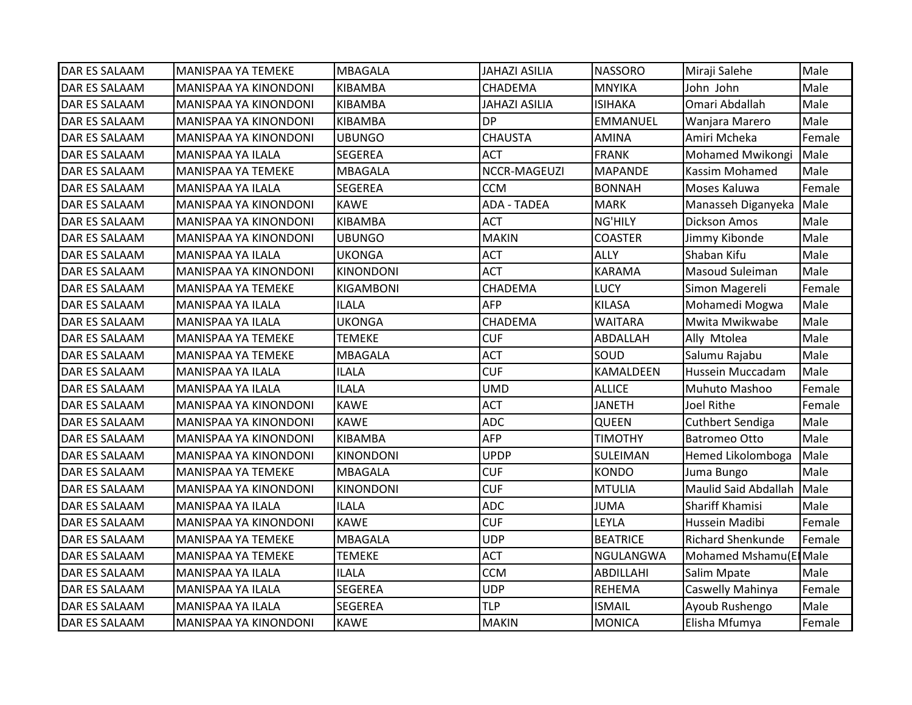| <b>DAR ES SALAAM</b> | <b>MANISPAA YA TEMEKE</b>    | <b>MBAGALA</b>   | <b>JAHAZI ASILIA</b> | <b>NASSORO</b>  | Miraji Salehe            | Male   |
|----------------------|------------------------------|------------------|----------------------|-----------------|--------------------------|--------|
| <b>DAR ES SALAAM</b> | <b>MANISPAA YA KINONDONI</b> | KIBAMBA          | <b>CHADEMA</b>       | <b>MNYIKA</b>   | John John                | Male   |
| <b>DAR ES SALAAM</b> | MANISPAA YA KINONDONI        | KIBAMBA          | <b>JAHAZI ASILIA</b> | <b>ISIHAKA</b>  | Omari Abdallah           | Male   |
| DAR ES SALAAM        | MANISPAA YA KINONDONI        | KIBAMBA          | <b>DP</b>            | EMMANUEL        | Wanjara Marero           | Male   |
| <b>DAR ES SALAAM</b> | MANISPAA YA KINONDONI        | <b>UBUNGO</b>    | <b>CHAUSTA</b>       | AMINA           | Amiri Mcheka             | Female |
| DAR ES SALAAM        | MANISPAA YA ILALA            | SEGEREA          | <b>ACT</b>           | <b>FRANK</b>    | <b>Mohamed Mwikongi</b>  | Male   |
| <b>DAR ES SALAAM</b> | <b>MANISPAA YA TEMEKE</b>    | <b>MBAGALA</b>   | NCCR-MAGEUZI         | <b>MAPANDE</b>  | Kassim Mohamed           | Male   |
| <b>DAR ES SALAAM</b> | MANISPAA YA ILALA            | SEGEREA          | <b>CCM</b>           | <b>BONNAH</b>   | Moses Kaluwa             | Female |
| <b>DAR ES SALAAM</b> | <b>MANISPAA YA KINONDONI</b> | <b>KAWE</b>      | <b>ADA - TADEA</b>   | <b>MARK</b>     | Manasseh Diganyeka       | Male   |
| <b>DAR ES SALAAM</b> | MANISPAA YA KINONDONI        | KIBAMBA          | <b>ACT</b>           | NG'HILY         | <b>Dickson Amos</b>      | Male   |
| DAR ES SALAAM        | MANISPAA YA KINONDONI        | <b>UBUNGO</b>    | <b>MAKIN</b>         | <b>COASTER</b>  | Jimmy Kibonde            | Male   |
| <b>DAR ES SALAAM</b> | <b>MANISPAA YA ILALA</b>     | <b>UKONGA</b>    | <b>ACT</b>           | <b>ALLY</b>     | Shaban Kifu              | Male   |
| <b>DAR ES SALAAM</b> | MANISPAA YA KINONDONI        | <b>KINONDONI</b> | <b>ACT</b>           | <b>KARAMA</b>   | Masoud Suleiman          | Male   |
| <b>DAR ES SALAAM</b> | <b>MANISPAA YA TEMEKE</b>    | KIGAMBONI        | CHADEMA              | <b>LUCY</b>     | Simon Magereli           | Female |
| <b>DAR ES SALAAM</b> | <b>MANISPAA YA ILALA</b>     | <b>ILALA</b>     | <b>AFP</b>           | <b>KILASA</b>   | Mohamedi Mogwa           | Male   |
| DAR ES SALAAM        | MANISPAA YA ILALA            | <b>UKONGA</b>    | CHADEMA              | <b>WAITARA</b>  | Mwita Mwikwabe           | Male   |
| <b>DAR ES SALAAM</b> | <b>MANISPAA YA TEMEKE</b>    | <b>TEMEKE</b>    | <b>CUF</b>           | ABDALLAH        | Ally Mtolea              | Male   |
| <b>DAR ES SALAAM</b> | MANISPAA YA TEMEKE           | <b>MBAGALA</b>   | <b>ACT</b>           | SOUD            | Salumu Rajabu            | Male   |
| <b>DAR ES SALAAM</b> | <b>MANISPAA YA ILALA</b>     | <b>ILALA</b>     | <b>CUF</b>           | KAMALDEEN       | Hussein Muccadam         | Male   |
| <b>DAR ES SALAAM</b> | <b>MANISPAA YA ILALA</b>     | <b>ILALA</b>     | <b>UMD</b>           | <b>ALLICE</b>   | Muhuto Mashoo            | Female |
| DAR ES SALAAM        | MANISPAA YA KINONDONI        | <b>KAWE</b>      | <b>ACT</b>           | <b>JANETH</b>   | Joel Rithe               | Female |
| <b>DAR ES SALAAM</b> | MANISPAA YA KINONDONI        | <b>KAWE</b>      | <b>ADC</b>           | QUEEN           | <b>Cuthbert Sendiga</b>  | Male   |
| <b>DAR ES SALAAM</b> | MANISPAA YA KINONDONI        | KIBAMBA          | <b>AFP</b>           | <b>TIMOTHY</b>  | <b>Batromeo Otto</b>     | Male   |
| <b>DAR ES SALAAM</b> | MANISPAA YA KINONDONI        | <b>KINONDONI</b> | <b>UPDP</b>          | SULEIMAN        | Hemed Likolomboga        | Male   |
| <b>DAR ES SALAAM</b> | <b>MANISPAA YA TEMEKE</b>    | <b>MBAGALA</b>   | <b>CUF</b>           | <b>KONDO</b>    | Juma Bungo               | Male   |
| <b>DAR ES SALAAM</b> | MANISPAA YA KINONDONI        | <b>KINONDONI</b> | <b>CUF</b>           | <b>MTULIA</b>   | Maulid Said Abdallah     | Male   |
| <b>DAR ES SALAAM</b> | <b>MANISPAA YA ILALA</b>     | <b>ILALA</b>     | <b>ADC</b>           | JUMA            | Shariff Khamisi          | Male   |
| <b>DAR ES SALAAM</b> | MANISPAA YA KINONDONI        | <b>KAWE</b>      | <b>CUF</b>           | LEYLA           | Hussein Madibi           | Female |
| DAR ES SALAAM        | MANISPAA YA TEMEKE           | MBAGALA          | <b>UDP</b>           | <b>BEATRICE</b> | <b>Richard Shenkunde</b> | Female |
| <b>DAR ES SALAAM</b> | <b>MANISPAA YA TEMEKE</b>    | <b>TEMEKE</b>    | <b>ACT</b>           | NGULANGWA       | Mohamed Mshamu(El Male   |        |
| DAR ES SALAAM        | MANISPAA YA ILALA            | <b>ILALA</b>     | <b>CCM</b>           | ABDILLAHI       | Salim Mpate              | Male   |
| <b>DAR ES SALAAM</b> | MANISPAA YA ILALA            | SEGEREA          | <b>UDP</b>           | REHEMA          | Caswelly Mahinya         | Female |
| <b>DAR ES SALAAM</b> | MANISPAA YA ILALA            | SEGEREA          | <b>TLP</b>           | <b>ISMAIL</b>   | Ayoub Rushengo           | Male   |
| <b>DAR ES SALAAM</b> | MANISPAA YA KINONDONI        | <b>KAWE</b>      | <b>MAKIN</b>         | <b>MONICA</b>   | Elisha Mfumya            | Female |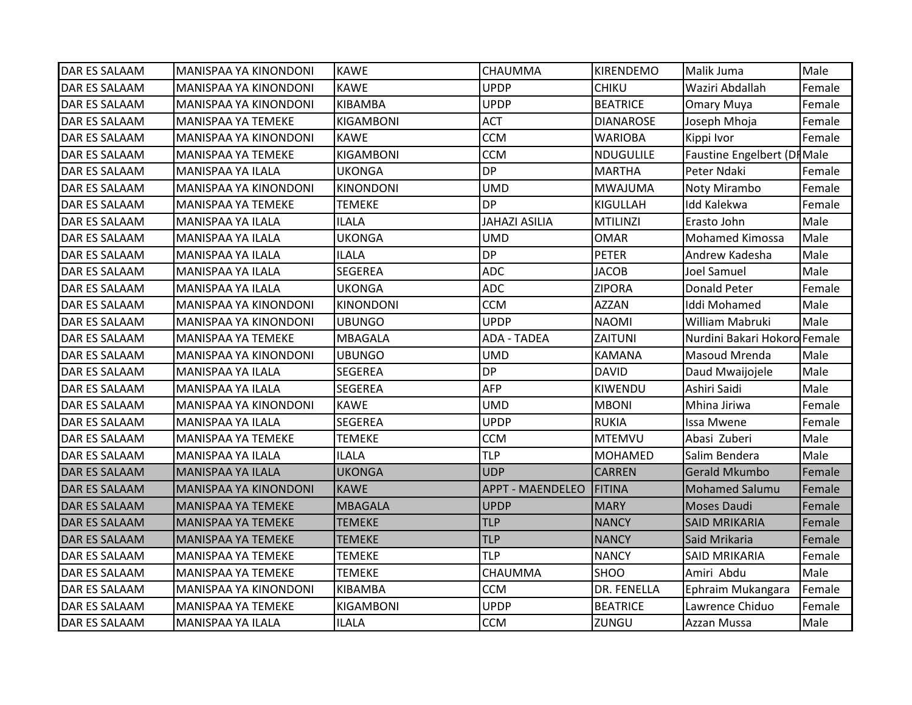| <b>DAR ES SALAAM</b> | MANISPAA YA KINONDONI     | <b>KAWE</b>      | CHAUMMA                 | <b>KIRENDEMO</b> | Malik Juma                   | Male   |
|----------------------|---------------------------|------------------|-------------------------|------------------|------------------------------|--------|
| <b>DAR ES SALAAM</b> | MANISPAA YA KINONDONI     | <b>KAWE</b>      | <b>UPDP</b>             | <b>CHIKU</b>     | Waziri Abdallah              | Female |
| <b>DAR ES SALAAM</b> | MANISPAA YA KINONDONI     | <b>KIBAMBA</b>   | <b>UPDP</b>             | <b>BEATRICE</b>  | <b>Omary Muya</b>            | Female |
| <b>DAR ES SALAAM</b> | MANISPAA YA TEMEKE        | <b>KIGAMBONI</b> | <b>ACT</b>              | <b>DIANAROSE</b> | Joseph Mhoja                 | Female |
| <b>DAR ES SALAAM</b> | MANISPAA YA KINONDONI     | <b>KAWE</b>      | <b>CCM</b>              | <b>WARIOBA</b>   | Kippi Ivor                   | Female |
| <b>DAR ES SALAAM</b> | MANISPAA YA TEMEKE        | KIGAMBONI        | <b>CCM</b>              | <b>NDUGULILE</b> | Faustine Engelbert (DI Male  |        |
| <b>DAR ES SALAAM</b> | MANISPAA YA ILALA         | <b>UKONGA</b>    | <b>DP</b>               | <b>MARTHA</b>    | Peter Ndaki                  | Female |
| <b>DAR ES SALAAM</b> | MANISPAA YA KINONDONI     | <b>KINONDONI</b> | <b>UMD</b>              | <b>MWAJUMA</b>   | Noty Mirambo                 | Female |
| <b>DAR ES SALAAM</b> | MANISPAA YA TEMEKE        | <b>TEMEKE</b>    | <b>DP</b>               | KIGULLAH         | <b>Idd Kalekwa</b>           | Female |
| <b>DAR ES SALAAM</b> | <b>MANISPAA YA ILALA</b>  | <b>ILALA</b>     | <b>JAHAZI ASILIA</b>    | <b>MTILINZI</b>  | Erasto John                  | Male   |
| <b>DAR ES SALAAM</b> | MANISPAA YA ILALA         | <b>UKONGA</b>    | <b>UMD</b>              | <b>OMAR</b>      | <b>Mohamed Kimossa</b>       | Male   |
| <b>DAR ES SALAAM</b> | MANISPAA YA ILALA         | ILALA            | <b>DP</b>               | <b>PETER</b>     | Andrew Kadesha               | Male   |
| <b>DAR ES SALAAM</b> | MANISPAA YA ILALA         | <b>SEGEREA</b>   | <b>ADC</b>              | <b>JACOB</b>     | <b>Joel Samuel</b>           | Male   |
| <b>DAR ES SALAAM</b> | MANISPAA YA ILALA         | <b>UKONGA</b>    | <b>ADC</b>              | <b>ZIPORA</b>    | <b>Donald Peter</b>          | Female |
| <b>DAR ES SALAAM</b> | MANISPAA YA KINONDONI     | <b>KINONDONI</b> | <b>CCM</b>              | <b>AZZAN</b>     | Iddi Mohamed                 | Male   |
| <b>DAR ES SALAAM</b> | MANISPAA YA KINONDONI     | <b>UBUNGO</b>    | <b>UPDP</b>             | <b>NAOMI</b>     | William Mabruki              | Male   |
| <b>DAR ES SALAAM</b> | MANISPAA YA TEMEKE        | <b>MBAGALA</b>   | <b>ADA - TADEA</b>      | ZAITUNI          | Nurdini Bakari Hokoro Female |        |
| <b>DAR ES SALAAM</b> | MANISPAA YA KINONDONI     | <b>UBUNGO</b>    | <b>UMD</b>              | <b>KAMANA</b>    | Masoud Mrenda                | Male   |
| <b>DAR ES SALAAM</b> | MANISPAA YA ILALA         | <b>SEGEREA</b>   | <b>DP</b>               | <b>DAVID</b>     | Daud Mwaijojele              | Male   |
| <b>DAR ES SALAAM</b> | <b>MANISPAA YA ILALA</b>  | <b>SEGEREA</b>   | <b>AFP</b>              | KIWENDU          | Ashiri Saidi                 | Male   |
| <b>DAR ES SALAAM</b> | MANISPAA YA KINONDONI     | <b>KAWE</b>      | <b>UMD</b>              | <b>MBONI</b>     | Mhina Jiriwa                 | Female |
| <b>DAR ES SALAAM</b> | MANISPAA YA ILALA         | <b>SEGEREA</b>   | <b>UPDP</b>             | <b>RUKIA</b>     | Issa Mwene                   | Female |
| <b>DAR ES SALAAM</b> | MANISPAA YA TEMEKE        | <b>TEMEKE</b>    | <b>CCM</b>              | <b>MTEMVU</b>    | Abasi Zuberi                 | Male   |
| <b>DAR ES SALAAM</b> | <b>MANISPAA YA ILALA</b>  | <b>ILALA</b>     | <b>TLP</b>              | <b>MOHAMED</b>   | Salim Bendera                | Male   |
| <b>DAR ES SALAAM</b> | MANISPAA YA ILALA         | <b>UKONGA</b>    | <b>UDP</b>              | <b>CARREN</b>    | <b>Gerald Mkumbo</b>         | Female |
| <b>DAR ES SALAAM</b> | MANISPAA YA KINONDONI     | <b>KAWE</b>      | <b>APPT - MAENDELEO</b> | <b>FITINA</b>    | <b>Mohamed Salumu</b>        | Female |
| DAR ES SALAAM        | <b>MANISPAA YA TEMEKE</b> | MBAGALA          | <b>UPDP</b>             | <b>MARY</b>      | Moses Daudi                  | Female |
| <b>DAR ES SALAAM</b> | MANISPAA YA TEMEKE        | <b>TEMEKE</b>    | <b>TLP</b>              | <b>NANCY</b>     | <b>SAID MRIKARIA</b>         | Female |
| <b>DAR ES SALAAM</b> | <b>MANISPAA YA TEMEKE</b> | <b>TEMEKE</b>    | <b>TLP</b>              | <b>NANCY</b>     | Said Mrikaria                | Female |
| <b>DAR ES SALAAM</b> | <b>MANISPAA YA TEMEKE</b> | <b>TEMEKE</b>    | <b>TLP</b>              | <b>NANCY</b>     | <b>SAID MRIKARIA</b>         | Female |
| <b>DAR ES SALAAM</b> | MANISPAA YA TEMEKE        | <b>TEMEKE</b>    | CHAUMMA                 | SHOO             | Amiri Abdu                   | Male   |
| <b>DAR ES SALAAM</b> | MANISPAA YA KINONDONI     | KIBAMBA          | <b>CCM</b>              | DR. FENELLA      | Ephraim Mukangara            | Female |
| <b>DAR ES SALAAM</b> | MANISPAA YA TEMEKE        | KIGAMBONI        | <b>UPDP</b>             | <b>BEATRICE</b>  | Lawrence Chiduo              | Female |
| <b>DAR ES SALAAM</b> | <b>MANISPAA YA ILALA</b>  | <b>ILALA</b>     | <b>CCM</b>              | ZUNGU            | Azzan Mussa                  | Male   |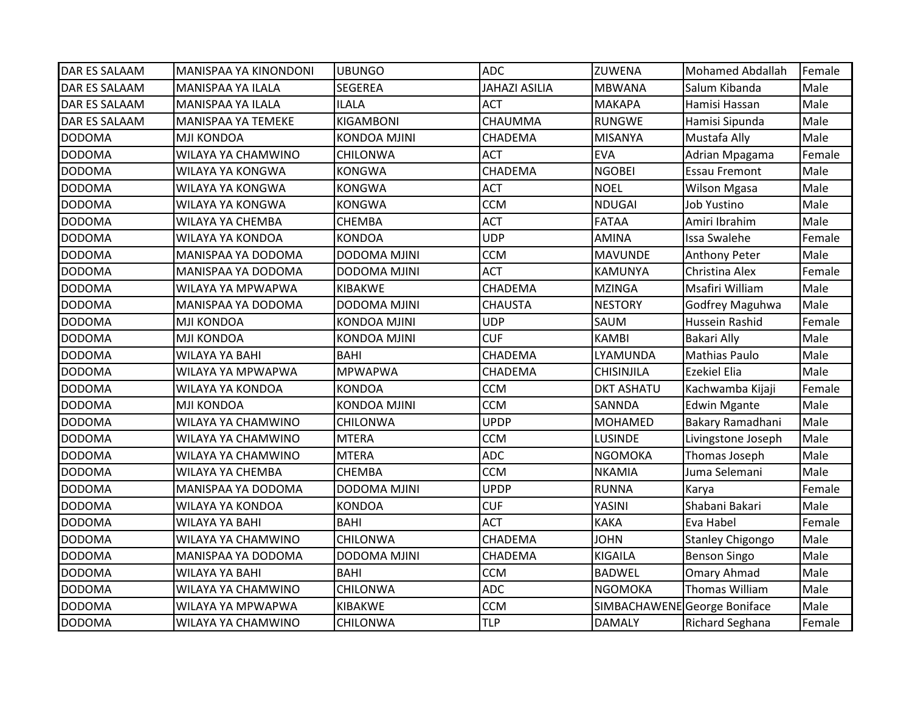| <b>DAR ES SALAAM</b> | MANISPAA YA KINONDONI     | <b>UBUNGO</b>       | <b>ADC</b>           | <b>ZUWENA</b>     | <b>Mohamed Abdallah</b>      | Female |
|----------------------|---------------------------|---------------------|----------------------|-------------------|------------------------------|--------|
| <b>DAR ES SALAAM</b> | <b>MANISPAA YA ILALA</b>  | <b>SEGEREA</b>      | <b>JAHAZI ASILIA</b> | <b>MBWANA</b>     | Salum Kibanda                | Male   |
| <b>DAR ES SALAAM</b> | <b>MANISPAA YA ILALA</b>  | <b>ILALA</b>        | <b>ACT</b>           | <b>MAKAPA</b>     | Hamisi Hassan                | Male   |
| <b>DAR ES SALAAM</b> | <b>MANISPAA YA TEMEKE</b> | KIGAMBONI           | CHAUMMA              | <b>RUNGWE</b>     | Hamisi Sipunda               | Male   |
| <b>DODOMA</b>        | <b>MJI KONDOA</b>         | <b>KONDOA MJINI</b> | CHADEMA              | <b>MISANYA</b>    | Mustafa Ally                 | Male   |
| <b>DODOMA</b>        | WILAYA YA CHAMWINO        | CHILONWA            | <b>ACT</b>           | <b>EVA</b>        | Adrian Mpagama               | Female |
| <b>DODOMA</b>        | WILAYA YA KONGWA          | <b>KONGWA</b>       | <b>CHADEMA</b>       | <b>NGOBEI</b>     | <b>Essau Fremont</b>         | Male   |
| <b>DODOMA</b>        | WILAYA YA KONGWA          | <b>KONGWA</b>       | <b>ACT</b>           | <b>NOEL</b>       | <b>Wilson Mgasa</b>          | Male   |
| <b>DODOMA</b>        | WILAYA YA KONGWA          | <b>KONGWA</b>       | <b>CCM</b>           | NDUGAI            | Job Yustino                  | Male   |
| <b>DODOMA</b>        | WILAYA YA CHEMBA          | <b>CHEMBA</b>       | <b>ACT</b>           | <b>FATAA</b>      | Amiri Ibrahim                | Male   |
| <b>DODOMA</b>        | WILAYA YA KONDOA          | <b>KONDOA</b>       | <b>UDP</b>           | <b>AMINA</b>      | Issa Swalehe                 | Female |
| <b>DODOMA</b>        | MANISPAA YA DODOMA        | <b>DODOMA MJINI</b> | <b>CCM</b>           | <b>MAVUNDE</b>    | <b>Anthony Peter</b>         | Male   |
| <b>DODOMA</b>        | MANISPAA YA DODOMA        | <b>DODOMA MJINI</b> | <b>ACT</b>           | <b>KAMUNYA</b>    | Christina Alex               | Female |
| <b>DODOMA</b>        | WILAYA YA MPWAPWA         | KIBAKWE             | CHADEMA              | <b>MZINGA</b>     | Msafiri William              | Male   |
| <b>DODOMA</b>        | MANISPAA YA DODOMA        | DODOMA MJINI        | <b>CHAUSTA</b>       | <b>NESTORY</b>    | Godfrey Maguhwa              | Male   |
| <b>DODOMA</b>        | MJI KONDOA                | <b>KONDOA MJINI</b> | <b>UDP</b>           | SAUM              | Hussein Rashid               | Female |
| <b>DODOMA</b>        | <b>MJI KONDOA</b>         | KONDOA MJINI        | <b>CUF</b>           | <b>KAMBI</b>      | <b>Bakari Ally</b>           | Male   |
| <b>DODOMA</b>        | <b>WILAYA YA BAHI</b>     | <b>BAHI</b>         | CHADEMA              | LYAMUNDA          | <b>Mathias Paulo</b>         | Male   |
| <b>DODOMA</b>        | WILAYA YA MPWAPWA         | <b>MPWAPWA</b>      | <b>CHADEMA</b>       | <b>CHISINJILA</b> | <b>Ezekiel Elia</b>          | Male   |
| <b>DODOMA</b>        | WILAYA YA KONDOA          | <b>KONDOA</b>       | <b>CCM</b>           | <b>DKT ASHATU</b> | Kachwamba Kijaji             | Female |
| <b>DODOMA</b>        | <b>MJI KONDOA</b>         | <b>KONDOA MJINI</b> | <b>CCM</b>           | SANNDA            | <b>Edwin Mgante</b>          | Male   |
| <b>DODOMA</b>        | WILAYA YA CHAMWINO        | <b>CHILONWA</b>     | <b>UPDP</b>          | <b>MOHAMED</b>    | Bakary Ramadhani             | Male   |
| <b>DODOMA</b>        | WILAYA YA CHAMWINO        | <b>MTERA</b>        | <b>CCM</b>           | <b>LUSINDE</b>    | Livingstone Joseph           | Male   |
| <b>DODOMA</b>        | WILAYA YA CHAMWINO        | <b>MTERA</b>        | <b>ADC</b>           | <b>NGOMOKA</b>    | Thomas Joseph                | Male   |
| <b>DODOMA</b>        | WILAYA YA CHEMBA          | <b>CHEMBA</b>       | <b>CCM</b>           | <b>NKAMIA</b>     | Juma Selemani                | Male   |
| <b>DODOMA</b>        | MANISPAA YA DODOMA        | <b>DODOMA MJINI</b> | <b>UPDP</b>          | <b>RUNNA</b>      | Karya                        | Female |
| <b>DODOMA</b>        | WILAYA YA KONDOA          | KONDOA              | <b>CUF</b>           | YASINI            | Shabani Bakari               | Male   |
| <b>DODOMA</b>        | <b>WILAYA YA BAHI</b>     | <b>BAHI</b>         | <b>ACT</b>           | <b>KAKA</b>       | Eva Habel                    | Female |
| <b>DODOMA</b>        | WILAYA YA CHAMWINO        | <b>CHILONWA</b>     | CHADEMA              | <b>JOHN</b>       | <b>Stanley Chigongo</b>      | Male   |
| <b>DODOMA</b>        | MANISPAA YA DODOMA        | DODOMA MJINI        | CHADEMA              | KIGAILA           | <b>Benson Singo</b>          | Male   |
| <b>DODOMA</b>        | <b>WILAYA YA BAHI</b>     | <b>BAHI</b>         | <b>CCM</b>           | <b>BADWEL</b>     | Omary Ahmad                  | Male   |
| <b>DODOMA</b>        | WILAYA YA CHAMWINO        | <b>CHILONWA</b>     | <b>ADC</b>           | <b>NGOMOKA</b>    | <b>Thomas William</b>        | Male   |
| <b>DODOMA</b>        | WILAYA YA MPWAPWA         | KIBAKWE             | <b>CCM</b>           |                   | SIMBACHAWENE George Boniface | Male   |
| <b>DODOMA</b>        | WILAYA YA CHAMWINO        | <b>CHILONWA</b>     | TLP                  | <b>DAMALY</b>     | <b>Richard Seghana</b>       | Female |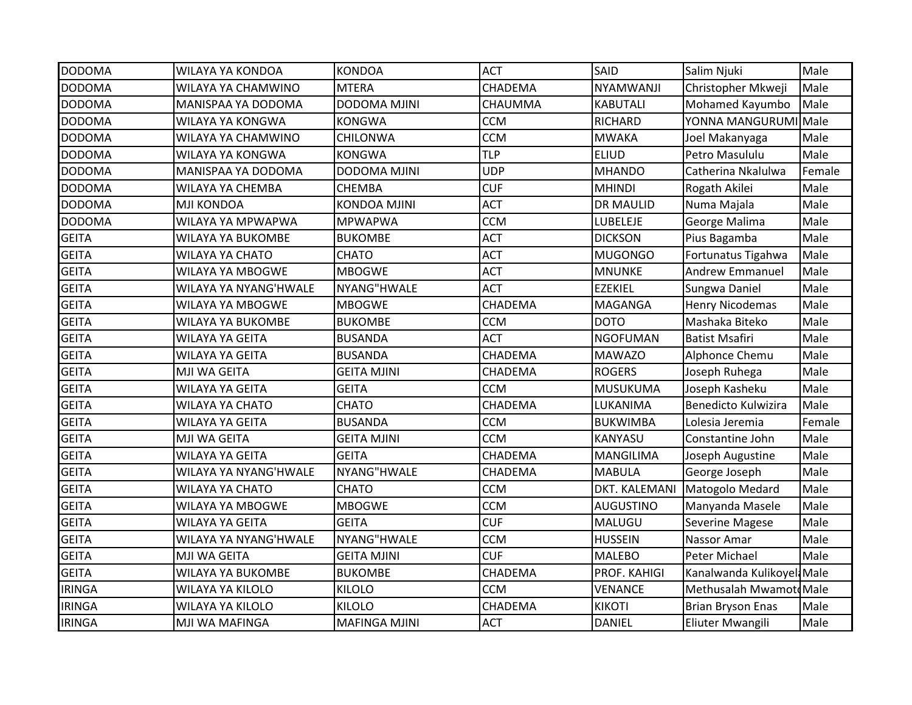| <b>DODOMA</b> | WILAYA YA KONDOA         | <b>KONDOA</b>        | <b>ACT</b>     | SAID             | Salim Njuki                | Male   |
|---------------|--------------------------|----------------------|----------------|------------------|----------------------------|--------|
| <b>DODOMA</b> | WILAYA YA CHAMWINO       | <b>MTERA</b>         | CHADEMA        | NYAMWANJI        | Christopher Mkweji         | Male   |
| <b>DODOMA</b> | MANISPAA YA DODOMA       | <b>DODOMA MJINI</b>  | CHAUMMA        | <b>KABUTALI</b>  | Mohamed Kayumbo            | Male   |
| <b>DODOMA</b> | WILAYA YA KONGWA         | <b>KONGWA</b>        | <b>CCM</b>     | <b>RICHARD</b>   | YONNA MANGURUMI Male       |        |
| <b>DODOMA</b> | WILAYA YA CHAMWINO       | <b>CHILONWA</b>      | <b>CCM</b>     | <b>MWAKA</b>     | Joel Makanyaga             | Male   |
| <b>DODOMA</b> | WILAYA YA KONGWA         | KONGWA               | <b>TLP</b>     | <b>ELIUD</b>     | Petro Masululu             | Male   |
| <b>DODOMA</b> | MANISPAA YA DODOMA       | DODOMA MJINI         | <b>UDP</b>     | <b>MHANDO</b>    | Catherina Nkalulwa         | Female |
| <b>DODOMA</b> | WILAYA YA CHEMBA         | <b>CHEMBA</b>        | <b>CUF</b>     | <b>MHINDI</b>    | Rogath Akilei              | Male   |
| <b>DODOMA</b> | <b>MJI KONDOA</b>        | <b>KONDOA MJINI</b>  | <b>ACT</b>     | <b>DR MAULID</b> | Numa Majala                | Male   |
| <b>DODOMA</b> | WILAYA YA MPWAPWA        | <b>MPWAPWA</b>       | <b>CCM</b>     | LUBELEJE         | George Malima              | Male   |
| <b>GEITA</b>  | WILAYA YA BUKOMBE        | BUKOMBE              | <b>ACT</b>     | <b>DICKSON</b>   | Pius Bagamba               | Male   |
| <b>GEITA</b>  | <b>WILAYA YA CHATO</b>   | <b>CHATO</b>         | <b>ACT</b>     | <b>MUGONGO</b>   | Fortunatus Tigahwa         | Male   |
| <b>GEITA</b>  | <b>WILAYA YA MBOGWE</b>  | <b>MBOGWE</b>        | <b>ACT</b>     | <b>MNUNKE</b>    | <b>Andrew Emmanuel</b>     | Male   |
| <b>GEITA</b>  | WILAYA YA NYANG'HWALE    | NYANG"HWALE          | <b>ACT</b>     | <b>EZEKIEL</b>   | Sungwa Daniel              | Male   |
| <b>GEITA</b>  | <b>WILAYA YA MBOGWE</b>  | <b>MBOGWE</b>        | CHADEMA        | MAGANGA          | Henry Nicodemas            | Male   |
| <b>GEITA</b>  | WILAYA YA BUKOMBE        | <b>BUKOMBE</b>       | <b>CCM</b>     | <b>DOTO</b>      | Mashaka Biteko             | Male   |
| <b>GEITA</b>  | <b>WILAYA YA GEITA</b>   | <b>BUSANDA</b>       | <b>ACT</b>     | <b>NGOFUMAN</b>  | <b>Batist Msafiri</b>      | Male   |
| <b>GEITA</b>  | <b>WILAYA YA GEITA</b>   | <b>BUSANDA</b>       | <b>CHADEMA</b> | <b>MAWAZO</b>    | Alphonce Chemu             | Male   |
| <b>GEITA</b>  | <b>MJI WA GEITA</b>      | <b>GEITA MJINI</b>   | CHADEMA        | <b>ROGERS</b>    | Joseph Ruhega              | Male   |
| <b>GEITA</b>  | <b>WILAYA YA GEITA</b>   | <b>GEITA</b>         | <b>CCM</b>     | MUSUKUMA         | Joseph Kasheku             | Male   |
| <b>GEITA</b>  | <b>WILAYA YA CHATO</b>   | <b>CHATO</b>         | CHADEMA        | LUKANIMA         | Benedicto Kulwizira        | Male   |
| <b>GEITA</b>  | <b>WILAYA YA GEITA</b>   | <b>BUSANDA</b>       | <b>CCM</b>     | <b>BUKWIMBA</b>  | Lolesia Jeremia            | Female |
| <b>GEITA</b>  | MJI WA GEITA             | <b>GEITA MJINI</b>   | <b>CCM</b>     | KANYASU          | Constantine John           | Male   |
| <b>GEITA</b>  | <b>WILAYA YA GEITA</b>   | <b>GEITA</b>         | CHADEMA        | <b>MANGILIMA</b> | Joseph Augustine           | Male   |
| <b>GEITA</b>  | WILAYA YA NYANG'HWALE    | NYANG"HWALE          | CHADEMA        | <b>MABULA</b>    | George Joseph              | Male   |
| <b>GEITA</b>  | <b>WILAYA YA CHATO</b>   | <b>CHATO</b>         | <b>CCM</b>     | DKT. KALEMANI    | Matogolo Medard            | Male   |
| <b>GEITA</b>  | WILAYA YA MBOGWE         | <b>MBOGWE</b>        | <b>CCM</b>     | <b>AUGUSTINO</b> | Manyanda Masele            | Male   |
| <b>GEITA</b>  | <b>WILAYA YA GEITA</b>   | <b>GEITA</b>         | <b>CUF</b>     | MALUGU           | <b>Severine Magese</b>     | Male   |
| <b>GEITA</b>  | WILAYA YA NYANG'HWALE    | NYANG"HWALE          | <b>CCM</b>     | <b>HUSSEIN</b>   | Nassor Amar                | Male   |
| <b>GEITA</b>  | MJI WA GEITA             | <b>GEITA MJINI</b>   | <b>CUF</b>     | <b>MALEBO</b>    | Peter Michael              | Male   |
| <b>GEITA</b>  | <b>WILAYA YA BUKOMBE</b> | <b>BUKOMBE</b>       | CHADEMA        | PROF. KAHIGI     | Kanalwanda Kulikoyeli Male |        |
| <b>IRINGA</b> | <b>WILAYA YA KILOLO</b>  | <b>KILOLO</b>        | <b>CCM</b>     | <b>VENANCE</b>   | Methusalah MwamotoMale     |        |
| <b>IRINGA</b> | <b>WILAYA YA KILOLO</b>  | <b>KILOLO</b>        | CHADEMA        | <b>KIKOTI</b>    | <b>Brian Bryson Enas</b>   | Male   |
| <b>IRINGA</b> | MJI WA MAFINGA           | <b>MAFINGA MJINI</b> | <b>ACT</b>     | <b>DANIEL</b>    | Eliuter Mwangili           | Male   |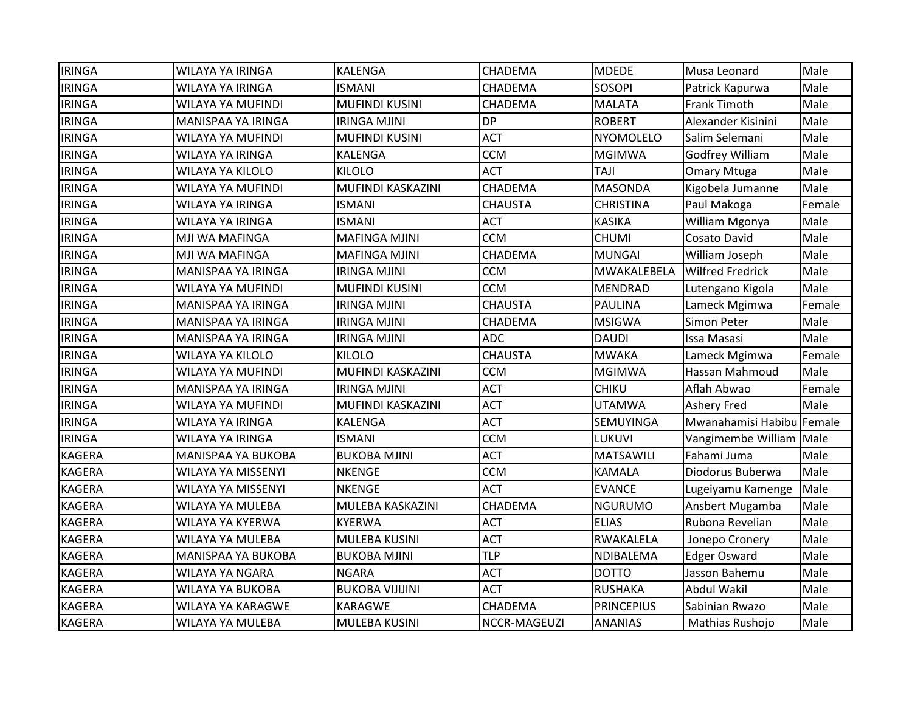| <b>IRINGA</b> | WILAYA YA IRINGA          | <b>KALENGA</b>         | CHADEMA        | <b>MDEDE</b>      | Musa Leonard              | Male   |
|---------------|---------------------------|------------------------|----------------|-------------------|---------------------------|--------|
| <b>IRINGA</b> | <b>WILAYA YA IRINGA</b>   | <b>ISMANI</b>          | CHADEMA        | <b>SOSOPI</b>     | Patrick Kapurwa           | Male   |
| <b>IRINGA</b> | WILAYA YA MUFINDI         | <b>MUFINDI KUSINI</b>  | CHADEMA        | <b>MALATA</b>     | <b>Frank Timoth</b>       | Male   |
| <b>IRINGA</b> | MANISPAA YA IRINGA        | <b>IRINGA MJINI</b>    | <b>DP</b>      | <b>ROBERT</b>     | Alexander Kisinini        | Male   |
| <b>IRINGA</b> | WILAYA YA MUFINDI         | <b>MUFINDI KUSINI</b>  | <b>ACT</b>     | <b>NYOMOLELO</b>  | Salim Selemani            | Male   |
| <b>IRINGA</b> | WILAYA YA IRINGA          | <b>KALENGA</b>         | <b>CCM</b>     | MGIMWA            | Godfrey William           | Male   |
| <b>IRINGA</b> | WILAYA YA KILOLO          | <b>KILOLO</b>          | <b>ACT</b>     | <b>TAJI</b>       | <b>Omary Mtuga</b>        | Male   |
| <b>IRINGA</b> | WILAYA YA MUFINDI         | MUFINDI KASKAZINI      | CHADEMA        | <b>MASONDA</b>    | Kigobela Jumanne          | Male   |
| <b>IRINGA</b> | <b>WILAYA YA IRINGA</b>   | <b>ISMANI</b>          | <b>CHAUSTA</b> | <b>CHRISTINA</b>  | Paul Makoga               | Female |
| <b>IRINGA</b> | <b>WILAYA YA IRINGA</b>   | <b>ISMANI</b>          | <b>ACT</b>     | <b>KASIKA</b>     | William Mgonya            | Male   |
| <b>IRINGA</b> | MJI WA MAFINGA            | <b>MAFINGA MJINI</b>   | <b>CCM</b>     | <b>CHUMI</b>      | Cosato David              | Male   |
| <b>IRINGA</b> | MJI WA MAFINGA            | <b>MAFINGA MJINI</b>   | CHADEMA        | <b>MUNGAI</b>     | William Joseph            | Male   |
| <b>IRINGA</b> | MANISPAA YA IRINGA        | <b>IRINGA MJINI</b>    | <b>CCM</b>     | MWAKALEBELA       | <b>Wilfred Fredrick</b>   | Male   |
| <b>IRINGA</b> | WILAYA YA MUFINDI         | <b>MUFINDI KUSINI</b>  | <b>CCM</b>     | <b>MENDRAD</b>    | Lutengano Kigola          | Male   |
| <b>IRINGA</b> | MANISPAA YA IRINGA        | <b>IRINGA MJINI</b>    | <b>CHAUSTA</b> | <b>PAULINA</b>    | Lameck Mgimwa             | Female |
| <b>IRINGA</b> | MANISPAA YA IRINGA        | <b>IRINGA MJINI</b>    | CHADEMA        | <b>MSIGWA</b>     | Simon Peter               | Male   |
| <b>IRINGA</b> | MANISPAA YA IRINGA        | <b>IRINGA MJINI</b>    | <b>ADC</b>     | DAUDI             | <b>Issa Masasi</b>        | Male   |
| <b>IRINGA</b> | <b>WILAYA YA KILOLO</b>   | <b>KILOLO</b>          | <b>CHAUSTA</b> | <b>MWAKA</b>      | Lameck Mgimwa             | Female |
| <b>IRINGA</b> | WILAYA YA MUFINDI         | MUFINDI KASKAZINI      | <b>CCM</b>     | <b>MGIMWA</b>     | Hassan Mahmoud            | Male   |
| <b>IRINGA</b> | MANISPAA YA IRINGA        | <b>IRINGA MJINI</b>    | <b>ACT</b>     | <b>CHIKU</b>      | Aflah Abwao               | Female |
| <b>IRINGA</b> | WILAYA YA MUFINDI         | MUFINDI KASKAZINI      | <b>ACT</b>     | <b>UTAMWA</b>     | <b>Ashery Fred</b>        | Male   |
| <b>IRINGA</b> | <b>WILAYA YA IRINGA</b>   | KALENGA                | <b>ACT</b>     | SEMUYINGA         | Mwanahamisi Habibu Female |        |
| <b>IRINGA</b> | <b>WILAYA YA IRINGA</b>   | <b>ISMANI</b>          | <b>CCM</b>     | LUKUVI            | Vangimembe William Male   |        |
| <b>KAGERA</b> | <b>MANISPAA YA BUKOBA</b> | <b>BUKOBA MJINI</b>    | <b>ACT</b>     | <b>MATSAWILI</b>  | Fahami Juma               | Male   |
| <b>KAGERA</b> | WILAYA YA MISSENYI        | <b>NKENGE</b>          | <b>CCM</b>     | <b>KAMALA</b>     | Diodorus Buberwa          | Male   |
| <b>KAGERA</b> | <b>WILAYA YA MISSENYI</b> | <b>NKENGE</b>          | <b>ACT</b>     | <b>EVANCE</b>     | Lugeiyamu Kamenge         | Male   |
| <b>KAGERA</b> | WILAYA YA MULEBA          | MULEBA KASKAZINI       | CHADEMA        | <b>NGURUMO</b>    | Ansbert Mugamba           | Male   |
| <b>KAGERA</b> | WILAYA YA KYERWA          | <b>KYERWA</b>          | <b>ACT</b>     | <b>ELIAS</b>      | Rubona Revelian           | Male   |
| <b>KAGERA</b> | <b>WILAYA YA MULEBA</b>   | MULEBA KUSINI          | <b>ACT</b>     | RWAKALELA         | Jonepo Cronery            | Male   |
| <b>KAGERA</b> | MANISPAA YA BUKOBA        | <b>BUKOBA MJINI</b>    | TLP            | NDIBALEMA         | <b>Edger Osward</b>       | Male   |
| <b>KAGERA</b> | <b>WILAYA YA NGARA</b>    | <b>NGARA</b>           | <b>ACT</b>     | <b>DOTTO</b>      | Jasson Bahemu             | Male   |
| <b>KAGERA</b> | <b>WILAYA YA BUKOBA</b>   | <b>BUKOBA VIJIJINI</b> | <b>ACT</b>     | <b>RUSHAKA</b>    | <b>Abdul Wakil</b>        | Male   |
| <b>KAGERA</b> | WILAYA YA KARAGWE         | <b>KARAGWE</b>         | CHADEMA        | <b>PRINCEPIUS</b> | Sabinian Rwazo            | Male   |
| <b>KAGERA</b> | <b>WILAYA YA MULEBA</b>   | <b>MULEBA KUSINI</b>   | NCCR-MAGEUZI   | <b>ANANIAS</b>    | Mathias Rushojo           | Male   |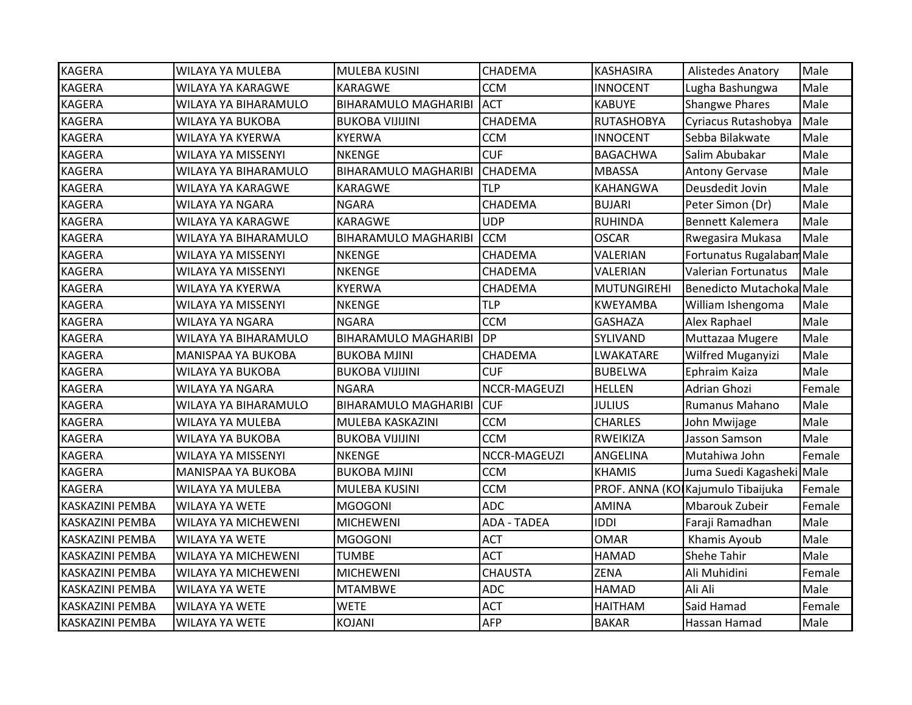| <b>KAGERA</b>          | WILAYA YA MULEBA           | MULEBA KUSINI               | CHADEMA            | <b>KASHASIRA</b>   | <b>Alistedes Anatory</b>          | Male   |
|------------------------|----------------------------|-----------------------------|--------------------|--------------------|-----------------------------------|--------|
| <b>KAGERA</b>          | WILAYA YA KARAGWE          | <b>KARAGWE</b>              | <b>CCM</b>         | <b>INNOCENT</b>    | Lugha Bashungwa                   | Male   |
| <b>KAGERA</b>          | WILAYA YA BIHARAMULO       | <b>BIHARAMULO MAGHARIBI</b> | <b>ACT</b>         | <b>KABUYE</b>      | <b>Shangwe Phares</b>             | Male   |
| <b>KAGERA</b>          | WILAYA YA BUKOBA           | <b>BUKOBA VIJIJINI</b>      | CHADEMA            | <b>RUTASHOBYA</b>  | Cyriacus Rutashobya               | Male   |
| <b>KAGERA</b>          | WILAYA YA KYERWA           | <b>KYERWA</b>               | <b>CCM</b>         | <b>INNOCENT</b>    | Sebba Bilakwate                   | Male   |
| <b>KAGERA</b>          | WILAYA YA MISSENYI         | NKENGE                      | <b>CUF</b>         | <b>BAGACHWA</b>    | Salim Abubakar                    | Male   |
| <b>KAGERA</b>          | WILAYA YA BIHARAMULO       | <b>BIHARAMULO MAGHARIBI</b> | <b>CHADEMA</b>     | <b>MBASSA</b>      | <b>Antony Gervase</b>             | Male   |
| <b>KAGERA</b>          | WILAYA YA KARAGWE          | <b>KARAGWE</b>              | <b>TLP</b>         | <b>KAHANGWA</b>    | Deusdedit Jovin                   | Male   |
| <b>KAGERA</b>          | WILAYA YA NGARA            | <b>NGARA</b>                | CHADEMA            | <b>BUJARI</b>      | Peter Simon (Dr)                  | Male   |
| <b>KAGERA</b>          | <b>WILAYA YA KARAGWE</b>   | <b>KARAGWE</b>              | <b>UDP</b>         | <b>RUHINDA</b>     | <b>Bennett Kalemera</b>           | Male   |
| <b>KAGERA</b>          | WILAYA YA BIHARAMULO       | <b>BIHARAMULO MAGHARIBI</b> | <b>CCM</b>         | <b>OSCAR</b>       | Rwegasira Mukasa                  | Male   |
| <b>KAGERA</b>          | WILAYA YA MISSENYI         | <b>NKENGE</b>               | CHADEMA            | VALERIAN           | Fortunatus Rugalabam Male         |        |
| <b>KAGERA</b>          | WILAYA YA MISSENYI         | <b>NKENGE</b>               | CHADEMA            | VALERIAN           | <b>Valerian Fortunatus</b>        | Male   |
| <b>KAGERA</b>          | WILAYA YA KYERWA           | <b>KYERWA</b>               | CHADEMA            | <b>MUTUNGIREHI</b> | Benedicto Mutachoka Male          |        |
| <b>KAGERA</b>          | WILAYA YA MISSENYI         | <b>NKENGE</b>               | TLP                | KWEYAMBA           | William Ishengoma                 | Male   |
| <b>KAGERA</b>          | WILAYA YA NGARA            | <b>NGARA</b>                | <b>CCM</b>         | <b>GASHAZA</b>     | Alex Raphael                      | Male   |
| <b>KAGERA</b>          | WILAYA YA BIHARAMULO       | <b>BIHARAMULO MAGHARIBI</b> | <b>DP</b>          | SYLIVAND           | Muttazaa Mugere                   | Male   |
| <b>KAGERA</b>          | <b>MANISPAA YA BUKOBA</b>  | <b>BUKOBA MJINI</b>         | CHADEMA            | LWAKATARE          | Wilfred Muganyizi                 | Male   |
| <b>KAGERA</b>          | <b>WILAYA YA BUKOBA</b>    | <b>BUKOBA VIJIJINI</b>      | <b>CUF</b>         | <b>BUBELWA</b>     | Ephraim Kaiza                     | Male   |
| <b>KAGERA</b>          | WILAYA YA NGARA            | <b>NGARA</b>                | NCCR-MAGEUZI       | <b>HELLEN</b>      | <b>Adrian Ghozi</b>               | Female |
| <b>KAGERA</b>          | WILAYA YA BIHARAMULO       | <b>BIHARAMULO MAGHARIBI</b> | <b>CUF</b>         | <b>JULIUS</b>      | Rumanus Mahano                    | Male   |
| <b>KAGERA</b>          | WILAYA YA MULEBA           | MULEBA KASKAZINI            | <b>CCM</b>         | <b>CHARLES</b>     | John Mwijage                      | Male   |
| <b>KAGERA</b>          | <b>WILAYA YA BUKOBA</b>    | <b>BUKOBA VIJIJINI</b>      | <b>CCM</b>         | <b>RWEIKIZA</b>    | Jasson Samson                     | Male   |
| <b>KAGERA</b>          | WILAYA YA MISSENYI         | <b>NKENGE</b>               | NCCR-MAGEUZI       | ANGELINA           | Mutahiwa John                     | Female |
| <b>KAGERA</b>          | MANISPAA YA BUKOBA         | <b>BUKOBA MJINI</b>         | <b>CCM</b>         | <b>KHAMIS</b>      | Juma Suedi Kagasheki Male         |        |
| <b>KAGERA</b>          | <b>WILAYA YA MULEBA</b>    | MULEBA KUSINI               | <b>CCM</b>         |                    | PROF. ANNA (KO Kajumulo Tibaijuka | Female |
| KASKAZINI PEMBA        | <b>WILAYA YA WETE</b>      | <b>MGOGONI</b>              | <b>ADC</b>         | <b>AMINA</b>       | <b>Mbarouk Zubeir</b>             | Female |
| <b>KASKAZINI PEMBA</b> | <b>WILAYA YA MICHEWENI</b> | <b>MICHEWENI</b>            | <b>ADA - TADEA</b> | <b>IDDI</b>        | Faraji Ramadhan                   | Male   |
| <b>KASKAZINI PEMBA</b> | <b>WILAYA YA WETE</b>      | <b>MGOGONI</b>              | <b>ACT</b>         | <b>OMAR</b>        | Khamis Ayoub                      | Male   |
| <b>KASKAZINI PEMBA</b> | <b>WILAYA YA MICHEWENI</b> | <b>TUMBE</b>                | <b>ACT</b>         | <b>HAMAD</b>       | <b>Shehe Tahir</b>                | Male   |
| <b>KASKAZINI PEMBA</b> | WILAYA YA MICHEWENI        | <b>MICHEWENI</b>            | <b>CHAUSTA</b>     | <b>ZENA</b>        | Ali Muhidini                      | Female |
| <b>KASKAZINI PEMBA</b> | <b>WILAYA YA WETE</b>      | <b>MTAMBWE</b>              | <b>ADC</b>         | <b>HAMAD</b>       | Ali Ali                           | Male   |
| <b>KASKAZINI PEMBA</b> | <b>WILAYA YA WETE</b>      | <b>WETE</b>                 | <b>ACT</b>         | <b>HAITHAM</b>     | Said Hamad                        | Female |
| <b>KASKAZINI PEMBA</b> | <b>WILAYA YA WETE</b>      | <b>KOJANI</b>               | <b>AFP</b>         | <b>BAKAR</b>       | Hassan Hamad                      | Male   |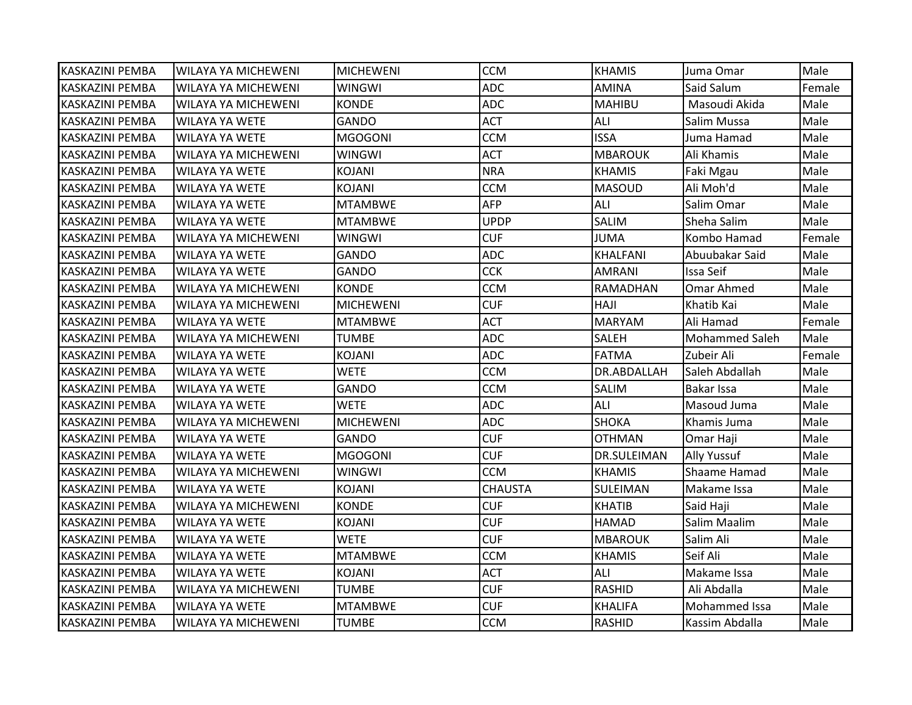| KASKAZINI PEMBA        | IWILAYA YA MICHEWENI       | <b>MICHEWENI</b> | <b>CCM</b>     | <b>KHAMIS</b>      | Juma Omar          | Male   |
|------------------------|----------------------------|------------------|----------------|--------------------|--------------------|--------|
| <b>KASKAZINI PEMBA</b> | WILAYA YA MICHEWENI        | <b>WINGWI</b>    | <b>ADC</b>     | <b>AMINA</b>       | Said Salum         | Female |
| KASKAZINI PEMBA        | <b>WILAYA YA MICHEWENI</b> | <b>KONDE</b>     | <b>ADC</b>     | <b>MAHIBU</b>      | Masoudi Akida      | Male   |
| KASKAZINI PEMBA        | WILAYA YA WETE             | <b>GANDO</b>     | <b>ACT</b>     | ALI                | Salim Mussa        | Male   |
| <b>KASKAZINI PEMBA</b> | WILAYA YA WETE             | <b>MGOGONI</b>   | <b>CCM</b>     | <b>ISSA</b>        | Juma Hamad         | Male   |
| <b>KASKAZINI PEMBA</b> | WILAYA YA MICHEWENI        | <b>WINGWI</b>    | <b>ACT</b>     | <b>MBAROUK</b>     | Ali Khamis         | Male   |
| <b>KASKAZINI PEMBA</b> | <b>WILAYA YA WETE</b>      | <b>KOJANI</b>    | <b>NRA</b>     | <b>KHAMIS</b>      | Faki Mgau          | Male   |
| <b>KASKAZINI PEMBA</b> | <b>WILAYA YA WETE</b>      | KOJANI           | <b>CCM</b>     | <b>MASOUD</b>      | Ali Moh'd          | Male   |
| <b>KASKAZINI PEMBA</b> | <b>WILAYA YA WETE</b>      | <b>MTAMBWE</b>   | <b>AFP</b>     | ALI                | Salim Omar         | Male   |
| <b>KASKAZINI PEMBA</b> | WILAYA YA WETE             | <b>MTAMBWE</b>   | <b>UPDP</b>    | <b>SALIM</b>       | Sheha Salim        | Male   |
| <b>KASKAZINI PEMBA</b> | WILAYA YA MICHEWENI        | <b>WINGWI</b>    | <b>CUF</b>     | <b>JUMA</b>        | Kombo Hamad        | Female |
| <b>KASKAZINI PEMBA</b> | WILAYA YA WETE             | GANDO            | <b>ADC</b>     | <b>KHALFANI</b>    | Abuubakar Said     | Male   |
| <b>KASKAZINI PEMBA</b> | <b>WILAYA YA WETE</b>      | <b>GANDO</b>     | <b>CCK</b>     | <b>AMRANI</b>      | Issa Seif          | Male   |
| <b>KASKAZINI PEMBA</b> | WILAYA YA MICHEWENI        | <b>KONDE</b>     | <b>CCM</b>     | RAMADHAN           | <b>Omar Ahmed</b>  | Male   |
| KASKAZINI PEMBA        | WILAYA YA MICHEWENI        | <b>MICHEWENI</b> | <b>CUF</b>     | <b>HAJI</b>        | Khatib Kai         | Male   |
| <b>KASKAZINI PEMBA</b> | <b>WILAYA YA WETE</b>      | <b>MTAMBWE</b>   | <b>ACT</b>     | <b>MARYAM</b>      | Ali Hamad          | Female |
| KASKAZINI PEMBA        | WILAYA YA MICHEWENI        | <b>TUMBE</b>     | <b>ADC</b>     | <b>SALEH</b>       | Mohammed Saleh     | Male   |
| KASKAZINI PEMBA        | <b>WILAYA YA WETE</b>      | <b>KOJANI</b>    | <b>ADC</b>     | <b>FATMA</b>       | Zubeir Ali         | Female |
| <b>KASKAZINI PEMBA</b> | WILAYA YA WETE             | <b>WETE</b>      | <b>CCM</b>     | DR.ABDALLAH        | Saleh Abdallah     | Male   |
| KASKAZINI PEMBA        | <b>WILAYA YA WETE</b>      | <b>GANDO</b>     | <b>CCM</b>     | <b>SALIM</b>       | <b>Bakar Issa</b>  | Male   |
| <b>KASKAZINI PEMBA</b> | <b>WILAYA YA WETE</b>      | <b>WETE</b>      | <b>ADC</b>     | ALI                | Masoud Juma        | Male   |
| KASKAZINI PEMBA        | WILAYA YA MICHEWENI        | <b>MICHEWENI</b> | <b>ADC</b>     | <b>SHOKA</b>       | Khamis Juma        | Male   |
| <b>KASKAZINI PEMBA</b> | <b>WILAYA YA WETE</b>      | <b>GANDO</b>     | <b>CUF</b>     | <b>OTHMAN</b>      | Omar Haji          | Male   |
| <b>KASKAZINI PEMBA</b> | <b>WILAYA YA WETE</b>      | <b>MGOGONI</b>   | <b>CUF</b>     | <b>DR.SULEIMAN</b> | <b>Ally Yussuf</b> | Male   |
| <b>KASKAZINI PEMBA</b> | WILAYA YA MICHEWENI        | <b>WINGWI</b>    | <b>CCM</b>     | <b>KHAMIS</b>      | Shaame Hamad       | Male   |
| <b>KASKAZINI PEMBA</b> | <b>WILAYA YA WETE</b>      | <b>KOJANI</b>    | <b>CHAUSTA</b> | SULEIMAN           | Makame Issa        | Male   |
| <b>KASKAZINI PEMBA</b> | WILAYA YA MICHEWENI        | <b>KONDE</b>     | <b>CUF</b>     | <b>KHATIB</b>      | Said Haji          | Male   |
| <b>KASKAZINI PEMBA</b> | <b>WILAYA YA WETE</b>      | <b>KOJANI</b>    | <b>CUF</b>     | <b>HAMAD</b>       | Salim Maalim       | Male   |
| KASKAZINI PEMBA        | <b>WILAYA YA WETE</b>      | <b>WETE</b>      | <b>CUF</b>     | <b>MBAROUK</b>     | Salim Ali          | Male   |
| <b>KASKAZINI PEMBA</b> | WILAYA YA WETE             | <b>MTAMBWE</b>   | <b>CCM</b>     | <b>KHAMIS</b>      | Seif Ali           | Male   |
| <b>KASKAZINI PEMBA</b> | <b>WILAYA YA WETE</b>      | <b>KOJANI</b>    | <b>ACT</b>     | ALI                | Makame Issa        | Male   |
| IKASKAZINI PEMBA       | WILAYA YA MICHEWENI        | <b>TUMBE</b>     | <b>CUF</b>     | <b>RASHID</b>      | Ali Abdalla        | Male   |
| <b>KASKAZINI PEMBA</b> | <b>WILAYA YA WETE</b>      | <b>MTAMBWE</b>   | <b>CUF</b>     | <b>KHALIFA</b>     | Mohammed Issa      | Male   |
| <b>KASKAZINI PEMBA</b> | <b>WILAYA YA MICHEWENI</b> | <b>TUMBE</b>     | <b>CCM</b>     | <b>RASHID</b>      | Kassim Abdalla     | Male   |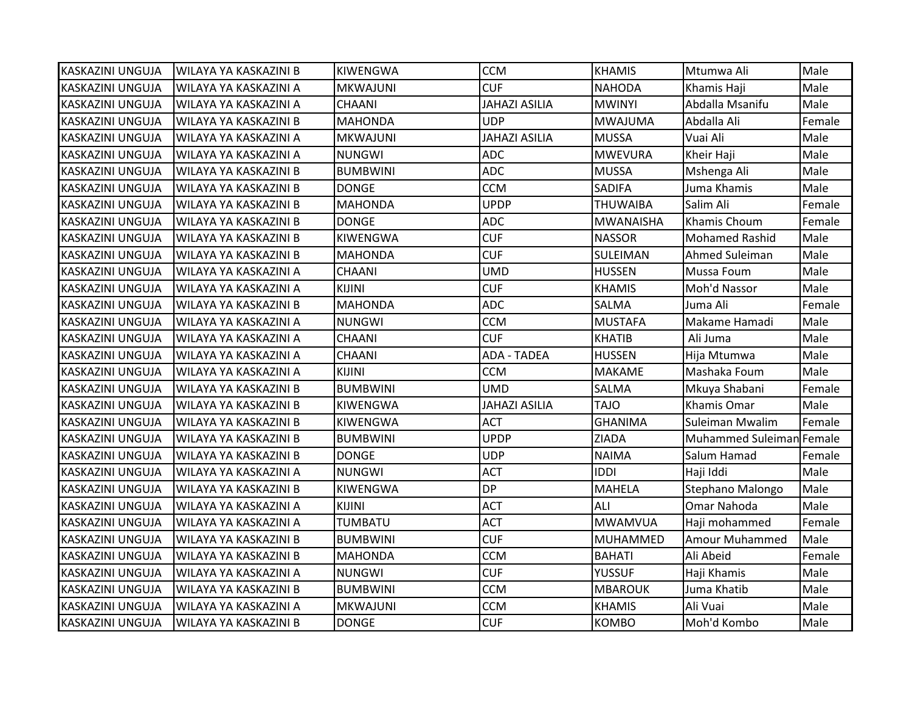| KASKAZINI UNGUJA        | <b>WILAYA YA KASKAZINI B</b> | KIWENGWA        | <b>CCM</b>           | <b>KHAMIS</b>    | Mtumwa Ali               | Male   |
|-------------------------|------------------------------|-----------------|----------------------|------------------|--------------------------|--------|
| <b>KASKAZINI UNGUJA</b> | WILAYA YA KASKAZINI A        | <b>MKWAJUNI</b> | <b>CUF</b>           | <b>NAHODA</b>    | Khamis Haji              | Male   |
| <b>KASKAZINI UNGUJA</b> | WILAYA YA KASKAZINI A        | <b>CHAANI</b>   | <b>JAHAZI ASILIA</b> | <b>MWINYI</b>    | Abdalla Msanifu          | Male   |
| <b>KASKAZINI UNGUJA</b> | WILAYA YA KASKAZINI B        | <b>MAHONDA</b>  | <b>UDP</b>           | <b>MWAJUMA</b>   | Abdalla Ali              | Female |
| KASKAZINI UNGUJA        | WILAYA YA KASKAZINI A        | <b>MKWAJUNI</b> | <b>JAHAZI ASILIA</b> | <b>MUSSA</b>     | Vuai Ali                 | Male   |
| KASKAZINI UNGUJA        | WILAYA YA KASKAZINI A        | <b>NUNGWI</b>   | <b>ADC</b>           | <b>MWEVURA</b>   | Kheir Haji               | Male   |
| <b>KASKAZINI UNGUJA</b> | WILAYA YA KASKAZINI B        | <b>BUMBWINI</b> | <b>ADC</b>           | <b>MUSSA</b>     | Mshenga Ali              | Male   |
| <b>KASKAZINI UNGUJA</b> | WILAYA YA KASKAZINI B        | <b>DONGE</b>    | <b>CCM</b>           | <b>SADIFA</b>    | Juma Khamis              | Male   |
| <b>KASKAZINI UNGUJA</b> | WILAYA YA KASKAZINI B        | <b>MAHONDA</b>  | <b>UPDP</b>          | <b>THUWAIBA</b>  | Salim Ali                | Female |
| KASKAZINI UNGUJA        | WILAYA YA KASKAZINI B        | <b>DONGE</b>    | <b>ADC</b>           | <b>MWANAISHA</b> | Khamis Choum             | Female |
| <b>KASKAZINI UNGUJA</b> | WILAYA YA KASKAZINI B        | KIWENGWA        | <b>CUF</b>           | <b>NASSOR</b>    | <b>Mohamed Rashid</b>    | Male   |
| <b>KASKAZINI UNGUJA</b> | WILAYA YA KASKAZINI B        | <b>MAHONDA</b>  | <b>CUF</b>           | <b>SULEIMAN</b>  | Ahmed Suleiman           | Male   |
| <b>KASKAZINI UNGUJA</b> | WILAYA YA KASKAZINI A        | <b>CHAANI</b>   | <b>UMD</b>           | <b>HUSSEN</b>    | Mussa Foum               | Male   |
| <b>KASKAZINI UNGUJA</b> | WILAYA YA KASKAZINI A        | <b>KIJINI</b>   | <b>CUF</b>           | <b>KHAMIS</b>    | Moh'd Nassor             | Male   |
| <b>KASKAZINI UNGUJA</b> | WILAYA YA KASKAZINI B        | <b>MAHONDA</b>  | <b>ADC</b>           | <b>SALMA</b>     | Juma Ali                 | Female |
| <b>KASKAZINI UNGUJA</b> | WILAYA YA KASKAZINI A        | <b>NUNGWI</b>   | <b>CCM</b>           | <b>MUSTAFA</b>   | Makame Hamadi            | Male   |
| <b>KASKAZINI UNGUJA</b> | WILAYA YA KASKAZINI A        | <b>CHAANI</b>   | <b>CUF</b>           | <b>KHATIB</b>    | Ali Juma                 | Male   |
| <b>KASKAZINI UNGUJA</b> | WILAYA YA KASKAZINI A        | <b>CHAANI</b>   | <b>ADA - TADEA</b>   | <b>HUSSEN</b>    | Hija Mtumwa              | Male   |
| IKASKAZINI UNGUJA       | WILAYA YA KASKAZINI A        | <b>KIJINI</b>   | <b>CCM</b>           | <b>MAKAME</b>    | Mashaka Foum             | Male   |
| KASKAZINI UNGUJA        | WILAYA YA KASKAZINI B        | <b>BUMBWINI</b> | <b>UMD</b>           | <b>SALMA</b>     | Mkuya Shabani            | Female |
| KASKAZINI UNGUJA        | WILAYA YA KASKAZINI B        | <b>KIWENGWA</b> | <b>JAHAZI ASILIA</b> | <b>TAJO</b>      | Khamis Omar              | Male   |
| <b>KASKAZINI UNGUJA</b> | WILAYA YA KASKAZINI B        | <b>KIWENGWA</b> | <b>ACT</b>           | <b>GHANIMA</b>   | Suleiman Mwalim          | Female |
| <b>KASKAZINI UNGUJA</b> | WILAYA YA KASKAZINI B        | <b>BUMBWINI</b> | <b>UPDP</b>          | <b>ZIADA</b>     | Muhammed Suleiman Female |        |
| <b>KASKAZINI UNGUJA</b> | WILAYA YA KASKAZINI B        | <b>DONGE</b>    | <b>UDP</b>           | <b>NAIMA</b>     | Salum Hamad              | Female |
| <b>KASKAZINI UNGUJA</b> | WILAYA YA KASKAZINI A        | <b>NUNGWI</b>   | <b>ACT</b>           | <b>IDDI</b>      | Haji Iddi                | Male   |
| KASKAZINI UNGUJA        | WILAYA YA KASKAZINI B        | <b>KIWENGWA</b> | <b>DP</b>            | <b>MAHELA</b>    | Stephano Malongo         | Male   |
| KASKAZINI UNGUJA        | WILAYA YA KASKAZINI A        | KIJINI          | <b>ACT</b>           | ALI              | Omar Nahoda              | Male   |
| <b>KASKAZINI UNGUJA</b> | WILAYA YA KASKAZINI A        | <b>TUMBATU</b>  | <b>ACT</b>           | <b>MWAMVUA</b>   | Haji mohammed            | Female |
| <b>KASKAZINI UNGUJA</b> | WILAYA YA KASKAZINI B        | <b>BUMBWINI</b> | <b>CUF</b>           | <b>MUHAMMED</b>  | <b>Amour Muhammed</b>    | Male   |
| <b>KASKAZINI UNGUJA</b> | WILAYA YA KASKAZINI B        | <b>MAHONDA</b>  | <b>CCM</b>           | <b>BAHATI</b>    | Ali Abeid                | Female |
| <b>KASKAZINI UNGUJA</b> | WILAYA YA KASKAZINI A        | <b>NUNGWI</b>   | <b>CUF</b>           | <b>YUSSUF</b>    | Haji Khamis              | Male   |
| <b>KASKAZINI UNGUJA</b> | WILAYA YA KASKAZINI B        | <b>BUMBWINI</b> | <b>CCM</b>           | <b>MBAROUK</b>   | Juma Khatib              | Male   |
| <b>KASKAZINI UNGUJA</b> | WILAYA YA KASKAZINI A        | <b>MKWAJUNI</b> | <b>CCM</b>           | <b>KHAMIS</b>    | Ali Vuai                 | Male   |
| KASKAZINI UNGUJA        | WILAYA YA KASKAZINI B        | <b>DONGE</b>    | <b>CUF</b>           | <b>KOMBO</b>     | Moh'd Kombo              | Male   |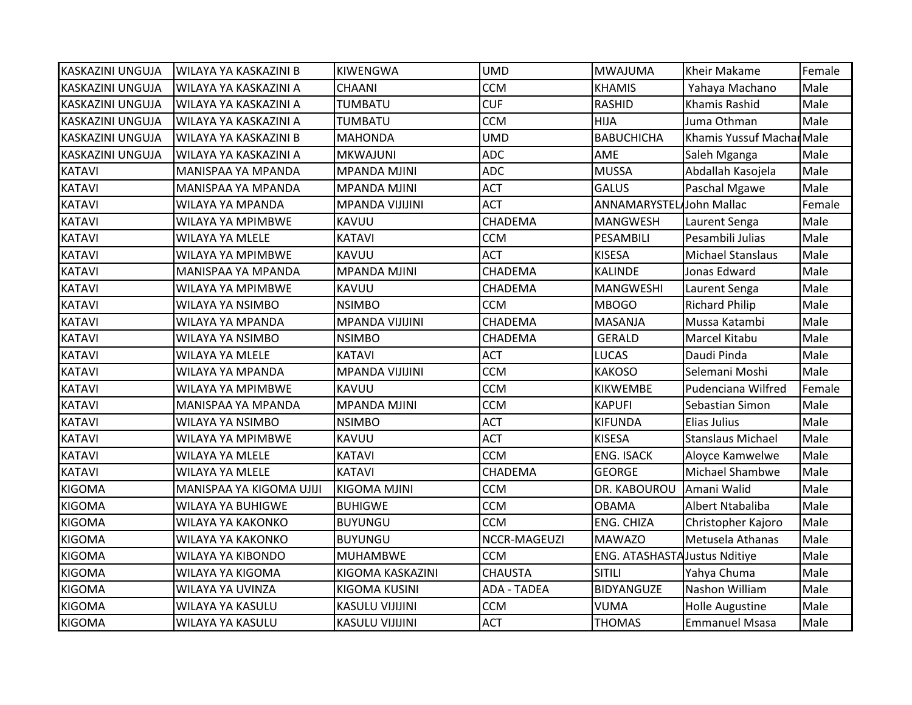| KASKAZINI UNGUJA        | WILAYA YA KASKAZINI B    | <b>KIWENGWA</b>        | <b>UMD</b>         | <b>MWAJUMA</b>                       | Kheir Makame              | Female |
|-------------------------|--------------------------|------------------------|--------------------|--------------------------------------|---------------------------|--------|
| <b>KASKAZINI UNGUJA</b> | WILAYA YA KASKAZINI A    | <b>CHAANI</b>          | <b>CCM</b>         | <b>KHAMIS</b>                        | Yahaya Machano            | Male   |
| KASKAZINI UNGUJA        | WILAYA YA KASKAZINI A    | TUMBATU                | <b>CUF</b>         | <b>RASHID</b>                        | <b>Khamis Rashid</b>      | Male   |
| KASKAZINI UNGUJA        | WILAYA YA KASKAZINI A    | TUMBATU                | <b>CCM</b>         | HIJA                                 | Juma Othman               | Male   |
| <b>KASKAZINI UNGUJA</b> | WILAYA YA KASKAZINI B    | <b>MAHONDA</b>         | <b>UMD</b>         | <b>BABUCHICHA</b>                    | Khamis Yussuf Machar Male |        |
| KASKAZINI UNGUJA        | WILAYA YA KASKAZINI A    | MKWAJUNI               | <b>ADC</b>         | AME                                  | Saleh Mganga              | Male   |
| <b>KATAVI</b>           | MANISPAA YA MPANDA       | <b>MPANDA MJINI</b>    | <b>ADC</b>         | <b>MUSSA</b>                         | Abdallah Kasojela         | Male   |
| <b>KATAVI</b>           | MANISPAA YA MPANDA       | <b>MPANDA MJINI</b>    | <b>ACT</b>         | <b>GALUS</b>                         | Paschal Mgawe             | Male   |
| <b>KATAVI</b>           | <b>WILAYA YA MPANDA</b>  | <b>MPANDA VIJIJINI</b> | <b>ACT</b>         | ANNAMARYSTEL John Mallac             |                           | Female |
| <b>KATAVI</b>           | WILAYA YA MPIMBWE        | KAVUU                  | CHADEMA            | <b>MANGWESH</b>                      | Laurent Senga             | Male   |
| <b>KATAVI</b>           | WILAYA YA MLELE          | KATAVI                 | <b>CCM</b>         | PESAMBILI                            | Pesambili Julias          | Male   |
| <b>KATAVI</b>           | WILAYA YA MPIMBWE        | KAVUU                  | <b>ACT</b>         | <b>KISESA</b>                        | <b>Michael Stanslaus</b>  | Male   |
| <b>KATAVI</b>           | MANISPAA YA MPANDA       | <b>MPANDA MJINI</b>    | CHADEMA            | <b>KALINDE</b>                       | Jonas Edward              | Male   |
| <b>KATAVI</b>           | WILAYA YA MPIMBWE        | KAVUU                  | CHADEMA            | <b>MANGWESHI</b>                     | Laurent Senga             | Male   |
| <b>KATAVI</b>           | WILAYA YA NSIMBO         | <b>NSIMBO</b>          | <b>CCM</b>         | <b>MBOGO</b>                         | <b>Richard Philip</b>     | Male   |
| <b>KATAVI</b>           | WILAYA YA MPANDA         | <b>MPANDA VIJIJINI</b> | CHADEMA            | <b>MASANJA</b>                       | Mussa Katambi             | Male   |
| <b>KATAVI</b>           | WILAYA YA NSIMBO         | <b>NSIMBO</b>          | CHADEMA            | <b>GERALD</b>                        | Marcel Kitabu             | Male   |
| <b>KATAVI</b>           | WILAYA YA MLELE          | <b>KATAVI</b>          | <b>ACT</b>         | <b>LUCAS</b>                         | Daudi Pinda               | Male   |
| <b>KATAVI</b>           | WILAYA YA MPANDA         | <b>MPANDA VIJIJINI</b> | <b>CCM</b>         | <b>KAKOSO</b>                        | Selemani Moshi            | Male   |
| <b>KATAVI</b>           | WILAYA YA MPIMBWE        | KAVUU                  | <b>CCM</b>         | <b>KIKWEMBE</b>                      | Pudenciana Wilfred        | Female |
| <b>KATAVI</b>           | MANISPAA YA MPANDA       | <b>MPANDA MJINI</b>    | <b>CCM</b>         | <b>KAPUFI</b>                        | Sebastian Simon           | Male   |
| <b>KATAVI</b>           | WILAYA YA NSIMBO         | <b>NSIMBO</b>          | <b>ACT</b>         | <b>KIFUNDA</b>                       | Elias Julius              | Male   |
| <b>KATAVI</b>           | WILAYA YA MPIMBWE        | KAVUU                  | <b>ACT</b>         | <b>KISESA</b>                        | Stanslaus Michael         | Male   |
| <b>KATAVI</b>           | WILAYA YA MLELE          | <b>KATAVI</b>          | <b>CCM</b>         | <b>ENG. ISACK</b>                    | Aloyce Kamwelwe           | Male   |
| <b>KATAVI</b>           | <b>WILAYA YA MLELE</b>   | <b>KATAVI</b>          | CHADEMA            | <b>GEORGE</b>                        | Michael Shambwe           | Male   |
| <b>KIGOMA</b>           | MANISPAA YA KIGOMA UJIJI | <b>KIGOMA MJINI</b>    | <b>CCM</b>         | DR. KABOUROU                         | Amani Walid               | Male   |
| <b>KIGOMA</b>           | WILAYA YA BUHIGWE        | <b>BUHIGWE</b>         | <b>CCM</b>         | OBAMA                                | Albert Ntabaliba          | Male   |
| <b>KIGOMA</b>           | WILAYA YA KAKONKO        | <b>BUYUNGU</b>         | <b>CCM</b>         | ENG. CHIZA                           | Christopher Kajoro        | Male   |
| <b>KIGOMA</b>           | WILAYA YA KAKONKO        | <b>BUYUNGU</b>         | NCCR-MAGEUZI       | <b>MAWAZO</b>                        | Metusela Athanas          | Male   |
| <b>KIGOMA</b>           | <b>WILAYA YA KIBONDO</b> | <b>MUHAMBWE</b>        | <b>CCM</b>         | <b>ENG. ATASHASTA Justus Nditiye</b> |                           | Male   |
| <b>KIGOMA</b>           | WILAYA YA KIGOMA         | KIGOMA KASKAZINI       | <b>CHAUSTA</b>     | <b>SITILI</b>                        | Yahya Chuma               | Male   |
| <b>KIGOMA</b>           | WILAYA YA UVINZA         | KIGOMA KUSINI          | <b>ADA - TADEA</b> | BIDYANGUZE                           | Nashon William            | Male   |
| <b>KIGOMA</b>           | WILAYA YA KASULU         | KASULU VIJIJINI        | <b>CCM</b>         | VUMA                                 | <b>Holle Augustine</b>    | Male   |
| <b>KIGOMA</b>           | <b>WILAYA YA KASULU</b>  | <b>KASULU VIJIJINI</b> | <b>ACT</b>         | <b>THOMAS</b>                        | <b>Emmanuel Msasa</b>     | Male   |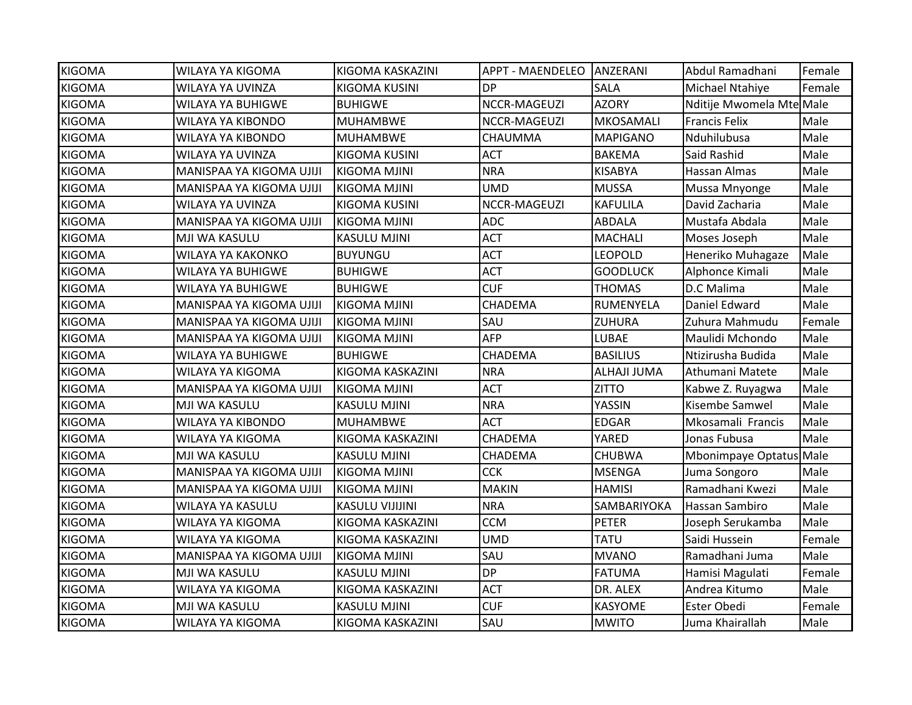| <b>KIGOMA</b> | WILAYA YA KIGOMA         | KIGOMA KASKAZINI       | APPT - MAENDELEO   ANZERANI |                 | Abdul Ramadhani          | Female |
|---------------|--------------------------|------------------------|-----------------------------|-----------------|--------------------------|--------|
| <b>KIGOMA</b> | <b>WILAYA YA UVINZA</b>  | <b>KIGOMA KUSINI</b>   | <b>DP</b>                   | <b>SALA</b>     | Michael Ntahiye          | Female |
| <b>KIGOMA</b> | <b>WILAYA YA BUHIGWE</b> | <b>BUHIGWE</b>         | NCCR-MAGEUZI                | <b>AZORY</b>    | Nditije Mwomela Mte Male |        |
| <b>KIGOMA</b> | WILAYA YA KIBONDO        | <b>MUHAMBWE</b>        | NCCR-MAGEUZI                | MKOSAMALI       | <b>Francis Felix</b>     | Male   |
| <b>KIGOMA</b> | <b>WILAYA YA KIBONDO</b> | <b>MUHAMBWE</b>        | CHAUMMA                     | <b>MAPIGANO</b> | Nduhilubusa              | Male   |
| <b>KIGOMA</b> | WILAYA YA UVINZA         | <b>KIGOMA KUSINI</b>   | <b>ACT</b>                  | <b>BAKEMA</b>   | Said Rashid              | Male   |
| <b>KIGOMA</b> | MANISPAA YA KIGOMA UJIJI | KIGOMA MJINI           | <b>NRA</b>                  | <b>KISABYA</b>  | Hassan Almas             | Male   |
| <b>KIGOMA</b> | MANISPAA YA KIGOMA UJIJI | KIGOMA MJINI           | <b>UMD</b>                  | <b>MUSSA</b>    | Mussa Mnyonge            | Male   |
| <b>KIGOMA</b> | WILAYA YA UVINZA         | <b>KIGOMA KUSINI</b>   | NCCR-MAGEUZI                | <b>KAFULILA</b> | David Zacharia           | Male   |
| <b>KIGOMA</b> | MANISPAA YA KIGOMA UJIJI | <b>KIGOMA MJINI</b>    | <b>ADC</b>                  | <b>ABDALA</b>   | Mustafa Abdala           | Male   |
| <b>KIGOMA</b> | MJI WA KASULU            | <b>KASULU MJINI</b>    | <b>ACT</b>                  | <b>MACHALI</b>  | Moses Joseph             | Male   |
| <b>KIGOMA</b> | WILAYA YA KAKONKO        | <b>BUYUNGU</b>         | <b>ACT</b>                  | <b>LEOPOLD</b>  | Heneriko Muhagaze        | Male   |
| <b>KIGOMA</b> | <b>WILAYA YA BUHIGWE</b> | <b>BUHIGWE</b>         | <b>ACT</b>                  | <b>GOODLUCK</b> | Alphonce Kimali          | Male   |
| <b>KIGOMA</b> | <b>WILAYA YA BUHIGWE</b> | <b>BUHIGWE</b>         | <b>CUF</b>                  | <b>THOMAS</b>   | D.C Malima               | Male   |
| <b>KIGOMA</b> | MANISPAA YA KIGOMA UJIJI | <b>KIGOMA MJINI</b>    | CHADEMA                     | RUMENYELA       | Daniel Edward            | Male   |
| <b>KIGOMA</b> | MANISPAA YA KIGOMA UJIJI | <b>KIGOMA MJINI</b>    | SAU                         | <b>ZUHURA</b>   | Zuhura Mahmudu           | Female |
| <b>KIGOMA</b> | MANISPAA YA KIGOMA UJIJI | KIGOMA MJINI           | AFP                         | LUBAE           | Maulidi Mchondo          | Male   |
| <b>KIGOMA</b> | <b>WILAYA YA BUHIGWE</b> | <b>BUHIGWE</b>         | CHADEMA                     | <b>BASILIUS</b> | Ntizirusha Budida        | Male   |
| <b>KIGOMA</b> | WILAYA YA KIGOMA         | KIGOMA KASKAZINI       | <b>NRA</b>                  | ALHAJI JUMA     | Athumani Matete          | Male   |
| <b>KIGOMA</b> | MANISPAA YA KIGOMA UJIJI | <b>KIGOMA MJINI</b>    | <b>ACT</b>                  | <b>ZITTO</b>    | Kabwe Z. Ruyagwa         | Male   |
| <b>KIGOMA</b> | MJI WA KASULU            | <b>KASULU MJINI</b>    | <b>NRA</b>                  | YASSIN          | Kisembe Samwel           | Male   |
| <b>KIGOMA</b> | <b>WILAYA YA KIBONDO</b> | <b>MUHAMBWE</b>        | <b>ACT</b>                  | <b>EDGAR</b>    | Mkosamali Francis        | Male   |
| <b>KIGOMA</b> | WILAYA YA KIGOMA         | KIGOMA KASKAZINI       | CHADEMA                     | YARED           | Jonas Fubusa             | Male   |
| <b>KIGOMA</b> | MJI WA KASULU            | <b>KASULU MJINI</b>    | CHADEMA                     | <b>CHUBWA</b>   | Mbonimpaye Optatus Male  |        |
| <b>KIGOMA</b> | MANISPAA YA KIGOMA UJIJI | <b>KIGOMA MJINI</b>    | <b>CCK</b>                  | <b>MSENGA</b>   | Juma Songoro             | Male   |
| <b>KIGOMA</b> | MANISPAA YA KIGOMA UJIJI | <b>KIGOMA MJINI</b>    | <b>MAKIN</b>                | <b>HAMISI</b>   | Ramadhani Kwezi          | Male   |
| <b>KIGOMA</b> | WILAYA YA KASULU         | <b>KASULU VIJIJINI</b> | <b>NRA</b>                  | SAMBARIYOKA     | Hassan Sambiro           | Male   |
| <b>KIGOMA</b> | WILAYA YA KIGOMA         | KIGOMA KASKAZINI       | <b>CCM</b>                  | <b>PETER</b>    | Joseph Serukamba         | Male   |
| <b>KIGOMA</b> | <b>WILAYA YA KIGOMA</b>  | KIGOMA KASKAZINI       | <b>UMD</b>                  | <b>TATU</b>     | Saidi Hussein            | Female |
| <b>KIGOMA</b> | MANISPAA YA KIGOMA UJIJI | <b>KIGOMA MJINI</b>    | SAU                         | <b>MVANO</b>    | Ramadhani Juma           | Male   |
| <b>KIGOMA</b> | MJI WA KASULU            | <b>KASULU MJINI</b>    | <b>DP</b>                   | <b>FATUMA</b>   | Hamisi Magulati          | Female |
| <b>KIGOMA</b> | WILAYA YA KIGOMA         | KIGOMA KASKAZINI       | <b>ACT</b>                  | DR. ALEX        | Andrea Kitumo            | Male   |
| <b>KIGOMA</b> | MJI WA KASULU            | <b>KASULU MJINI</b>    | <b>CUF</b>                  | <b>KASYOME</b>  | <b>Ester Obedi</b>       | Female |
| <b>KIGOMA</b> | <b>WILAYA YA KIGOMA</b>  | KIGOMA KASKAZINI       | SAU                         | <b>MWITO</b>    | Juma Khairallah          | Male   |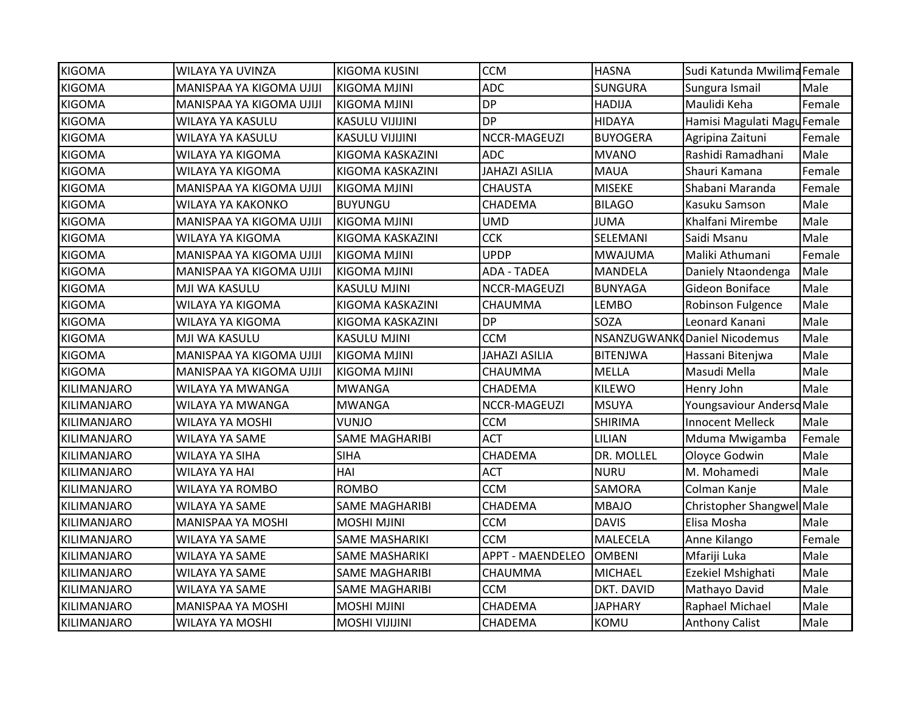|                          | <b>KIGOMA KUSINI</b>   |                                                 |                                       |                               |                                                             |
|--------------------------|------------------------|-------------------------------------------------|---------------------------------------|-------------------------------|-------------------------------------------------------------|
| MANISPAA YA KIGOMA UJIJI | <b>KIGOMA MJINI</b>    |                                                 | <b>SUNGURA</b>                        | Sungura Ismail                | Male                                                        |
| MANISPAA YA KIGOMA UJIJI | <b>KIGOMA MJINI</b>    |                                                 | <b>HADIJA</b>                         | Maulidi Keha                  | Female                                                      |
| WILAYA YA KASULU         | <b>KASULU VIJIJINI</b> | <b>DP</b>                                       | <b>HIDAYA</b>                         | Hamisi Magulati Magu Female   |                                                             |
| WILAYA YA KASULU         | <b>KASULU VIJIJINI</b> | NCCR-MAGEUZI                                    | <b>BUYOGERA</b>                       | Agripina Zaituni              | Female                                                      |
| WILAYA YA KIGOMA         | KIGOMA KASKAZINI       | <b>ADC</b>                                      | MVANO                                 | Rashidi Ramadhani             | Male                                                        |
| WILAYA YA KIGOMA         | KIGOMA KASKAZINI       | <b>JAHAZI ASILIA</b>                            | <b>MAUA</b>                           | Shauri Kamana                 | Female                                                      |
| MANISPAA YA KIGOMA UJIJI | <b>KIGOMA MJINI</b>    | <b>CHAUSTA</b>                                  | <b>MISEKE</b>                         | Shabani Maranda               | Female                                                      |
| <b>WILAYA YA KAKONKO</b> | <b>BUYUNGU</b>         | CHADEMA                                         | <b>BILAGO</b>                         | Kasuku Samson                 | Male                                                        |
| MANISPAA YA KIGOMA UJIJI | <b>KIGOMA MJINI</b>    | <b>UMD</b>                                      | <b>JUMA</b>                           | Khalfani Mirembe              | Male                                                        |
| WILAYA YA KIGOMA         | KIGOMA KASKAZINI       | <b>CCK</b>                                      | SELEMANI                              | Saidi Msanu                   | Male                                                        |
| MANISPAA YA KIGOMA UJIJI | <b>KIGOMA MJINI</b>    | <b>UPDP</b>                                     | MWAJUMA                               | Maliki Athumani               | Female                                                      |
| MANISPAA YA KIGOMA UJIJI | <b>KIGOMA MJINI</b>    | <b>ADA - TADEA</b>                              | MANDELA                               | Daniely Ntaondenga            | Male                                                        |
| MJI WA KASULU            | <b>KASULU MJINI</b>    | NCCR-MAGEUZI                                    | <b>BUNYAGA</b>                        | Gideon Boniface               | Male                                                        |
| WILAYA YA KIGOMA         | KIGOMA KASKAZINI       | CHAUMMA                                         | <b>LEMBO</b>                          | <b>Robinson Fulgence</b>      | Male                                                        |
| WILAYA YA KIGOMA         | KIGOMA KASKAZINI       | <b>DP</b>                                       | SOZA                                  | Leonard Kanani                | Male                                                        |
| MJI WA KASULU            | <b>KASULU MJINI</b>    | <b>CCM</b>                                      |                                       |                               | Male                                                        |
| MANISPAA YA KIGOMA UJIJI | <b>KIGOMA MJINI</b>    | <b>JAHAZI ASILIA</b>                            | <b>BITENJWA</b>                       | Hassani Bitenjwa              | Male                                                        |
| MANISPAA YA KIGOMA UJIJI | KIGOMA MJINI           | CHAUMMA                                         | <b>MELLA</b>                          | Masudi Mella                  | Male                                                        |
| WILAYA YA MWANGA         | <b>MWANGA</b>          | CHADEMA                                         | <b>KILEWO</b>                         | Henry John                    | Male                                                        |
| WILAYA YA MWANGA         | <b>MWANGA</b>          | NCCR-MAGEUZI                                    | <b>MSUYA</b>                          | Youngsaviour Andersd Male     |                                                             |
| WILAYA YA MOSHI          | VUNJO                  | <b>CCM</b>                                      | <b>SHIRIMA</b>                        | <b>Innocent Melleck</b>       | Male                                                        |
| WILAYA YA SAME           | <b>SAME MAGHARIBI</b>  | <b>ACT</b>                                      | <b>LILIAN</b>                         | Mduma Mwigamba                | Female                                                      |
| <b>WILAYA YA SIHA</b>    | <b>SIHA</b>            | CHADEMA                                         | DR. MOLLEL                            | Oloyce Godwin                 | Male                                                        |
| <b>WILAYA YA HAI</b>     | HAI                    | <b>ACT</b>                                      | <b>NURU</b>                           | M. Mohamedi                   | Male                                                        |
| <b>WILAYA YA ROMBO</b>   | <b>ROMBO</b>           | <b>CCM</b>                                      | SAMORA                                | Colman Kanje                  | Male                                                        |
| WILAYA YA SAME           | <b>SAME MAGHARIBI</b>  | CHADEMA                                         | MBAJO                                 | Christopher Shangwel Male     |                                                             |
| <b>MANISPAA YA MOSHI</b> | <b>MOSHI MJINI</b>     | <b>CCM</b>                                      | <b>DAVIS</b>                          | Elisa Mosha                   | Male                                                        |
| WILAYA YA SAME           | <b>SAME MASHARIKI</b>  | <b>CCM</b>                                      | MALECELA                              | Anne Kilango                  | Female                                                      |
| WILAYA YA SAME           | <b>SAME MASHARIKI</b>  | <b>APPT - MAENDELEO</b>                         |                                       | Mfariji Luka                  | Male                                                        |
| WILAYA YA SAME           | <b>SAME MAGHARIBI</b>  | CHAUMMA                                         | <b>MICHAEL</b>                        | Ezekiel Mshighati             | Male                                                        |
| WILAYA YA SAME           | <b>SAME MAGHARIBI</b>  | <b>CCM</b>                                      | DKT. DAVID                            | Mathayo David                 | Male                                                        |
| <b>MANISPAA YA MOSHI</b> | <b>MOSHI MJINI</b>     | CHADEMA                                         | <b>JAPHARY</b>                        | Raphael Michael               | Male                                                        |
|                          |                        | CHADEMA                                         | KOMU                                  | <b>Anthony Calist</b>         | Male                                                        |
|                          | WILAYA YA UVINZA       | <b>WILAYA YA MOSHI</b><br><b>MOSHI VIJIJINI</b> | <b>CCM</b><br><b>ADC</b><br><b>DP</b> | <b>HASNA</b><br><b>OMBENI</b> | Sudi Katunda Mwilima Female<br>NSANZUGWANK Daniel Nicodemus |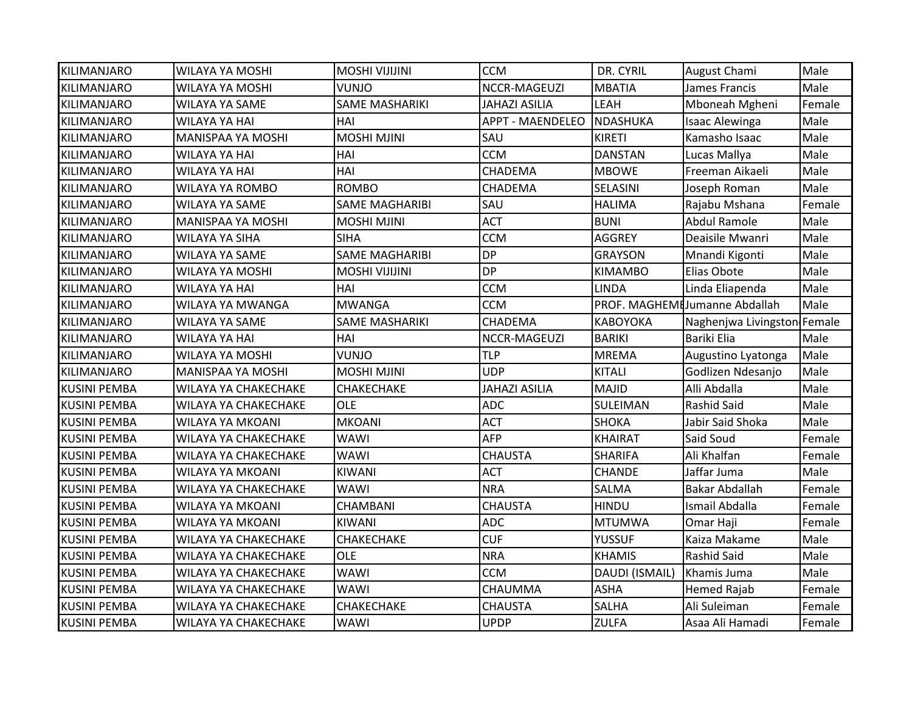| <b>KILIMANJARO</b>  | <b>WILAYA YA MOSHI</b>      | <b>MOSHI VIJIJINI</b> | <b>CCM</b>              | DR. CYRIL       | <b>August Chami</b>           | Male   |
|---------------------|-----------------------------|-----------------------|-------------------------|-----------------|-------------------------------|--------|
| <b>KILIMANJARO</b>  | <b>WILAYA YA MOSHI</b>      | VUNJO                 | NCCR-MAGEUZI            | <b>MBATIA</b>   | James Francis                 | Male   |
| <b>KILIMANJARO</b>  | WILAYA YA SAME              | <b>SAME MASHARIKI</b> | <b>JAHAZI ASILIA</b>    | LEAH            | Mboneah Mgheni                | Female |
| <b>KILIMANJARO</b>  | <b>WILAYA YA HAI</b>        | HAI                   | <b>APPT - MAENDELEO</b> | NDASHUKA        | <b>Isaac Alewinga</b>         | Male   |
| <b>KILIMANJARO</b>  | MANISPAA YA MOSHI           | <b>MOSHI MJINI</b>    | SAU                     | <b>KIRETI</b>   | Kamasho Isaac                 | Male   |
| KILIMANJARO         | WILAYA YA HAI               | HAI                   | <b>CCM</b>              | <b>DANSTAN</b>  | Lucas Mallya                  | Male   |
| <b>KILIMANJARO</b>  | <b>WILAYA YA HAI</b>        | HAI                   | CHADEMA                 | <b>MBOWE</b>    | Freeman Aikaeli               | Male   |
| <b>KILIMANJARO</b>  | WILAYA YA ROMBO             | <b>ROMBO</b>          | CHADEMA                 | SELASINI        | Joseph Roman                  | Male   |
| <b>KILIMANJARO</b>  | <b>WILAYA YA SAME</b>       | <b>SAME MAGHARIBI</b> | SAU                     | <b>HALIMA</b>   | Rajabu Mshana                 | Female |
| <b>KILIMANJARO</b>  | MANISPAA YA MOSHI           | <b>MOSHI MJINI</b>    | <b>ACT</b>              | <b>BUNI</b>     | <b>Abdul Ramole</b>           | Male   |
| KILIMANJARO         | WILAYA YA SIHA              | <b>SIHA</b>           | <b>CCM</b>              | <b>AGGREY</b>   | Deaisile Mwanri               | Male   |
| <b>KILIMANJARO</b>  | WILAYA YA SAME              | <b>SAME MAGHARIBI</b> | <b>DP</b>               | <b>GRAYSON</b>  | Mnandi Kigonti                | Male   |
| <b>KILIMANJARO</b>  | WILAYA YA MOSHI             | <b>MOSHI VIJIJINI</b> | <b>DP</b>               | <b>KIMAMBO</b>  | Elias Obote                   | Male   |
| IKILIMANJARO        | <b>WILAYA YA HAI</b>        | HAI                   | <b>CCM</b>              | <b>LINDA</b>    | Linda Eliapenda               | Male   |
| <b>KILIMANJARO</b>  | WILAYA YA MWANGA            | <b>MWANGA</b>         | <b>CCM</b>              |                 | PROF. MAGHEMIJumanne Abdallah | Male   |
| <b>KILIMANJARO</b>  | WILAYA YA SAME              | <b>SAME MASHARIKI</b> | CHADEMA                 | <b>KABOYOKA</b> | Naghenjwa Livingston Female   |        |
| <b>KILIMANJARO</b>  | <b>WILAYA YA HAI</b>        | HAI                   | NCCR-MAGEUZI            | <b>BARIKI</b>   | Bariki Elia                   | Male   |
| <b>KILIMANJARO</b>  | <b>WILAYA YA MOSHI</b>      | <b>VUNJO</b>          | <b>TLP</b>              | <b>MREMA</b>    | Augustino Lyatonga            | Male   |
| <b>KILIMANJARO</b>  | <b>MANISPAA YA MOSHI</b>    | <b>MOSHI MJINI</b>    | <b>UDP</b>              | <b>KITALI</b>   | Godlizen Ndesanjo             | Male   |
| <b>KUSINI PEMBA</b> | WILAYA YA CHAKECHAKE        | CHAKECHAKE            | <b>JAHAZI ASILIA</b>    | <b>MAJID</b>    | Alli Abdalla                  | Male   |
| <b>KUSINI PEMBA</b> | WILAYA YA CHAKECHAKE        | <b>OLE</b>            | <b>ADC</b>              | SULEIMAN        | <b>Rashid Said</b>            | Male   |
| <b>KUSINI PEMBA</b> | WILAYA YA MKOANI            | <b>MKOANI</b>         | <b>ACT</b>              | <b>SHOKA</b>    | Jabir Said Shoka              | Male   |
| <b>KUSINI PEMBA</b> | <b>WILAYA YA CHAKECHAKE</b> | <b>WAWI</b>           | <b>AFP</b>              | <b>KHAIRAT</b>  | Said Soud                     | Female |
| <b>KUSINI PEMBA</b> | <b>WILAYA YA CHAKECHAKE</b> | WAWI                  | <b>CHAUSTA</b>          | <b>SHARIFA</b>  | Ali Khalfan                   | Female |
| <b>KUSINI PEMBA</b> | WILAYA YA MKOANI            | <b>KIWANI</b>         | <b>ACT</b>              | <b>CHANDE</b>   | Jaffar Juma                   | Male   |
| <b>KUSINI PEMBA</b> | WILAYA YA CHAKECHAKE        | <b>WAWI</b>           | <b>NRA</b>              | SALMA           | <b>Bakar Abdallah</b>         | Female |
| <b>KUSINI PEMBA</b> | WILAYA YA MKOANI            | CHAMBANI              | <b>CHAUSTA</b>          | <b>HINDU</b>    | Ismail Abdalla                | Female |
| <b>KUSINI PEMBA</b> | WILAYA YA MKOANI            | <b>KIWANI</b>         | <b>ADC</b>              | <b>MTUMWA</b>   | Omar Haji                     | Female |
| <b>KUSINI PEMBA</b> | WILAYA YA CHAKECHAKE        | CHAKECHAKE            | <b>CUF</b>              | <b>YUSSUF</b>   | Kaiza Makame                  | Male   |
| <b>KUSINI PEMBA</b> | WILAYA YA CHAKECHAKE        | <b>OLE</b>            | <b>NRA</b>              | <b>KHAMIS</b>   | <b>Rashid Said</b>            | Male   |
| <b>KUSINI PEMBA</b> | WILAYA YA CHAKECHAKE        | <b>WAWI</b>           | <b>CCM</b>              | DAUDI (ISMAIL)  | Khamis Juma                   | Male   |
| <b>KUSINI PEMBA</b> | WILAYA YA CHAKECHAKE        | WAWI                  | CHAUMMA                 | <b>ASHA</b>     | <b>Hemed Rajab</b>            | Female |
| <b>KUSINI PEMBA</b> | WILAYA YA CHAKECHAKE        | CHAKECHAKE            | <b>CHAUSTA</b>          | <b>SALHA</b>    | Ali Suleiman                  | Female |
| <b>KUSINI PEMBA</b> | <b>WILAYA YA CHAKECHAKE</b> | WAWI                  | <b>UPDP</b>             | <b>ZULFA</b>    | Asaa Ali Hamadi               | Female |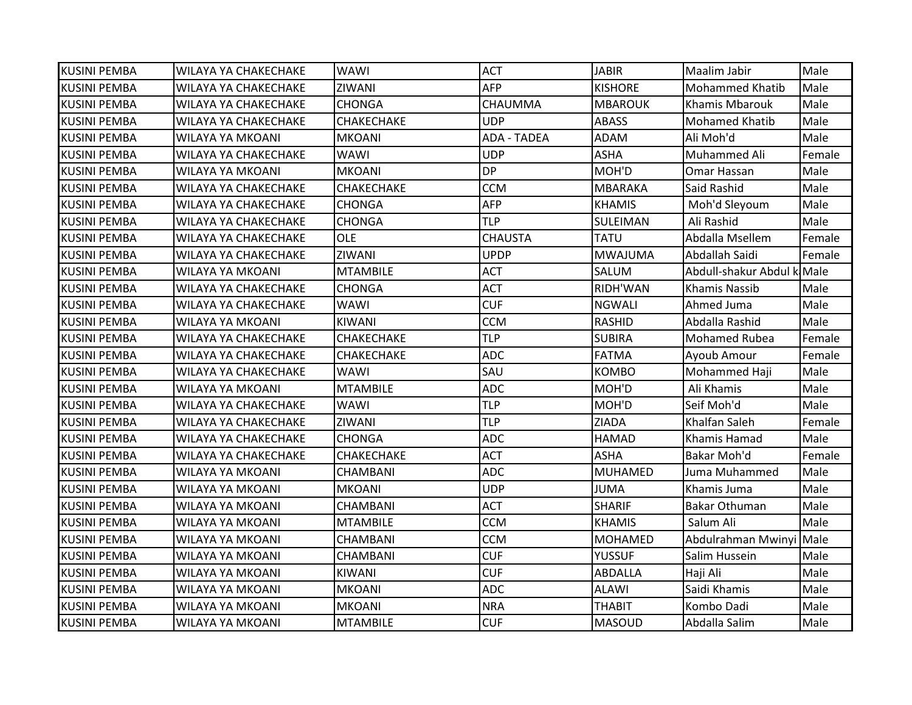| <b>KUSINI PEMBA</b> | WILAYA YA CHAKECHAKE | WAWI              | <b>ACT</b>         | <b>JABIR</b>    | Maalim Jabir               | Male   |
|---------------------|----------------------|-------------------|--------------------|-----------------|----------------------------|--------|
| <b>KUSINI PEMBA</b> | WILAYA YA CHAKECHAKE | ZIWANI            | <b>AFP</b>         | <b>KISHORE</b>  | <b>Mohammed Khatib</b>     | Male   |
| <b>KUSINI PEMBA</b> | WILAYA YA CHAKECHAKE | <b>CHONGA</b>     | CHAUMMA            | <b>MBAROUK</b>  | <b>Khamis Mbarouk</b>      | Male   |
| <b>KUSINI PEMBA</b> | WILAYA YA CHAKECHAKE | <b>CHAKECHAKE</b> | <b>UDP</b>         | <b>ABASS</b>    | Mohamed Khatib             | Male   |
| KUSINI PEMBA        | WILAYA YA MKOANI     | <b>MKOANI</b>     | <b>ADA - TADEA</b> | ADAM            | Ali Moh'd                  | Male   |
| IKUSINI PEMBA       | WILAYA YA CHAKECHAKE | WAWI              | <b>UDP</b>         | <b>ASHA</b>     | Muhammed Ali               | Female |
| <b>KUSINI PEMBA</b> | WILAYA YA MKOANI     | <b>MKOANI</b>     | <b>DP</b>          | MOH'D           | Omar Hassan                | Male   |
| <b>KUSINI PEMBA</b> | WILAYA YA CHAKECHAKE | <b>CHAKECHAKE</b> | <b>CCM</b>         | <b>MBARAKA</b>  | Said Rashid                | Male   |
| <b>KUSINI PEMBA</b> | WILAYA YA CHAKECHAKE | <b>CHONGA</b>     | <b>AFP</b>         | <b>KHAMIS</b>   | Moh'd Sleyoum              | Male   |
| <b>KUSINI PEMBA</b> | WILAYA YA CHAKECHAKE | <b>CHONGA</b>     | <b>TLP</b>         | <b>SULEIMAN</b> | Ali Rashid                 | Male   |
| <b>KUSINI PEMBA</b> | WILAYA YA CHAKECHAKE | <b>OLE</b>        | <b>CHAUSTA</b>     | <b>TATU</b>     | Abdalla Msellem            | Female |
| <b>KUSINI PEMBA</b> | WILAYA YA CHAKECHAKE | ZIWANI            | <b>UPDP</b>        | <b>MWAJUMA</b>  | Abdallah Saidi             | Female |
| <b>KUSINI PEMBA</b> | WILAYA YA MKOANI     | <b>MTAMBILE</b>   | <b>ACT</b>         | SALUM           | Abdull-shakur Abdul k Male |        |
| <b>KUSINI PEMBA</b> | WILAYA YA CHAKECHAKE | <b>CHONGA</b>     | <b>ACT</b>         | RIDH'WAN        | Khamis Nassib              | Male   |
| <b>KUSINI PEMBA</b> | WILAYA YA CHAKECHAKE | WAWI              | <b>CUF</b>         | <b>NGWALI</b>   | Ahmed Juma                 | Male   |
| <b>KUSINI PEMBA</b> | WILAYA YA MKOANI     | <b>KIWANI</b>     | <b>CCM</b>         | RASHID          | Abdalla Rashid             | Male   |
| <b>KUSINI PEMBA</b> | WILAYA YA CHAKECHAKE | <b>CHAKECHAKE</b> | <b>TLP</b>         | <b>SUBIRA</b>   | Mohamed Rubea              | Female |
| <b>KUSINI PEMBA</b> | WILAYA YA CHAKECHAKE | <b>CHAKECHAKE</b> | <b>ADC</b>         | <b>FATMA</b>    | Ayoub Amour                | Female |
| KUSINI PEMBA        | WILAYA YA CHAKECHAKE | WAWI              | SAU                | <b>KOMBO</b>    | Mohammed Haji              | Male   |
| <b>KUSINI PEMBA</b> | WILAYA YA MKOANI     | <b>MTAMBILE</b>   | <b>ADC</b>         | MOH'D           | Ali Khamis                 | Male   |
| <b>KUSINI PEMBA</b> | WILAYA YA CHAKECHAKE | <b>WAWI</b>       | <b>TLP</b>         | MOH'D           | Seif Moh'd                 | Male   |
| <b>KUSINI PEMBA</b> | WILAYA YA CHAKECHAKE | ZIWANI            | <b>TLP</b>         | <b>ZIADA</b>    | Khalfan Saleh              | Female |
| <b>KUSINI PEMBA</b> | WILAYA YA CHAKECHAKE | <b>CHONGA</b>     | <b>ADC</b>         | <b>HAMAD</b>    | Khamis Hamad               | Male   |
| <b>KUSINI PEMBA</b> | WILAYA YA CHAKECHAKE | <b>CHAKECHAKE</b> | <b>ACT</b>         | <b>ASHA</b>     | Bakar Moh'd                | Female |
| <b>KUSINI PEMBA</b> | WILAYA YA MKOANI     | <b>CHAMBANI</b>   | <b>ADC</b>         | <b>MUHAMED</b>  | Juma Muhammed              | Male   |
| <b>KUSINI PEMBA</b> | WILAYA YA MKOANI     | <b>MKOANI</b>     | <b>UDP</b>         | <b>JUMA</b>     | Khamis Juma                | Male   |
| KUSINI PEMBA        | WILAYA YA MKOANI     | <b>CHAMBANI</b>   | <b>ACT</b>         | <b>SHARIF</b>   | Bakar Othuman              | Male   |
| <b>KUSINI PEMBA</b> | WILAYA YA MKOANI     | <b>MTAMBILE</b>   | <b>CCM</b>         | <b>KHAMIS</b>   | Salum Ali                  | Male   |
| <b>KUSINI PEMBA</b> | WILAYA YA MKOANI     | <b>CHAMBANI</b>   | <b>CCM</b>         | <b>MOHAMED</b>  | Abdulrahman Mwinyi Male    |        |
| <b>KUSINI PEMBA</b> | WILAYA YA MKOANI     | <b>CHAMBANI</b>   | <b>CUF</b>         | <b>YUSSUF</b>   | Salim Hussein              | Male   |
| <b>KUSINI PEMBA</b> | WILAYA YA MKOANI     | KIWANI            | <b>CUF</b>         | <b>ABDALLA</b>  | Haji Ali                   | Male   |
| IKUSINI PEMBA       | WILAYA YA MKOANI     | <b>MKOANI</b>     | <b>ADC</b>         | ALAWI           | Saidi Khamis               | Male   |
| <b>KUSINI PEMBA</b> | WILAYA YA MKOANI     | <b>MKOANI</b>     | <b>NRA</b>         | <b>THABIT</b>   | Kombo Dadi                 | Male   |
| <b>KUSINI PEMBA</b> | WILAYA YA MKOANI     | <b>MTAMBILE</b>   | <b>CUF</b>         | <b>MASOUD</b>   | Abdalla Salim              | Male   |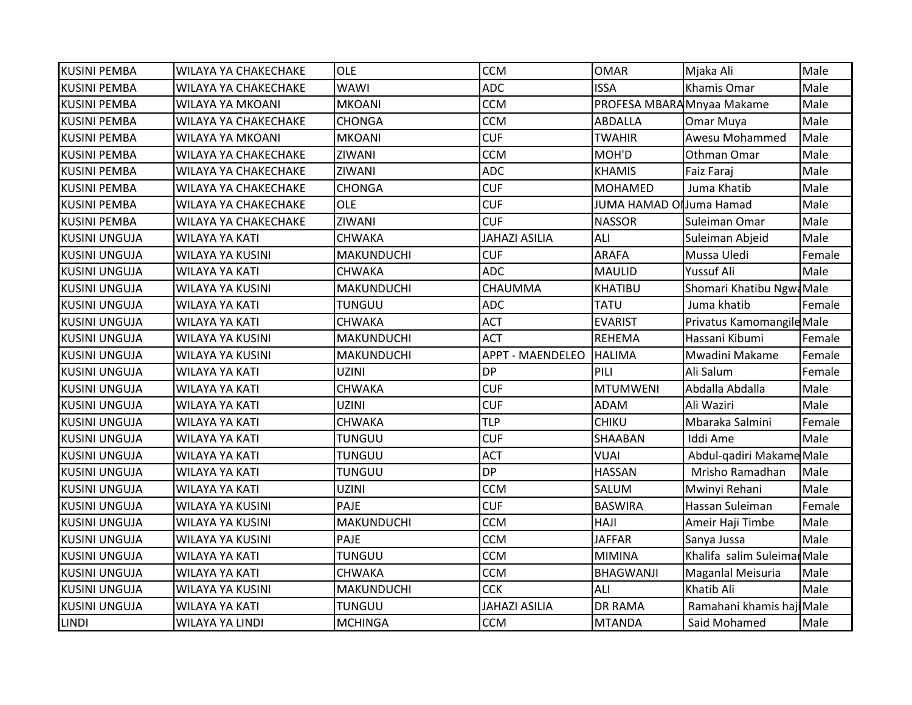| <b>KUSINI PEMBA</b>  | <b>WILAYA YA CHAKECHAKE</b> | OLE               | <b>CCM</b>              | <b>OMAR</b>                | Mjaka Ali                   | Male   |
|----------------------|-----------------------------|-------------------|-------------------------|----------------------------|-----------------------------|--------|
| <b>KUSINI PEMBA</b>  | <b>WILAYA YA CHAKECHAKE</b> | <b>WAWI</b>       | <b>ADC</b>              | <b>ISSA</b>                | <b>Khamis Omar</b>          | Male   |
| <b>KUSINI PEMBA</b>  | WILAYA YA MKOANI            | <b>MKOANI</b>     | <b>CCM</b>              | PROFESA MBARA Mnyaa Makame |                             | Male   |
| <b>KUSINI PEMBA</b>  | <b>WILAYA YA CHAKECHAKE</b> | <b>CHONGA</b>     | <b>CCM</b>              | <b>ABDALLA</b>             | Omar Muya                   | Male   |
| <b>KUSINI PEMBA</b>  | WILAYA YA MKOANI            | <b>MKOANI</b>     | <b>CUF</b>              | <b>TWAHIR</b>              | Awesu Mohammed              | Male   |
| <b>KUSINI PEMBA</b>  | WILAYA YA CHAKECHAKE        | ZIWANI            | <b>CCM</b>              | MOH'D                      | Othman Omar                 | Male   |
| <b>KUSINI PEMBA</b>  | WILAYA YA CHAKECHAKE        | ZIWANI            | <b>ADC</b>              | <b>KHAMIS</b>              | Faiz Faraj                  | Male   |
| <b>KUSINI PEMBA</b>  | WILAYA YA CHAKECHAKE        | <b>CHONGA</b>     | <b>CUF</b>              | <b>MOHAMED</b>             | Juma Khatib                 | Male   |
| <b>KUSINI PEMBA</b>  | <b>WILAYA YA CHAKECHAKE</b> | <b>OLE</b>        | <b>CUF</b>              | JUMA HAMAD OlJuma Hamad    |                             | Male   |
| <b>KUSINI PEMBA</b>  | <b>WILAYA YA CHAKECHAKE</b> | ZIWANI            | <b>CUF</b>              | <b>NASSOR</b>              | Suleiman Omar               | Male   |
| <b>KUSINI UNGUJA</b> | <b>WILAYA YA KATI</b>       | <b>CHWAKA</b>     | <b>JAHAZI ASILIA</b>    | ALI                        | Suleiman Abjeid             | Male   |
| <b>KUSINI UNGUJA</b> | <b>WILAYA YA KUSINI</b>     | <b>MAKUNDUCHI</b> | <b>CUF</b>              | <b>ARAFA</b>               | Mussa Uledi                 | Female |
| <b>KUSINI UNGUJA</b> | <b>WILAYA YA KATI</b>       | <b>CHWAKA</b>     | <b>ADC</b>              | <b>MAULID</b>              | <b>Yussuf Ali</b>           | Male   |
| <b>KUSINI UNGUJA</b> | <b>WILAYA YA KUSINI</b>     | <b>MAKUNDUCHI</b> | CHAUMMA                 | <b>KHATIBU</b>             | Shomari Khatibu Ngwa Male   |        |
| <b>KUSINI UNGUJA</b> | <b>WILAYA YA KATI</b>       | <b>TUNGUU</b>     | <b>ADC</b>              | <b>TATU</b>                | Juma khatib                 | Female |
| <b>KUSINI UNGUJA</b> | WILAYA YA KATI              | <b>CHWAKA</b>     | <b>ACT</b>              | <b>EVARIST</b>             | Privatus Kamomangile Male   |        |
| <b>KUSINI UNGUJA</b> | WILAYA YA KUSINI            | <b>MAKUNDUCHI</b> | <b>ACT</b>              | <b>REHEMA</b>              | Hassani Kibumi              | Female |
| <b>KUSINI UNGUJA</b> | <b>WILAYA YA KUSINI</b>     | <b>MAKUNDUCHI</b> | <b>APPT - MAENDELEO</b> | <b>HALIMA</b>              | Mwadini Makame              | Female |
| <b>KUSINI UNGUJA</b> | <b>WILAYA YA KATI</b>       | <b>UZINI</b>      | <b>DP</b>               | PILI                       | Ali Salum                   | Female |
| <b>KUSINI UNGUJA</b> | <b>WILAYA YA KATI</b>       | <b>CHWAKA</b>     | <b>CUF</b>              | <b>MTUMWENI</b>            | Abdalla Abdalla             | Male   |
| <b>KUSINI UNGUJA</b> | <b>WILAYA YA KATI</b>       | <b>UZINI</b>      | <b>CUF</b>              | <b>ADAM</b>                | Ali Waziri                  | Male   |
| <b>KUSINI UNGUJA</b> | <b>WILAYA YA KATI</b>       | <b>CHWAKA</b>     | <b>TLP</b>              | <b>CHIKU</b>               | Mbaraka Salmini             | Female |
| <b>KUSINI UNGUJA</b> | <b>WILAYA YA KATI</b>       | <b>TUNGUU</b>     | <b>CUF</b>              | SHAABAN                    | Iddi Ame                    | Male   |
| <b>KUSINI UNGUJA</b> | <b>WILAYA YA KATI</b>       | <b>TUNGUU</b>     | <b>ACT</b>              | <b>VUAI</b>                | Abdul-qadiri Makame Male    |        |
| <b>KUSINI UNGUJA</b> | <b>WILAYA YA KATI</b>       | <b>TUNGUU</b>     | <b>DP</b>               | <b>HASSAN</b>              | Mrisho Ramadhan             | Male   |
| <b>KUSINI UNGUJA</b> | <b>WILAYA YA KATI</b>       | <b>UZINI</b>      | <b>CCM</b>              | SALUM                      | Mwinyi Rehani               | Male   |
| <b>KUSINI UNGUJA</b> | WILAYA YA KUSINI            | PAJE              | <b>CUF</b>              | <b>BASWIRA</b>             | Hassan Suleiman             | Female |
| <b>KUSINI UNGUJA</b> | <b>WILAYA YA KUSINI</b>     | <b>MAKUNDUCHI</b> | <b>CCM</b>              | HAJI                       | Ameir Haji Timbe            | Male   |
| <b>KUSINI UNGUJA</b> | WILAYA YA KUSINI            | PAJE              | <b>CCM</b>              | <b>JAFFAR</b>              | Sanya Jussa                 | Male   |
| <b>KUSINI UNGUJA</b> | <b>WILAYA YA KATI</b>       | <b>TUNGUU</b>     | <b>CCM</b>              | <b>MIMINA</b>              | Khalifa salim Suleimar Male |        |
| <b>KUSINI UNGUJA</b> | WILAYA YA KATI              | <b>CHWAKA</b>     | CCM                     | <b>BHAGWANJI</b>           | Maganlal Meisuria           | Male   |
| <b>KUSINI UNGUJA</b> | WILAYA YA KUSINI            | <b>MAKUNDUCHI</b> | <b>CCK</b>              | ALI                        | Khatib Ali                  | Male   |
| <b>KUSINI UNGUJA</b> | <b>WILAYA YA KATI</b>       | <b>TUNGUU</b>     | <b>JAHAZI ASILIA</b>    | <b>DR RAMA</b>             | Ramahani khamis haji Male   |        |
| <b>LINDI</b>         | <b>WILAYA YA LINDI</b>      | <b>MCHINGA</b>    | <b>CCM</b>              | <b>MTANDA</b>              | Said Mohamed                | Male   |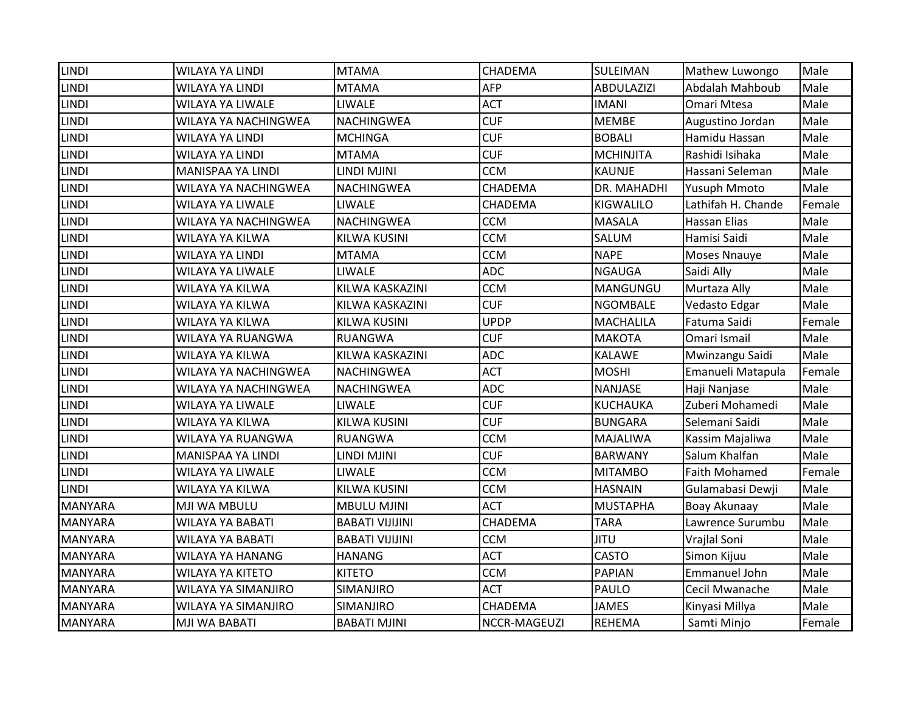| <b>LINDI</b>   | WILAYA YA LINDI         | <b>MTAMA</b>           | <b>CHADEMA</b> | SULEIMAN          | Mathew Luwongo       | Male   |
|----------------|-------------------------|------------------------|----------------|-------------------|----------------------|--------|
| <b>LINDI</b>   | <b>WILAYA YA LINDI</b>  | <b>MTAMA</b>           | <b>AFP</b>     | <b>ABDULAZIZI</b> | Abdalah Mahboub      | Male   |
| <b>LINDI</b>   | WILAYA YA LIWALE        | <b>LIWALE</b>          | <b>ACT</b>     | <b>IMANI</b>      | <b>Omari Mtesa</b>   | Male   |
| <b>LINDI</b>   | WILAYA YA NACHINGWEA    | <b>NACHINGWEA</b>      | <b>CUF</b>     | <b>MEMBE</b>      | Augustino Jordan     | Male   |
| <b>LINDI</b>   | <b>WILAYA YA LINDI</b>  | <b>MCHINGA</b>         | <b>CUF</b>     | <b>BOBALI</b>     | Hamidu Hassan        | Male   |
| <b>LINDI</b>   | WILAYA YA LINDI         | <b>MTAMA</b>           | <b>CUF</b>     | <b>MCHINJITA</b>  | Rashidi Isihaka      | Male   |
| <b>LINDI</b>   | MANISPAA YA LINDI       | LINDI MJINI            | <b>CCM</b>     | <b>KAUNJE</b>     | Hassani Seleman      | Male   |
| <b>LINDI</b>   | WILAYA YA NACHINGWEA    | <b>NACHINGWEA</b>      | CHADEMA        | DR. MAHADHI       | <b>Yusuph Mmoto</b>  | Male   |
| <b>LINDI</b>   | WILAYA YA LIWALE        | <b>LIWALE</b>          | CHADEMA        | <b>KIGWALILO</b>  | Lathifah H. Chande   | Female |
| <b>LINDI</b>   | WILAYA YA NACHINGWEA    | <b>NACHINGWEA</b>      | <b>CCM</b>     | <b>MASALA</b>     | <b>Hassan Elias</b>  | Male   |
| LINDI          | WILAYA YA KILWA         | KILWA KUSINI           | <b>CCM</b>     | SALUM             | Hamisi Saidi         | Male   |
| <b>LINDI</b>   | <b>WILAYA YA LINDI</b>  | <b>MTAMA</b>           | <b>CCM</b>     | <b>NAPE</b>       | <b>Moses Nnauye</b>  | Male   |
| <b>LINDI</b>   | WILAYA YA LIWALE        | <b>LIWALE</b>          | <b>ADC</b>     | <b>NGAUGA</b>     | Saidi Ally           | Male   |
| <b>LINDI</b>   | WILAYA YA KILWA         | KILWA KASKAZINI        | <b>CCM</b>     | MANGUNGU          | Murtaza Ally         | Male   |
| <b>LINDI</b>   | WILAYA YA KILWA         | KILWA KASKAZINI        | <b>CUF</b>     | <b>NGOMBALE</b>   | Vedasto Edgar        | Male   |
| <b>LINDI</b>   | WILAYA YA KILWA         | <b>KILWA KUSINI</b>    | <b>UPDP</b>    | <b>MACHALILA</b>  | Fatuma Saidi         | Female |
| <b>LINDI</b>   | WILAYA YA RUANGWA       | RUANGWA                | <b>CUF</b>     | <b>MAKOTA</b>     | Omari Ismail         | Male   |
| <b>LINDI</b>   | WILAYA YA KILWA         | KILWA KASKAZINI        | <b>ADC</b>     | <b>KALAWE</b>     | Mwinzangu Saidi      | Male   |
| <b>LINDI</b>   | WILAYA YA NACHINGWEA    | <b>NACHINGWEA</b>      | <b>ACT</b>     | <b>MOSHI</b>      | Emanueli Matapula    | Female |
| <b>LINDI</b>   | WILAYA YA NACHINGWEA    | <b>NACHINGWEA</b>      | <b>ADC</b>     | <b>NANJASE</b>    | Haji Nanjase         | Male   |
| LINDI          | WILAYA YA LIWALE        | <b>LIWALE</b>          | <b>CUF</b>     | KUCHAUKA          | Zuberi Mohamedi      | Male   |
| LINDI          | WILAYA YA KILWA         | KILWA KUSINI           | <b>CUF</b>     | <b>BUNGARA</b>    | Selemani Saidi       | Male   |
| <b>LINDI</b>   | WILAYA YA RUANGWA       | <b>RUANGWA</b>         | <b>CCM</b>     | MAJALIWA          | Kassim Majaliwa      | Male   |
| LINDI          | MANISPAA YA LINDI       | LINDI MJINI            | <b>CUF</b>     | <b>BARWANY</b>    | Salum Khalfan        | Male   |
| <b>LINDI</b>   | WILAYA YA LIWALE        | <b>LIWALE</b>          | <b>CCM</b>     | <b>MITAMBO</b>    | <b>Faith Mohamed</b> | Female |
| <b>LINDI</b>   | WILAYA YA KILWA         | KILWA KUSINI           | <b>CCM</b>     | <b>HASNAIN</b>    | Gulamabasi Dewji     | Male   |
| <b>MANYARA</b> | MJI WA MBULU            | <b>MBULU MJINI</b>     | <b>ACT</b>     | <b>MUSTAPHA</b>   | Boay Akunaay         | Male   |
| <b>MANYARA</b> | WILAYA YA BABATI        | <b>BABATI VIJIJINI</b> | CHADEMA        | <b>TARA</b>       | Lawrence Surumbu     | Male   |
| <b>MANYARA</b> | <b>WILAYA YA BABATI</b> | <b>BABATI VIJIJINI</b> | <b>CCM</b>     | <b>JITU</b>       | Vrajlal Soni         | Male   |
| <b>MANYARA</b> | <b>WILAYA YA HANANG</b> | <b>HANANG</b>          | <b>ACT</b>     | <b>CASTO</b>      | Simon Kijuu          | Male   |
| <b>MANYARA</b> | <b>WILAYA YA KITETO</b> | <b>KITETO</b>          | <b>CCM</b>     | <b>PAPIAN</b>     | Emmanuel John        | Male   |
| <b>MANYARA</b> | WILAYA YA SIMANJIRO     | <b>SIMANJIRO</b>       | <b>ACT</b>     | PAULO             | Cecil Mwanache       | Male   |
| <b>MANYARA</b> | WILAYA YA SIMANJIRO     | SIMANJIRO              | <b>CHADEMA</b> | <b>JAMES</b>      | Kinyasi Millya       | Male   |
| <b>MANYARA</b> | MJI WA BABATI           | <b>BABATI MJINI</b>    | NCCR-MAGEUZI   | <b>REHEMA</b>     | Samti Minjo          | Female |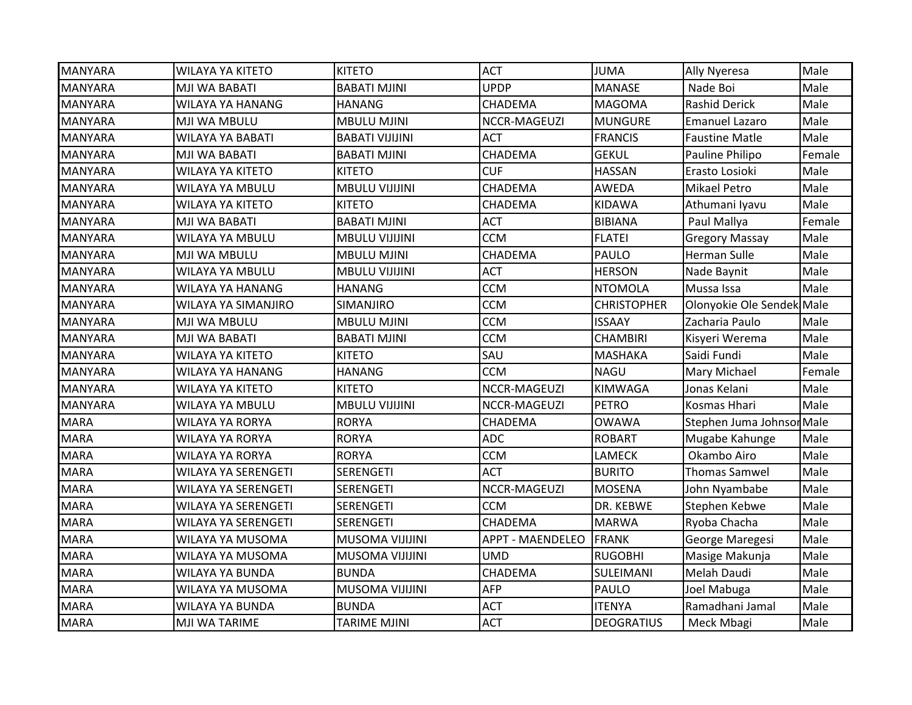| WILAYA YA KITETO    | <b>KITETO</b>          | <b>ACT</b>              | <b>JUMA</b>        | Ally Nyeresa          | Male                                                   |
|---------------------|------------------------|-------------------------|--------------------|-----------------------|--------------------------------------------------------|
| MJI WA BABATI       | <b>BABATI MJINI</b>    | <b>UPDP</b>             | <b>MANASE</b>      | Nade Boi              | Male                                                   |
| WILAYA YA HANANG    | <b>HANANG</b>          | CHADEMA                 | <b>MAGOMA</b>      | <b>Rashid Derick</b>  | Male                                                   |
| MJI WA MBULU        | <b>MBULU MJINI</b>     | NCCR-MAGEUZI            | <b>MUNGURE</b>     | <b>Emanuel Lazaro</b> | Male                                                   |
| WILAYA YA BABATI    | <b>BABATI VIJIJINI</b> | <b>ACT</b>              | <b>FRANCIS</b>     | <b>Faustine Matle</b> | Male                                                   |
| MJI WA BABATI       | <b>BABATI MJINI</b>    | CHADEMA                 | <b>GEKUL</b>       | Pauline Philipo       | Female                                                 |
| WILAYA YA KITETO    | <b>KITETO</b>          | <b>CUF</b>              | <b>HASSAN</b>      | Erasto Losioki        | Male                                                   |
| WILAYA YA MBULU     | <b>MBULU VIJIJINI</b>  | CHADEMA                 | AWEDA              | Mikael Petro          | Male                                                   |
| WILAYA YA KITETO    | <b>KITETO</b>          | CHADEMA                 | <b>KIDAWA</b>      | Athumani Iyavu        | Male                                                   |
| MJI WA BABATI       | <b>BABATI MJINI</b>    | <b>ACT</b>              | <b>BIBIANA</b>     | Paul Mallya           | Female                                                 |
| WILAYA YA MBULU     | <b>MBULU VIJIJINI</b>  | <b>CCM</b>              | <b>FLATEI</b>      | <b>Gregory Massay</b> | Male                                                   |
| MJI WA MBULU        | <b>MBULU MJINI</b>     | CHADEMA                 | PAULO              | Herman Sulle          | Male                                                   |
| WILAYA YA MBULU     | <b>MBULU VIJIJINI</b>  | <b>ACT</b>              | <b>HERSON</b>      | Nade Baynit           | Male                                                   |
| WILAYA YA HANANG    | <b>HANANG</b>          | <b>CCM</b>              | <b>NTOMOLA</b>     | Mussa Issa            | Male                                                   |
| WILAYA YA SIMANJIRO | SIMANJIRO              | <b>CCM</b>              | <b>CHRISTOPHER</b> |                       |                                                        |
| MJI WA MBULU        | <b>MBULU MJINI</b>     | <b>CCM</b>              | <b>ISSAAY</b>      | Zacharia Paulo        | Male                                                   |
| MJI WA BABATI       | <b>BABATI MJINI</b>    | <b>CCM</b>              | <b>CHAMBIRI</b>    | Kisyeri Werema        | Male                                                   |
| WILAYA YA KITETO    | <b>KITETO</b>          | SAU                     | <b>MASHAKA</b>     | Saidi Fundi           | Male                                                   |
| WILAYA YA HANANG    | <b>HANANG</b>          | <b>CCM</b>              | <b>NAGU</b>        | Mary Michael          | Female                                                 |
| WILAYA YA KITETO    | <b>KITETO</b>          | NCCR-MAGEUZI            | <b>KIMWAGA</b>     | Jonas Kelani          | Male                                                   |
| WILAYA YA MBULU     | <b>MBULU VIJIJINI</b>  | NCCR-MAGEUZI            | <b>PETRO</b>       | Kosmas Hhari          | Male                                                   |
| WILAYA YA RORYA     | <b>RORYA</b>           | CHADEMA                 | <b>OWAWA</b>       |                       |                                                        |
| WILAYA YA RORYA     | <b>RORYA</b>           | <b>ADC</b>              | <b>ROBART</b>      | Mugabe Kahunge        | Male                                                   |
| WILAYA YA RORYA     | <b>RORYA</b>           | <b>CCM</b>              | <b>LAMECK</b>      | Okambo Airo           | Male                                                   |
| WILAYA YA SERENGETI | <b>SERENGETI</b>       | <b>ACT</b>              | <b>BURITO</b>      | <b>Thomas Samwel</b>  | Male                                                   |
| WILAYA YA SERENGETI | <b>SERENGETI</b>       | NCCR-MAGEUZI            | <b>MOSENA</b>      | John Nyambabe         | Male                                                   |
| WILAYA YA SERENGETI | <b>SERENGETI</b>       | <b>CCM</b>              | DR. KEBWE          | Stephen Kebwe         | Male                                                   |
| WILAYA YA SERENGETI | <b>SERENGETI</b>       | CHADEMA                 | <b>MARWA</b>       | Ryoba Chacha          | Male                                                   |
| WILAYA YA MUSOMA    | <b>MUSOMA VIJIJINI</b> | <b>APPT - MAENDELEO</b> | FRANK              | George Maregesi       | Male                                                   |
| WILAYA YA MUSOMA    | <b>MUSOMA VIJIJINI</b> | <b>UMD</b>              | <b>RUGOBHI</b>     | Masige Makunja        | Male                                                   |
| WILAYA YA BUNDA     | <b>BUNDA</b>           | CHADEMA                 | SULEIMANI          | Melah Daudi           | Male                                                   |
| WILAYA YA MUSOMA    | <b>MUSOMA VIJIJINI</b> | <b>AFP</b>              | PAULO              | Joel Mabuga           | Male                                                   |
| WILAYA YA BUNDA     | <b>BUNDA</b>           | <b>ACT</b>              | <b>ITENYA</b>      | Ramadhani Jamal       | Male                                                   |
| MJI WA TARIME       | <b>TARIME MJINI</b>    | <b>ACT</b>              | <b>DEOGRATIUS</b>  | Meck Mbagi            | Male                                                   |
|                     |                        |                         |                    |                       | Olonyokie Ole Sendek Male<br>Stephen Juma Johnson Male |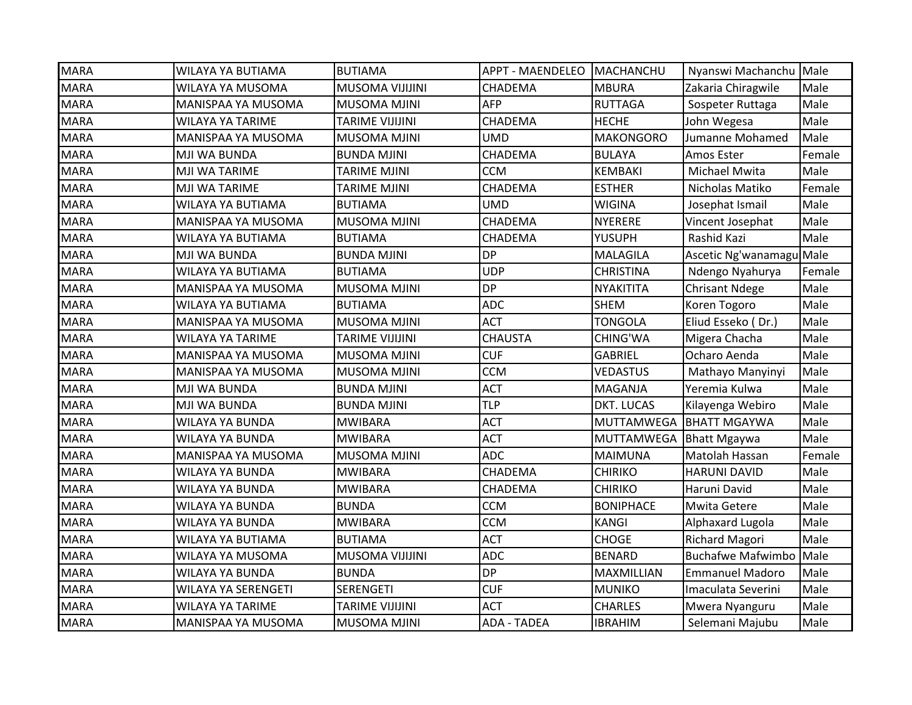| <b>MARA</b> | WILAYA YA BUTIAMA          | <b>BUTIAMA</b>         | APPT - MAENDELEO   MACHANCHU |                   | Nyanswi Machanchu Male   |        |
|-------------|----------------------------|------------------------|------------------------------|-------------------|--------------------------|--------|
| <b>MARA</b> | WILAYA YA MUSOMA           | <b>MUSOMA VIJIJINI</b> | CHADEMA                      | <b>MBURA</b>      | Zakaria Chiragwile       | Male   |
| <b>MARA</b> | MANISPAA YA MUSOMA         | <b>MUSOMA MJINI</b>    | AFP                          | <b>RUTTAGA</b>    | Sospeter Ruttaga         | Male   |
| <b>MARA</b> | <b>WILAYA YA TARIME</b>    | <b>TARIME VIJIJINI</b> | CHADEMA                      | <b>HECHE</b>      | John Wegesa              | Male   |
| <b>MARA</b> | MANISPAA YA MUSOMA         | <b>MUSOMA MJINI</b>    | <b>UMD</b>                   | <b>MAKONGORO</b>  | Jumanne Mohamed          | Male   |
| <b>MARA</b> | MJI WA BUNDA               | <b>BUNDA MJINI</b>     | CHADEMA                      | <b>BULAYA</b>     | Amos Ester               | Female |
| <b>MARA</b> | MJI WA TARIME              | <b>TARIME MJINI</b>    | <b>CCM</b>                   | <b>KEMBAKI</b>    | Michael Mwita            | Male   |
| <b>MARA</b> | MJI WA TARIME              | <b>TARIME MJINI</b>    | <b>CHADEMA</b>               | <b>ESTHER</b>     | Nicholas Matiko          | Female |
| <b>MARA</b> | WILAYA YA BUTIAMA          | <b>BUTIAMA</b>         | UMD                          | <b>WIGINA</b>     | Josephat Ismail          | Male   |
| <b>MARA</b> | MANISPAA YA MUSOMA         | <b>MUSOMA MJINI</b>    | CHADEMA                      | <b>NYERERE</b>    | Vincent Josephat         | Male   |
| <b>MARA</b> | WILAYA YA BUTIAMA          | <b>BUTIAMA</b>         | CHADEMA                      | YUSUPH            | Rashid Kazi              | Male   |
| <b>MARA</b> | MJI WA BUNDA               | <b>BUNDA MJINI</b>     | <b>DP</b>                    | <b>MALAGILA</b>   | Ascetic Ng'wanamagu Male |        |
| <b>MARA</b> | WILAYA YA BUTIAMA          | <b>BUTIAMA</b>         | <b>UDP</b>                   | <b>CHRISTINA</b>  | Ndengo Nyahurya          | Female |
| <b>MARA</b> | <b>MANISPAA YA MUSOMA</b>  | <b>MUSOMA MJINI</b>    | <b>DP</b>                    | <b>NYAKITITA</b>  | <b>Chrisant Ndege</b>    | Male   |
| <b>MARA</b> | WILAYA YA BUTIAMA          | <b>BUTIAMA</b>         | <b>ADC</b>                   | <b>SHEM</b>       | Koren Togoro             | Male   |
| <b>MARA</b> | MANISPAA YA MUSOMA         | <b>MUSOMA MJINI</b>    | <b>ACT</b>                   | <b>TONGOLA</b>    | Eliud Esseko (Dr.)       | Male   |
| <b>MARA</b> | <b>WILAYA YA TARIME</b>    | <b>TARIME VIJIJINI</b> | <b>CHAUSTA</b>               | CHING'WA          | Migera Chacha            | Male   |
| <b>MARA</b> | MANISPAA YA MUSOMA         | <b>MUSOMA MJINI</b>    | <b>CUF</b>                   | <b>GABRIEL</b>    | Ocharo Aenda             | Male   |
| <b>MARA</b> | MANISPAA YA MUSOMA         | <b>MUSOMA MJINI</b>    | <b>CCM</b>                   | <b>VEDASTUS</b>   | Mathayo Manyinyi         | Male   |
| <b>MARA</b> | MJI WA BUNDA               | <b>BUNDA MJINI</b>     | <b>ACT</b>                   | MAGANJA           | Yeremia Kulwa            | Male   |
| <b>MARA</b> | MJI WA BUNDA               | <b>BUNDA MJINI</b>     | <b>TLP</b>                   | DKT. LUCAS        | Kilayenga Webiro         | Male   |
| <b>MARA</b> | <b>WILAYA YA BUNDA</b>     | <b>MWIBARA</b>         | <b>ACT</b>                   | <b>MUTTAMWEGA</b> | <b>BHATT MGAYWA</b>      | Male   |
| <b>MARA</b> | <b>WILAYA YA BUNDA</b>     | <b>MWIBARA</b>         | <b>ACT</b>                   | <b>MUTTAMWEGA</b> | <b>Bhatt Mgaywa</b>      | Male   |
| <b>MARA</b> | <b>MANISPAA YA MUSOMA</b>  | <b>MUSOMA MJINI</b>    | <b>ADC</b>                   | <b>MAIMUNA</b>    | Matolah Hassan           | Female |
| <b>MARA</b> | WILAYA YA BUNDA            | <b>MWIBARA</b>         | CHADEMA                      | <b>CHIRIKO</b>    | <b>HARUNI DAVID</b>      | Male   |
| <b>MARA</b> | WILAYA YA BUNDA            | <b>MWIBARA</b>         | CHADEMA                      | <b>CHIRIKO</b>    | Haruni David             | Male   |
| <b>MARA</b> | WILAYA YA BUNDA            | <b>BUNDA</b>           | <b>CCM</b>                   | <b>BONIPHACE</b>  | <b>Mwita Getere</b>      | Male   |
| <b>MARA</b> | <b>WILAYA YA BUNDA</b>     | <b>MWIBARA</b>         | <b>CCM</b>                   | <b>KANGI</b>      | Alphaxard Lugola         | Male   |
| <b>MARA</b> | WILAYA YA BUTIAMA          | <b>BUTIAMA</b>         | <b>ACT</b>                   | <b>CHOGE</b>      | Richard Magori           | Male   |
| <b>MARA</b> | WILAYA YA MUSOMA           | <b>MUSOMA VIJIJINI</b> | <b>ADC</b>                   | <b>BENARD</b>     | <b>Buchafwe Mafwimbo</b> | Male   |
| <b>MARA</b> | <b>WILAYA YA BUNDA</b>     | <b>BUNDA</b>           | <b>DP</b>                    | MAXMILLIAN        | <b>Emmanuel Madoro</b>   | Male   |
| <b>MARA</b> | <b>WILAYA YA SERENGETI</b> | <b>SERENGETI</b>       | <b>CUF</b>                   | <b>MUNIKO</b>     | Imaculata Severini       | Male   |
| <b>MARA</b> | <b>WILAYA YA TARIME</b>    | <b>TARIME VIJIJINI</b> | <b>ACT</b>                   | <b>CHARLES</b>    | Mwera Nyanguru           | Male   |
| <b>MARA</b> | MANISPAA YA MUSOMA         | <b>MUSOMA MJINI</b>    | <b>ADA - TADEA</b>           | <b>IBRAHIM</b>    | Selemani Majubu          | Male   |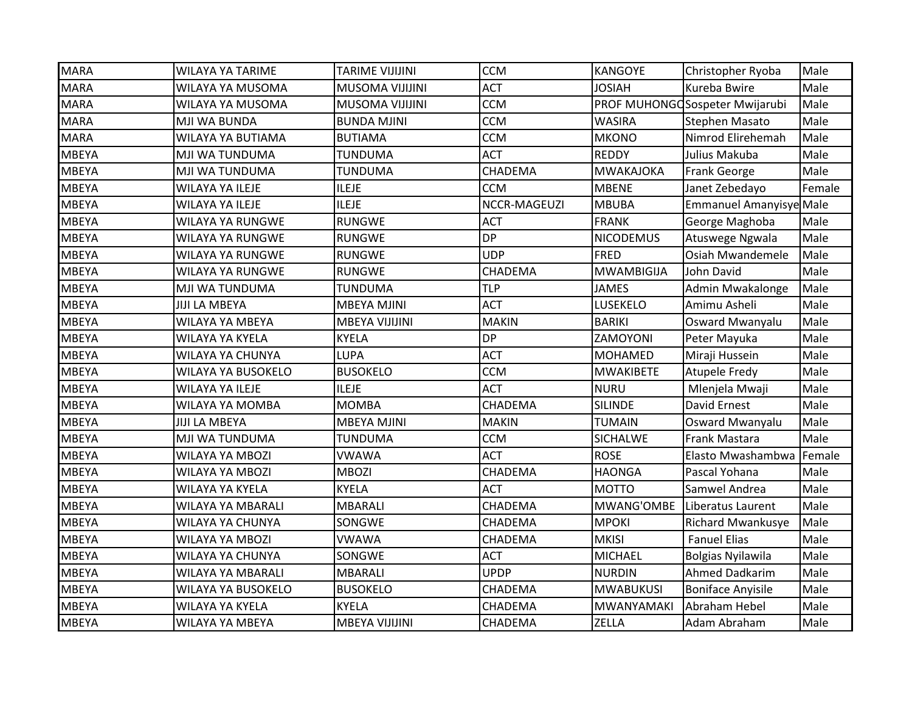| <b>MARA</b>  | <b>WILAYA YA TARIME</b>   | <b>TARIME VIJIJINI</b> | <b>CCM</b>     | <b>KANGOYE</b>    | Christopher Ryoba              | Male   |
|--------------|---------------------------|------------------------|----------------|-------------------|--------------------------------|--------|
| <b>MARA</b>  | WILAYA YA MUSOMA          | <b>MUSOMA VIJIJINI</b> | <b>ACT</b>     | <b>HAIOL</b>      | Kureba Bwire                   | Male   |
| <b>MARA</b>  | WILAYA YA MUSOMA          | <b>MUSOMA VIJIJINI</b> | <b>CCM</b>     |                   | PROF MUHONGOSospeter Mwijarubi | Male   |
| <b>MARA</b>  | MJI WA BUNDA              | <b>BUNDA MJINI</b>     | <b>CCM</b>     | <b>WASIRA</b>     | Stephen Masato                 | Male   |
| <b>MARA</b>  | <b>WILAYA YA BUTIAMA</b>  | <b>BUTIAMA</b>         | <b>CCM</b>     | <b>MKONO</b>      | Nimrod Elirehemah              | Male   |
| <b>MBEYA</b> | MJI WA TUNDUMA            | TUNDUMA                | <b>ACT</b>     | <b>REDDY</b>      | Julius Makuba                  | Male   |
| <b>MBEYA</b> | MJI WA TUNDUMA            | <b>TUNDUMA</b>         | CHADEMA        | MWAKAJOKA         | Frank George                   | Male   |
| <b>MBEYA</b> | <b>WILAYA YA ILEJE</b>    | <b>ILEJE</b>           | <b>CCM</b>     | <b>MBENE</b>      | Janet Zebedayo                 | Female |
| <b>MBEYA</b> | <b>WILAYA YA ILEJE</b>    | <b>ILEJE</b>           | NCCR-MAGEUZI   | <b>MBUBA</b>      | <b>Emmanuel Amanyisye Male</b> |        |
| <b>MBEYA</b> | <b>WILAYA YA RUNGWE</b>   | <b>RUNGWE</b>          | <b>ACT</b>     | <b>FRANK</b>      | George Maghoba                 | Male   |
| <b>MBEYA</b> | WILAYA YA RUNGWE          | <b>RUNGWE</b>          | <b>DP</b>      | <b>NICODEMUS</b>  | Atuswege Ngwala                | Male   |
| <b>MBEYA</b> | WILAYA YA RUNGWE          | <b>RUNGWE</b>          | <b>UDP</b>     | <b>FRED</b>       | Osiah Mwandemele               | Male   |
| <b>MBEYA</b> | WILAYA YA RUNGWE          | <b>RUNGWE</b>          | <b>CHADEMA</b> | <b>MWAMBIGIJA</b> | John David                     | Male   |
| <b>MBEYA</b> | <b>MJI WA TUNDUMA</b>     | <b>TUNDUMA</b>         | <b>TLP</b>     | <b>JAMES</b>      | Admin Mwakalonge               | Male   |
| <b>MBEYA</b> | <b>JIJI LA MBEYA</b>      | <b>MBEYA MJINI</b>     | <b>ACT</b>     | LUSEKELO          | Amimu Asheli                   | Male   |
| <b>MBEYA</b> | WILAYA YA MBEYA           | MBEYA VIJIJINI         | <b>MAKIN</b>   | <b>BARIKI</b>     | Osward Mwanyalu                | Male   |
| <b>MBEYA</b> | WILAYA YA KYELA           | <b>KYELA</b>           | <b>DP</b>      | ZAMOYONI          | Peter Mayuka                   | Male   |
| <b>MBEYA</b> | <b>WILAYA YA CHUNYA</b>   | <b>LUPA</b>            | <b>ACT</b>     | <b>MOHAMED</b>    | Miraji Hussein                 | Male   |
| <b>MBEYA</b> | <b>WILAYA YA BUSOKELO</b> | <b>BUSOKELO</b>        | <b>CCM</b>     | <b>MWAKIBETE</b>  | Atupele Fredy                  | Male   |
| <b>MBEYA</b> | <b>WILAYA YA ILEJE</b>    | <b>ILEJE</b>           | <b>ACT</b>     | <b>NURU</b>       | Mlenjela Mwaji                 | Male   |
| <b>MBEYA</b> | WILAYA YA MOMBA           | <b>MOMBA</b>           | CHADEMA        | <b>SILINDE</b>    | <b>David Ernest</b>            | Male   |
| <b>MBEYA</b> | <b>JIJI LA MBEYA</b>      | <b>MBEYA MJINI</b>     | <b>MAKIN</b>   | TUMAIN            | Osward Mwanyalu                | Male   |
| <b>MBEYA</b> | MJI WA TUNDUMA            | <b>TUNDUMA</b>         | <b>CCM</b>     | <b>SICHALWE</b>   | Frank Mastara                  | Male   |
| <b>MBEYA</b> | <b>WILAYA YA MBOZI</b>    | <b>VWAWA</b>           | <b>ACT</b>     | <b>ROSE</b>       | Elasto Mwashambwa              | Female |
| <b>MBEYA</b> | <b>WILAYA YA MBOZI</b>    | <b>MBOZI</b>           | CHADEMA        | <b>HAONGA</b>     | Pascal Yohana                  | Male   |
| <b>MBEYA</b> | WILAYA YA KYELA           | <b>KYELA</b>           | <b>ACT</b>     | <b>MOTTO</b>      | Samwel Andrea                  | Male   |
| <b>MBEYA</b> | WILAYA YA MBARALI         | <b>MBARALI</b>         | CHADEMA        | MWANG'OMBE        | Liberatus Laurent              | Male   |
| <b>MBEYA</b> | WILAYA YA CHUNYA          | SONGWE                 | CHADEMA        | <b>MPOKI</b>      | <b>Richard Mwankusye</b>       | Male   |
| <b>MBEYA</b> | <b>WILAYA YA MBOZI</b>    | <b>VWAWA</b>           | CHADEMA        | <b>MKISI</b>      | <b>Fanuel Elias</b>            | Male   |
| <b>MBEYA</b> | <b>WILAYA YA CHUNYA</b>   | SONGWE                 | <b>ACT</b>     | <b>MICHAEL</b>    | <b>Bolgias Nyilawila</b>       | Male   |
| <b>MBEYA</b> | <b>WILAYA YA MBARALI</b>  | <b>MBARALI</b>         | <b>UPDP</b>    | <b>NURDIN</b>     | Ahmed Dadkarim                 | Male   |
| <b>MBEYA</b> | WILAYA YA BUSOKELO        | <b>BUSOKELO</b>        | CHADEMA        | <b>MWABUKUSI</b>  | <b>Boniface Anyisile</b>       | Male   |
| <b>MBEYA</b> | WILAYA YA KYELA           | <b>KYELA</b>           | CHADEMA        | <b>MWANYAMAKI</b> | Abraham Hebel                  | Male   |
| <b>MBEYA</b> | <b>WILAYA YA MBEYA</b>    | <b>MBEYA VIJIJINI</b>  | CHADEMA        | ZELLA             | Adam Abraham                   | Male   |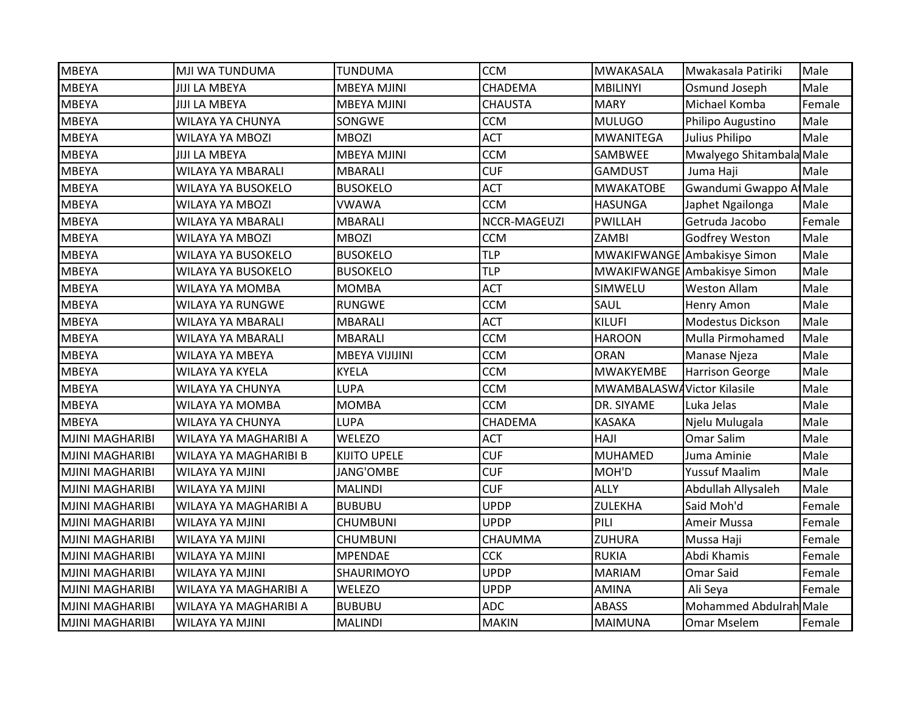| <b>MBEYA</b>           | MJI WA TUNDUMA               | <b>TUNDUMA</b>      | <b>CCM</b>     | <b>MWAKASALA</b>           | Mwakasala Patiriki          | Male   |
|------------------------|------------------------------|---------------------|----------------|----------------------------|-----------------------------|--------|
| <b>MBEYA</b>           | <b>JIJI LA MBEYA</b>         | <b>MBEYA MJINI</b>  | CHADEMA        | <b>MBILINYI</b>            | Osmund Joseph               | Male   |
| <b>MBEYA</b>           | <b>JIJI LA MBEYA</b>         | <b>MBEYA MJINI</b>  | <b>CHAUSTA</b> | <b>MARY</b>                | Michael Komba               | Female |
| <b>MBEYA</b>           | <b>WILAYA YA CHUNYA</b>      | SONGWE              | <b>CCM</b>     | <b>MULUGO</b>              | Philipo Augustino           | Male   |
| <b>MBEYA</b>           | WILAYA YA MBOZI              | <b>MBOZI</b>        | <b>ACT</b>     | <b>MWANITEGA</b>           | Julius Philipo              | Male   |
| <b>MBEYA</b>           | <b>JIJI LA MBEYA</b>         | <b>MBEYA MJINI</b>  | <b>CCM</b>     | SAMBWEE                    | Mwalyego Shitambala Male    |        |
| <b>MBEYA</b>           | WILAYA YA MBARALI            | <b>MBARALI</b>      | <b>CUF</b>     | <b>GAMDUST</b>             | Juma Haji                   | Male   |
| <b>MBEYA</b>           | WILAYA YA BUSOKELO           | <b>BUSOKELO</b>     | <b>ACT</b>     | <b>MWAKATOBE</b>           | Gwandumi Gwappo Al Male     |        |
| <b>MBEYA</b>           | <b>WILAYA YA MBOZI</b>       | <b>VWAWA</b>        | <b>CCM</b>     | <b>HASUNGA</b>             | Japhet Ngailonga            | Male   |
| <b>MBEYA</b>           | WILAYA YA MBARALI            | <b>MBARALI</b>      | NCCR-MAGEUZI   | <b>PWILLAH</b>             | Getruda Jacobo              | Female |
| <b>MBEYA</b>           | WILAYA YA MBOZI              | <b>MBOZI</b>        | <b>CCM</b>     | ZAMBI                      | Godfrey Weston              | Male   |
| <b>MBEYA</b>           | WILAYA YA BUSOKELO           | <b>BUSOKELO</b>     | <b>TLP</b>     |                            | MWAKIFWANGE Ambakisye Simon | Male   |
| <b>MBEYA</b>           | WILAYA YA BUSOKELO           | <b>BUSOKELO</b>     | <b>TLP</b>     |                            | MWAKIFWANGE Ambakisye Simon | Male   |
| <b>MBEYA</b>           | WILAYA YA MOMBA              | <b>MOMBA</b>        | <b>ACT</b>     | SIMWELU                    | <b>Weston Allam</b>         | Male   |
| <b>MBEYA</b>           | WILAYA YA RUNGWE             | <b>RUNGWE</b>       | <b>CCM</b>     | SAUL                       | <b>Henry Amon</b>           | Male   |
| <b>MBEYA</b>           | WILAYA YA MBARALI            | <b>MBARALI</b>      | <b>ACT</b>     | <b>KILUFI</b>              | Modestus Dickson            | Male   |
| <b>MBEYA</b>           | WILAYA YA MBARALI            | <b>MBARALI</b>      | <b>CCM</b>     | <b>HAROON</b>              | Mulla Pirmohamed            | Male   |
| <b>MBEYA</b>           | WILAYA YA MBEYA              | MBEYA VIJIJINI      | <b>CCM</b>     | <b>ORAN</b>                | Manase Njeza                | Male   |
| <b>MBEYA</b>           | WILAYA YA KYELA              | <b>KYELA</b>        | <b>CCM</b>     | <b>MWAKYEMBE</b>           | <b>Harrison George</b>      | Male   |
| <b>MBEYA</b>           | WILAYA YA CHUNYA             | <b>LUPA</b>         | <b>CCM</b>     | MWAMBALASWAVictor Kilasile |                             | Male   |
| <b>MBEYA</b>           | WILAYA YA MOMBA              | <b>MOMBA</b>        | <b>CCM</b>     | DR. SIYAME                 | Luka Jelas                  | Male   |
| <b>MBEYA</b>           | WILAYA YA CHUNYA             | <b>LUPA</b>         | CHADEMA        | KASAKA                     | Njelu Mulugala              | Male   |
| <b>MJINI MAGHARIBI</b> | WILAYA YA MAGHARIBI A        | WELEZO              | <b>ACT</b>     | HAJI                       | Omar Salim                  | Male   |
| <b>MJINI MAGHARIBI</b> | <b>WILAYA YA MAGHARIBI B</b> | <b>KIJITO UPELE</b> | <b>CUF</b>     | <b>MUHAMED</b>             | Juma Aminie                 | Male   |
| <b>MJINI MAGHARIBI</b> | WILAYA YA MJINI              | JANG'OMBE           | <b>CUF</b>     | MOH'D                      | <b>Yussuf Maalim</b>        | Male   |
| <b>MJINI MAGHARIBI</b> | WILAYA YA MJINI              | <b>MALINDI</b>      | <b>CUF</b>     | <b>ALLY</b>                | Abdullah Allysaleh          | Male   |
| <b>MJINI MAGHARIBI</b> | WILAYA YA MAGHARIBI A        | <b>BUBUBU</b>       | <b>UPDP</b>    | <b>ZULEKHA</b>             | Said Moh'd                  | Female |
| <b>MJINI MAGHARIBI</b> | WILAYA YA MJINI              | <b>CHUMBUNI</b>     | <b>UPDP</b>    | PILI                       | Ameir Mussa                 | Female |
| <b>MJINI MAGHARIBI</b> | <b>WILAYA YA MJINI</b>       | <b>CHUMBUNI</b>     | CHAUMMA        | ZUHURA                     | Mussa Haji                  | Female |
| <b>MJINI MAGHARIBI</b> | <b>WILAYA YA MJINI</b>       | <b>MPENDAE</b>      | <b>CCK</b>     | <b>RUKIA</b>               | Abdi Khamis                 | Female |
| <b>MJINI MAGHARIBI</b> | <b>WILAYA YA MJINI</b>       | SHAURIMOYO          | <b>UPDP</b>    | <b>MARIAM</b>              | Omar Said                   | Female |
| <b>MJINI MAGHARIBI</b> | WILAYA YA MAGHARIBI A        | <b>WELEZO</b>       | <b>UPDP</b>    | <b>AMINA</b>               | Ali Seya                    | Female |
| <b>MJINI MAGHARIBI</b> | WILAYA YA MAGHARIBI A        | <b>BUBUBU</b>       | <b>ADC</b>     | ABASS                      | Mohammed Abdulrah Male      |        |
| <b>MJINI MAGHARIBI</b> | <b>WILAYA YA MJINI</b>       | <b>MALINDI</b>      | <b>MAKIN</b>   | <b>MAIMUNA</b>             | <b>Omar Mselem</b>          | Female |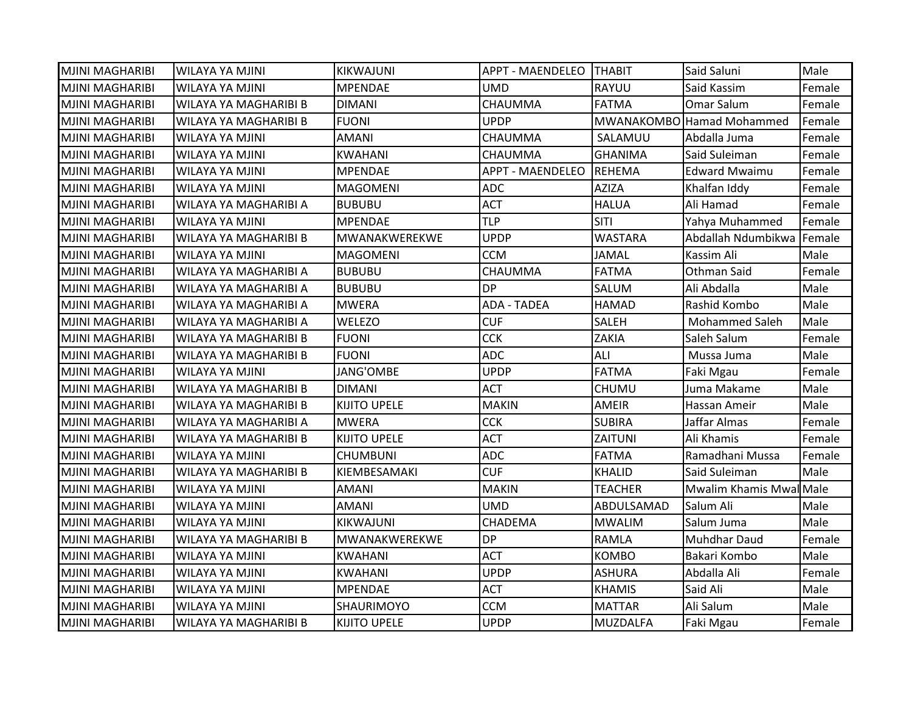| <b>MJINI MAGHARIBI</b> | WILAYA YA MJINI              | <b>KIKWAJUNI</b>    | APPT - MAENDELEO THABIT |                 | Said Saluni               | Male   |
|------------------------|------------------------------|---------------------|-------------------------|-----------------|---------------------------|--------|
| <b>MJINI MAGHARIBI</b> | WILAYA YA MJINI              | <b>MPENDAE</b>      | <b>UMD</b>              | RAYUU           | Said Kassim               | Female |
| <b>MJINI MAGHARIBI</b> | WILAYA YA MAGHARIBI B        | <b>DIMANI</b>       | CHAUMMA                 | <b>FATMA</b>    | Omar Salum                | Female |
| MJINI MAGHARIBI        | <b>WILAYA YA MAGHARIBI B</b> | <b>FUONI</b>        | <b>UPDP</b>             |                 | MWANAKOMBO Hamad Mohammed | Female |
| <b>MJINI MAGHARIBI</b> | WILAYA YA MJINI              | <b>AMANI</b>        | CHAUMMA                 | SALAMUU         | Abdalla Juma              | Female |
| IMJINI MAGHARIBI       | WILAYA YA MJINI              | KWAHANI             | CHAUMMA                 | GHANIMA         | Said Suleiman             | Female |
| <b>MJINI MAGHARIBI</b> | WILAYA YA MJINI              | <b>MPENDAE</b>      | <b>APPT - MAENDELEO</b> | <b>REHEMA</b>   | <b>Edward Mwaimu</b>      | Female |
| <b>MJINI MAGHARIBI</b> | <b>WILAYA YA MJINI</b>       | <b>MAGOMENI</b>     | <b>ADC</b>              | <b>AZIZA</b>    | Khalfan Iddy              | Female |
| <b>MJINI MAGHARIBI</b> | WILAYA YA MAGHARIBI A        | <b>BUBUBU</b>       | <b>ACT</b>              | <b>HALUA</b>    | Ali Hamad                 | Female |
| <b>MJINI MAGHARIBI</b> | <b>WILAYA YA MJINI</b>       | <b>MPENDAE</b>      | <b>TLP</b>              | SITI            | Yahya Muhammed            | Female |
| MJINI MAGHARIBI        | WILAYA YA MAGHARIBI B        | MWANAKWEREKWE       | <b>UPDP</b>             | <b>WASTARA</b>  | Abdallah Ndumbikwa Female |        |
| <b>MJINI MAGHARIBI</b> | WILAYA YA MJINI              | <b>MAGOMENI</b>     | <b>CCM</b>              | <b>JAMAL</b>    | Kassim Ali                | Male   |
| <b>MJINI MAGHARIBI</b> | WILAYA YA MAGHARIBI A        | <b>BUBUBU</b>       | CHAUMMA                 | <b>FATMA</b>    | Othman Said               | Female |
| <b>MJINI MAGHARIBI</b> | WILAYA YA MAGHARIBI A        | <b>BUBUBU</b>       | <b>DP</b>               | SALUM           | Ali Abdalla               | Male   |
| IMJINI MAGHARIBI       | WILAYA YA MAGHARIBI A        | <b>MWERA</b>        | <b>ADA - TADEA</b>      | <b>HAMAD</b>    | Rashid Kombo              | Male   |
| MJINI MAGHARIBI        | WILAYA YA MAGHARIBI A        | <b>WELEZO</b>       | <b>CUF</b>              | <b>SALEH</b>    | <b>Mohammed Saleh</b>     | Male   |
| IMJINI MAGHARIBI       | WILAYA YA MAGHARIBI B        | <b>FUONI</b>        | <b>CCK</b>              | <b>ZAKIA</b>    | Saleh Salum               | Female |
| <b>MJINI MAGHARIBI</b> | WILAYA YA MAGHARIBI B        | <b>FUONI</b>        | <b>ADC</b>              | ALI             | Mussa Juma                | Male   |
| <b>MJINI MAGHARIBI</b> | WILAYA YA MJINI              | JANG'OMBE           | <b>UPDP</b>             | <b>FATMA</b>    | Faki Mgau                 | Female |
| <b>MJINI MAGHARIBI</b> | WILAYA YA MAGHARIBI B        | <b>DIMANI</b>       | <b>ACT</b>              | <b>CHUMU</b>    | Juma Makame               | Male   |
| <b>MJINI MAGHARIBI</b> | WILAYA YA MAGHARIBI B        | <b>KIJITO UPELE</b> | <b>MAKIN</b>            | <b>AMEIR</b>    | Hassan Ameir              | Male   |
| <b>MJINI MAGHARIBI</b> | WILAYA YA MAGHARIBI A        | <b>MWERA</b>        | <b>CCK</b>              | <b>SUBIRA</b>   | Jaffar Almas              | Female |
| <b>MJINI MAGHARIBI</b> | WILAYA YA MAGHARIBI B        | <b>KIJITO UPELE</b> | <b>ACT</b>              | ZAITUNI         | Ali Khamis                | Female |
| <b>MJINI MAGHARIBI</b> | WILAYA YA MJINI              | <b>CHUMBUNI</b>     | <b>ADC</b>              | <b>FATMA</b>    | Ramadhani Mussa           | Female |
| <b>MJINI MAGHARIBI</b> | WILAYA YA MAGHARIBI B        | KIEMBESAMAKI        | <b>CUF</b>              | <b>KHALID</b>   | Said Suleiman             | Male   |
| IMJINI MAGHARIBI       | WILAYA YA MJINI              | <b>AMANI</b>        | <b>MAKIN</b>            | <b>TEACHER</b>  | Mwalim Khamis Mwal Male   |        |
| <b>MJINI MAGHARIBI</b> | WILAYA YA MJINI              | AMANI               | UMD                     | ABDULSAMAD      | Salum Ali                 | Male   |
| <b>MJINI MAGHARIBI</b> | <b>WILAYA YA MJINI</b>       | KIKWAJUNI           | CHADEMA                 | <b>MWALIM</b>   | Salum Juma                | Male   |
| <b>MJINI MAGHARIBI</b> | WILAYA YA MAGHARIBI B        | MWANAKWEREKWE       | <b>DP</b>               | RAMLA           | <b>Muhdhar Daud</b>       | Female |
| <b>MJINI MAGHARIBI</b> | WILAYA YA MJINI              | <b>KWAHANI</b>      | <b>ACT</b>              | <b>KOMBO</b>    | Bakari Kombo              | Male   |
| <b>MJINI MAGHARIBI</b> | WILAYA YA MJINI              | <b>KWAHANI</b>      | <b>UPDP</b>             | <b>ASHURA</b>   | Abdalla Ali               | Female |
| <b>MJINI MAGHARIBI</b> | WILAYA YA MJINI              | <b>MPENDAE</b>      | <b>ACT</b>              | <b>KHAMIS</b>   | Said Ali                  | Male   |
| <b>MJINI MAGHARIBI</b> | <b>WILAYA YA MJINI</b>       | <b>SHAURIMOYO</b>   | <b>CCM</b>              | <b>MATTAR</b>   | Ali Salum                 | Male   |
| <b>MJINI MAGHARIBI</b> | WILAYA YA MAGHARIBI B        | <b>KIJITO UPELE</b> | <b>UPDP</b>             | <b>MUZDALFA</b> | Faki Mgau                 | Female |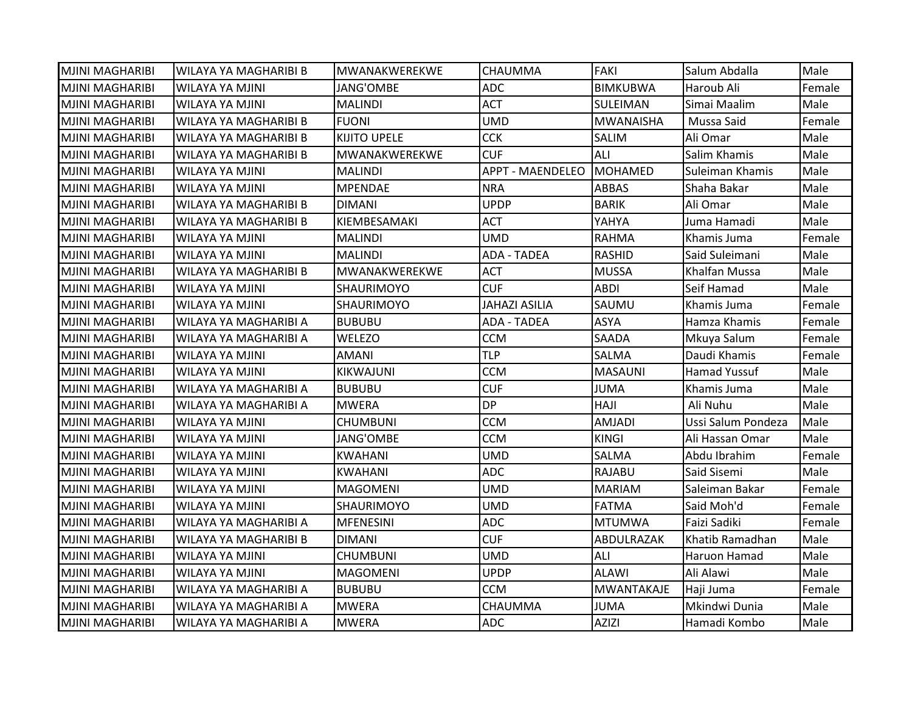| <b>MJINI MAGHARIBI</b> | WILAYA YA MAGHARIBI B        | MWANAKWEREKWE       | <b>CHAUMMA</b>          | <b>FAKI</b>       | Salum Abdalla        | Male   |
|------------------------|------------------------------|---------------------|-------------------------|-------------------|----------------------|--------|
| <b>MJINI MAGHARIBI</b> | WILAYA YA MJINI              | JANG'OMBE           | <b>ADC</b>              | <b>BIMKUBWA</b>   | Haroub Ali           | Female |
| <b>MJINI MAGHARIBI</b> | <b>WILAYA YA MJINI</b>       | <b>MALINDI</b>      | <b>ACT</b>              | SULEIMAN          | Simai Maalim         | Male   |
| IMJINI MAGHARIBI       | WILAYA YA MAGHARIBI B        | <b>FUONI</b>        | <b>UMD</b>              | <b>MWANAISHA</b>  | Mussa Said           | Female |
| <b>MJINI MAGHARIBI</b> | WILAYA YA MAGHARIBI B        | <b>KIJITO UPELE</b> | <b>CCK</b>              | <b>SALIM</b>      | Ali Omar             | Male   |
| <b>MJINI MAGHARIBI</b> | WILAYA YA MAGHARIBI B        | MWANAKWEREKWE       | <b>CUF</b>              | ALI               | Salim Khamis         | Male   |
| MJINI MAGHARIBI        | WILAYA YA MJINI              | MALINDI             | <b>APPT - MAENDELEO</b> | MOHAMED           | Suleiman Khamis      | Male   |
| <b>MJINI MAGHARIBI</b> | <b>WILAYA YA MJINI</b>       | <b>MPENDAE</b>      | <b>NRA</b>              | ABBAS             | Shaha Bakar          | Male   |
| <b>MJINI MAGHARIBI</b> | <b>WILAYA YA MAGHARIBI B</b> | <b>DIMANI</b>       | <b>UPDP</b>             | <b>BARIK</b>      | Ali Omar             | Male   |
| MJINI MAGHARIBI        | WILAYA YA MAGHARIBI B        | KIEMBESAMAKI        | <b>ACT</b>              | YAHYA             | Juma Hamadi          | Male   |
| <b>MJINI MAGHARIBI</b> | WILAYA YA MJINI              | <b>MALINDI</b>      | <b>UMD</b>              | <b>RAHMA</b>      | Khamis Juma          | Female |
| <b>MJINI MAGHARIBI</b> | WILAYA YA MJINI              | MALINDI             | <b>ADA - TADEA</b>      | <b>RASHID</b>     | Said Suleimani       | Male   |
| <b>MJINI MAGHARIBI</b> | WILAYA YA MAGHARIBI B        | MWANAKWEREKWE       | <b>ACT</b>              | <b>MUSSA</b>      | <b>Khalfan Mussa</b> | Male   |
| IMJINI MAGHARIBI       | WILAYA YA MJINI              | SHAURIMOYO          | <b>CUF</b>              | <b>ABDI</b>       | Seif Hamad           | Male   |
| <b>MJINI MAGHARIBI</b> | <b>WILAYA YA MJINI</b>       | SHAURIMOYO          | <b>JAHAZI ASILIA</b>    | SAUMU             | Khamis Juma          | Female |
| <b>MJINI MAGHARIBI</b> | WILAYA YA MAGHARIBI A        | <b>BUBUBU</b>       | <b>ADA - TADEA</b>      | <b>ASYA</b>       | Hamza Khamis         | Female |
| <b>MJINI MAGHARIBI</b> | WILAYA YA MAGHARIBI A        | WELEZO              | <b>CCM</b>              | SAADA             | Mkuya Salum          | Female |
| <b>MJINI MAGHARIBI</b> | <b>WILAYA YA MJINI</b>       | <b>AMANI</b>        | <b>TLP</b>              | SALMA             | Daudi Khamis         | Female |
| <b>MJINI MAGHARIBI</b> | WILAYA YA MJINI              | KIKWAJUNI           | <b>CCM</b>              | <b>MASAUNI</b>    | Hamad Yussuf         | Male   |
| <b>MJINI MAGHARIBI</b> | WILAYA YA MAGHARIBI A        | <b>BUBUBU</b>       | <b>CUF</b>              | <b>JUMA</b>       | Khamis Juma          | Male   |
| <b>MJINI MAGHARIBI</b> | WILAYA YA MAGHARIBI A        | <b>MWERA</b>        | <b>DP</b>               | HAJI              | Ali Nuhu             | Male   |
| MJINI MAGHARIBI        | WILAYA YA MJINI              | CHUMBUNI            | <b>CCM</b>              | <b>AMJADI</b>     | Ussi Salum Pondeza   | Male   |
| <b>MJINI MAGHARIBI</b> | WILAYA YA MJINI              | JANG'OMBE           | <b>CCM</b>              | <b>KINGI</b>      | Ali Hassan Omar      | Male   |
| IMJINI MAGHARIBI       | WILAYA YA MJINI              | <b>KWAHANI</b>      | <b>UMD</b>              | SALMA             | Abdu Ibrahim         | Female |
| <b>MJINI MAGHARIBI</b> | <b>WILAYA YA MJINI</b>       | <b>KWAHANI</b>      | <b>ADC</b>              | <b>RAJABU</b>     | Said Sisemi          | Male   |
| <b>MJINI MAGHARIBI</b> | <b>WILAYA YA MJINI</b>       | <b>MAGOMENI</b>     | <b>UMD</b>              | <b>MARIAM</b>     | Saleiman Bakar       | Female |
| <b>MJINI MAGHARIBI</b> | WILAYA YA MJINI              | SHAURIMOYO          | <b>UMD</b>              | FATMA             | Said Moh'd           | Female |
| <b>MJINI MAGHARIBI</b> | WILAYA YA MAGHARIBI A        | <b>MFENESINI</b>    | <b>ADC</b>              | <b>MTUMWA</b>     | Faizi Sadiki         | Female |
| <b>MJINI MAGHARIBI</b> | <b>WILAYA YA MAGHARIBI B</b> | <b>DIMANI</b>       | <b>CUF</b>              | ABDULRAZAK        | Khatib Ramadhan      | Male   |
| <b>MJINI MAGHARIBI</b> | <b>WILAYA YA MJINI</b>       | <b>CHUMBUNI</b>     | <b>UMD</b>              | ALI               | Haruon Hamad         | Male   |
| <b>MJINI MAGHARIBI</b> | WILAYA YA MJINI              | <b>MAGOMENI</b>     | <b>UPDP</b>             | <b>ALAWI</b>      | Ali Alawi            | Male   |
| <b>MJINI MAGHARIBI</b> | WILAYA YA MAGHARIBI A        | <b>BUBUBU</b>       | <b>CCM</b>              | <b>MWANTAKAJE</b> | Haji Juma            | Female |
| <b>MJINI MAGHARIBI</b> | WILAYA YA MAGHARIBI A        | <b>MWERA</b>        | <b>CHAUMMA</b>          | <b>JUMA</b>       | Mkindwi Dunia        | Male   |
| <b>MJINI MAGHARIBI</b> | WILAYA YA MAGHARIBI A        | <b>MWERA</b>        | <b>ADC</b>              | <b>AZIZI</b>      | Hamadi Kombo         | Male   |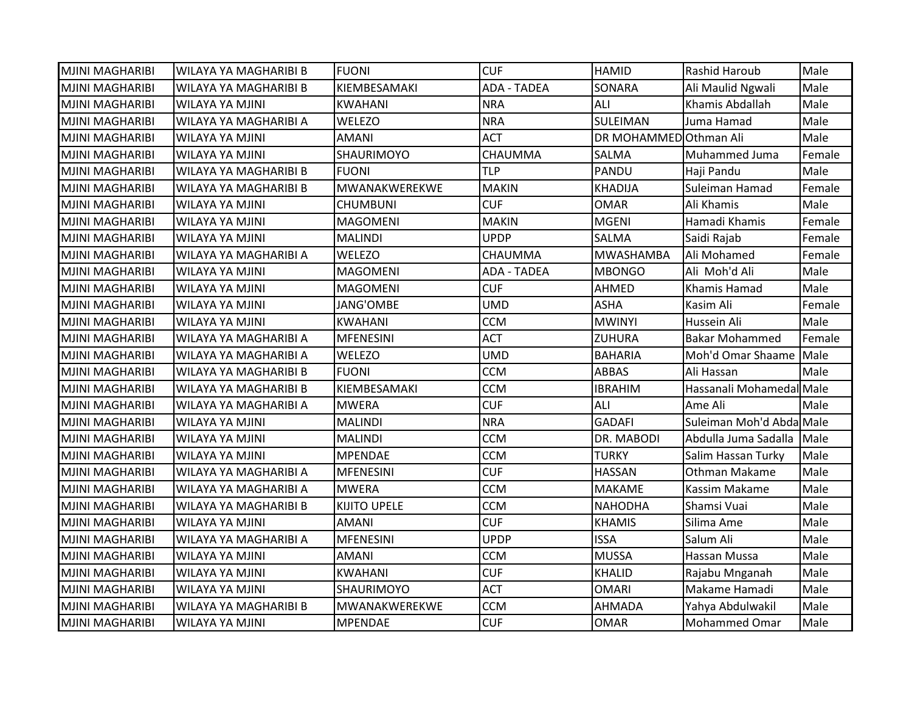| <b>MJINI MAGHARIBI</b> | WILAYA YA MAGHARIBI B        | <b>FUONI</b>         | <b>CUF</b>         | <b>HAMID</b>          | Rashid Haroub            | Male   |
|------------------------|------------------------------|----------------------|--------------------|-----------------------|--------------------------|--------|
| <b>MJINI MAGHARIBI</b> | WILAYA YA MAGHARIBI B        | KIEMBESAMAKI         | <b>ADA - TADEA</b> | SONARA                | Ali Maulid Ngwali        | Male   |
| <b>MJINI MAGHARIBI</b> | <b>WILAYA YA MJINI</b>       | <b>KWAHANI</b>       | <b>NRA</b>         | ALI                   | Khamis Abdallah          | Male   |
| <b>MJINI MAGHARIBI</b> | WILAYA YA MAGHARIBI A        | <b>WELEZO</b>        | <b>NRA</b>         | SULEIMAN              | Juma Hamad               | Male   |
| <b>MJINI MAGHARIBI</b> | <b>WILAYA YA MJINI</b>       | <b>AMANI</b>         | <b>ACT</b>         | DR MOHAMMEDOthman Ali |                          | Male   |
| <b>MJINI MAGHARIBI</b> | WILAYA YA MJINI              | SHAURIMOYO           | CHAUMMA            | SALMA                 | Muhammed Juma            | Female |
| <b>MJINI MAGHARIBI</b> | WILAYA YA MAGHARIBI B        | <b>FUONI</b>         | <b>TLP</b>         | PANDU                 | Haji Pandu               | Male   |
| <b>MJINI MAGHARIBI</b> | WILAYA YA MAGHARIBI B        | <b>MWANAKWEREKWE</b> | <b>MAKIN</b>       | <b>KHADIJA</b>        | Suleiman Hamad           | Female |
| <b>MJINI MAGHARIBI</b> | <b>WILAYA YA MJINI</b>       | <b>CHUMBUNI</b>      | <b>CUF</b>         | <b>OMAR</b>           | Ali Khamis               | Male   |
| <b>MJINI MAGHARIBI</b> | WILAYA YA MJINI              | MAGOMENI             | <b>MAKIN</b>       | <b>MGENI</b>          | Hamadi Khamis            | Female |
| <b>MJINI MAGHARIBI</b> | WILAYA YA MJINI              | <b>MALINDI</b>       | <b>UPDP</b>        | <b>SALMA</b>          | Saidi Rajab              | Female |
| <b>MJINI MAGHARIBI</b> | WILAYA YA MAGHARIBI A        | WELEZO               | CHAUMMA            | <b>MWASHAMBA</b>      | Ali Mohamed              | Female |
| <b>MJINI MAGHARIBI</b> | <b>WILAYA YA MJINI</b>       | <b>MAGOMENI</b>      | <b>ADA - TADEA</b> | <b>MBONGO</b>         | Ali Moh'd Ali            | Male   |
| <b>MJINI MAGHARIBI</b> | <b>WILAYA YA MJINI</b>       | <b>MAGOMENI</b>      | <b>CUF</b>         | AHMED                 | Khamis Hamad             | Male   |
| <b>MJINI MAGHARIBI</b> | WILAYA YA MJINI              | JANG'OMBE            | <b>UMD</b>         | <b>ASHA</b>           | Kasim Ali                | Female |
| <b>MJINI MAGHARIBI</b> | WILAYA YA MJINI              | <b>KWAHANI</b>       | <b>CCM</b>         | <b>MWINYI</b>         | Hussein Ali              | Male   |
| <b>MJINI MAGHARIBI</b> | WILAYA YA MAGHARIBI A        | MFENESINI            | <b>ACT</b>         | <b>ZUHURA</b>         | <b>Bakar Mohammed</b>    | Female |
| <b>MJINI MAGHARIBI</b> | WILAYA YA MAGHARIBI A        | WELEZO               | <b>UMD</b>         | <b>BAHARIA</b>        | Moh'd Omar Shaame        | Male   |
| <b>MJINI MAGHARIBI</b> | <b>WILAYA YA MAGHARIBI B</b> | <b>FUONI</b>         | <b>CCM</b>         | <b>ABBAS</b>          | Ali Hassan               | Male   |
| <b>MJINI MAGHARIBI</b> | WILAYA YA MAGHARIBI B        | KIEMBESAMAKI         | <b>CCM</b>         | <b>IBRAHIM</b>        | Hassanali Mohamedal Male |        |
| <b>MJINI MAGHARIBI</b> | WILAYA YA MAGHARIBI A        | <b>MWERA</b>         | <b>CUF</b>         | ALI                   | Ame Ali                  | Male   |
| <b>MJINI MAGHARIBI</b> | <b>WILAYA YA MJINI</b>       | <b>MALINDI</b>       | <b>NRA</b>         | <b>GADAFI</b>         | Suleiman Moh'd Abda Male |        |
| <b>MJINI MAGHARIBI</b> | <b>WILAYA YA MJINI</b>       | <b>MALINDI</b>       | <b>CCM</b>         | DR. MABODI            | Abdulla Juma Sadalla     | Male   |
| <b>MJINI MAGHARIBI</b> | <b>WILAYA YA MJINI</b>       | <b>MPENDAE</b>       | <b>CCM</b>         | <b>TURKY</b>          | Salim Hassan Turky       | Male   |
| IMJINI MAGHARIBI       | WILAYA YA MAGHARIBI A        | <b>MFENESINI</b>     | <b>CUF</b>         | <b>HASSAN</b>         | Othman Makame            | Male   |
| <b>MJINI MAGHARIBI</b> | WILAYA YA MAGHARIBI A        | <b>MWERA</b>         | <b>CCM</b>         | <b>MAKAME</b>         | Kassim Makame            | Male   |
| <b>MJINI MAGHARIBI</b> | WILAYA YA MAGHARIBI B        | KIJITO UPELE         | <b>CCM</b>         | <b>NAHODHA</b>        | Shamsi Vuai              | Male   |
| <b>MJINI MAGHARIBI</b> | <b>WILAYA YA MJINI</b>       | <b>AMANI</b>         | <b>CUF</b>         | <b>KHAMIS</b>         | Silima Ame               | Male   |
| <b>MJINI MAGHARIBI</b> | WILAYA YA MAGHARIBI A        | <b>MFENESINI</b>     | <b>UPDP</b>        | <b>ISSA</b>           | Salum Ali                | Male   |
| <b>MJINI MAGHARIBI</b> | <b>WILAYA YA MJINI</b>       | <b>AMANI</b>         | <b>CCM</b>         | <b>MUSSA</b>          | Hassan Mussa             | Male   |
| <b>MJINI MAGHARIBI</b> | WILAYA YA MJINI              | <b>KWAHANI</b>       | <b>CUF</b>         | <b>KHALID</b>         | Rajabu Mnganah           | Male   |
| IMJINI MAGHARIBI       | WILAYA YA MJINI              | SHAURIMOYO           | <b>ACT</b>         | <b>OMARI</b>          | Makame Hamadi            | Male   |
| <b>MJINI MAGHARIBI</b> | <b>WILAYA YA MAGHARIBI B</b> | MWANAKWEREKWE        | <b>CCM</b>         | <b>AHMADA</b>         | Yahya Abdulwakil         | Male   |
| <b>MJINI MAGHARIBI</b> | <b>WILAYA YA MJINI</b>       | <b>MPENDAE</b>       | <b>CUF</b>         | <b>OMAR</b>           | <b>Mohammed Omar</b>     | Male   |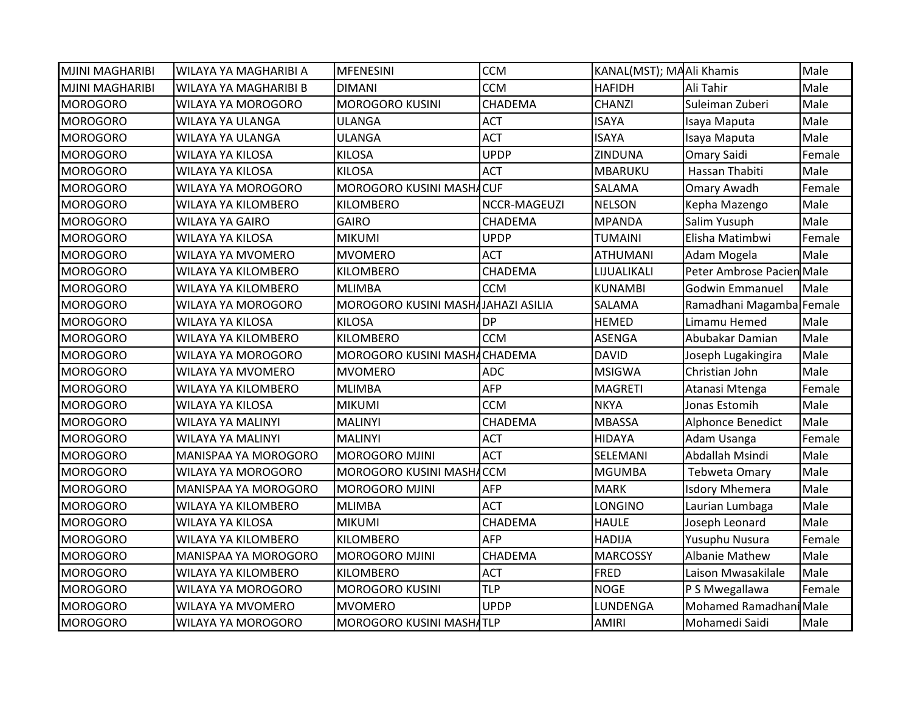| <b>MJINI MAGHARIBI</b> | <b>WILAYA YA MAGHARIBI A</b> | <b>MFENESINI</b>                   | <b>CCM</b>   | KANAL(MST); MAAli Khamis |                           | Male   |
|------------------------|------------------------------|------------------------------------|--------------|--------------------------|---------------------------|--------|
| <b>MJINI MAGHARIBI</b> | WILAYA YA MAGHARIBI B        | <b>DIMANI</b>                      | <b>CCM</b>   | <b>HAFIDH</b>            | Ali Tahir                 | Male   |
| <b>MOROGORO</b>        | <b>WILAYA YA MOROGORO</b>    | <b>MOROGORO KUSINI</b>             | CHADEMA      | <b>CHANZI</b>            | Suleiman Zuberi           | Male   |
| <b>MOROGORO</b>        | WILAYA YA ULANGA             | <b>ULANGA</b>                      | <b>ACT</b>   | <b>ISAYA</b>             | Isaya Maputa              | Male   |
| <b>MOROGORO</b>        | WILAYA YA ULANGA             | <b>ULANGA</b>                      | <b>ACT</b>   | <b>ISAYA</b>             | Isaya Maputa              | Male   |
| <b>MOROGORO</b>        | WILAYA YA KILOSA             | <b>KILOSA</b>                      | <b>UPDP</b>  | ZINDUNA                  | Omary Saidi               | Female |
| <b>MOROGORO</b>        | WILAYA YA KILOSA             | <b>KILOSA</b>                      | <b>ACT</b>   | MBARUKU                  | Hassan Thabiti            | Male   |
| <b>MOROGORO</b>        | WILAYA YA MOROGORO           | MOROGORO KUSINI MASHACUF           |              | SALAMA                   | Omary Awadh               | Female |
| <b>MOROGORO</b>        | WILAYA YA KILOMBERO          | KILOMBERO                          | NCCR-MAGEUZI | <b>NELSON</b>            | Kepha Mazengo             | Male   |
| <b>MOROGORO</b>        | <b>WILAYA YA GAIRO</b>       | <b>GAIRO</b>                       | CHADEMA      | <b>MPANDA</b>            | Salim Yusuph              | Male   |
| <b>MOROGORO</b>        | WILAYA YA KILOSA             | <b>MIKUMI</b>                      | <b>UPDP</b>  | <b>TUMAINI</b>           | Elisha Matimbwi           | Female |
| <b>MOROGORO</b>        | WILAYA YA MVOMERO            | <b>MVOMERO</b>                     | <b>ACT</b>   | <b>ATHUMANI</b>          | Adam Mogela               | Male   |
| <b>MOROGORO</b>        | WILAYA YA KILOMBERO          | <b>KILOMBERO</b>                   | CHADEMA      | LIJUALIKALI              | Peter Ambrose Pacien Male |        |
| <b>MOROGORO</b>        | WILAYA YA KILOMBERO          | <b>MLIMBA</b>                      | <b>CCM</b>   | <b>KUNAMBI</b>           | <b>Godwin Emmanuel</b>    | Male   |
| <b>MOROGORO</b>        | WILAYA YA MOROGORO           | MOROGORO KUSINI MASHAJAHAZI ASILIA |              | SALAMA                   | Ramadhani Magamba Female  |        |
| <b>MOROGORO</b>        | WILAYA YA KILOSA             | <b>KILOSA</b>                      | <b>DP</b>    | <b>HEMED</b>             | Limamu Hemed              | Male   |
| <b>MOROGORO</b>        | WILAYA YA KILOMBERO          | <b>KILOMBERO</b>                   | <b>CCM</b>   | <b>ASENGA</b>            | Abubakar Damian           | Male   |
| <b>MOROGORO</b>        | WILAYA YA MOROGORO           | MOROGORO KUSINI MASHACHADEMA       |              | <b>DAVID</b>             | Joseph Lugakingira        | Male   |
| <b>MOROGORO</b>        | <b>WILAYA YA MVOMERO</b>     | <b>MVOMERO</b>                     | <b>ADC</b>   | <b>MSIGWA</b>            | Christian John            | Male   |
| <b>MOROGORO</b>        | WILAYA YA KILOMBERO          | <b>MLIMBA</b>                      | <b>AFP</b>   | <b>MAGRETI</b>           | Atanasi Mtenga            | Female |
| <b>MOROGORO</b>        | WILAYA YA KILOSA             | <b>MIKUMI</b>                      | <b>CCM</b>   | <b>NKYA</b>              | Jonas Estomih             | Male   |
| <b>MOROGORO</b>        | WILAYA YA MALINYI            | <b>MALINYI</b>                     | CHADEMA      | <b>MBASSA</b>            | Alphonce Benedict         | Male   |
| <b>MOROGORO</b>        | WILAYA YA MALINYI            | <b>MALINYI</b>                     | <b>ACT</b>   | <b>HIDAYA</b>            | Adam Usanga               | Female |
| <b>MOROGORO</b>        | <b>MANISPAA YA MOROGORO</b>  | <b>MOROGORO MJINI</b>              | <b>ACT</b>   | SELEMANI                 | Abdallah Msindi           | Male   |
| <b>MOROGORO</b>        | WILAYA YA MOROGORO           | MOROGORO KUSINI MASHACCM           |              | <b>MGUMBA</b>            | Tebweta Omary             | Male   |
| <b>MOROGORO</b>        | MANISPAA YA MOROGORO         | <b>MOROGORO MJINI</b>              | <b>AFP</b>   | <b>MARK</b>              | <b>Isdory Mhemera</b>     | Male   |
| <b>MOROGORO</b>        | WILAYA YA KILOMBERO          | <b>MLIMBA</b>                      | <b>ACT</b>   | LONGINO                  | Laurian Lumbaga           | Male   |
| <b>MOROGORO</b>        | <b>WILAYA YA KILOSA</b>      | <b>MIKUMI</b>                      | CHADEMA      | <b>HAULE</b>             | Joseph Leonard            | Male   |
| <b>MOROGORO</b>        | WILAYA YA KILOMBERO          | <b>KILOMBERO</b>                   | AFP          | <b>HADIJA</b>            | Yusuphu Nusura            | Female |
| <b>MOROGORO</b>        | MANISPAA YA MOROGORO         | <b>MOROGORO MJINI</b>              | CHADEMA      | <b>MARCOSSY</b>          | <b>Albanie Mathew</b>     | Male   |
| <b>MOROGORO</b>        | WILAYA YA KILOMBERO          | <b>KILOMBERO</b>                   | <b>ACT</b>   | <b>FRED</b>              | Laison Mwasakilale        | Male   |
| <b>MOROGORO</b>        | WILAYA YA MOROGORO           | <b>MOROGORO KUSINI</b>             | <b>TLP</b>   | <b>NOGE</b>              | P S Mwegallawa            | Female |
| <b>MOROGORO</b>        | WILAYA YA MVOMERO            | <b>MVOMERO</b>                     | <b>UPDP</b>  | LUNDENGA                 | Mohamed Ramadhani Male    |        |
| <b>MOROGORO</b>        | WILAYA YA MOROGORO           | MOROGORO KUSINI MASHATLP           |              | <b>AMIRI</b>             | Mohamedi Saidi            | Male   |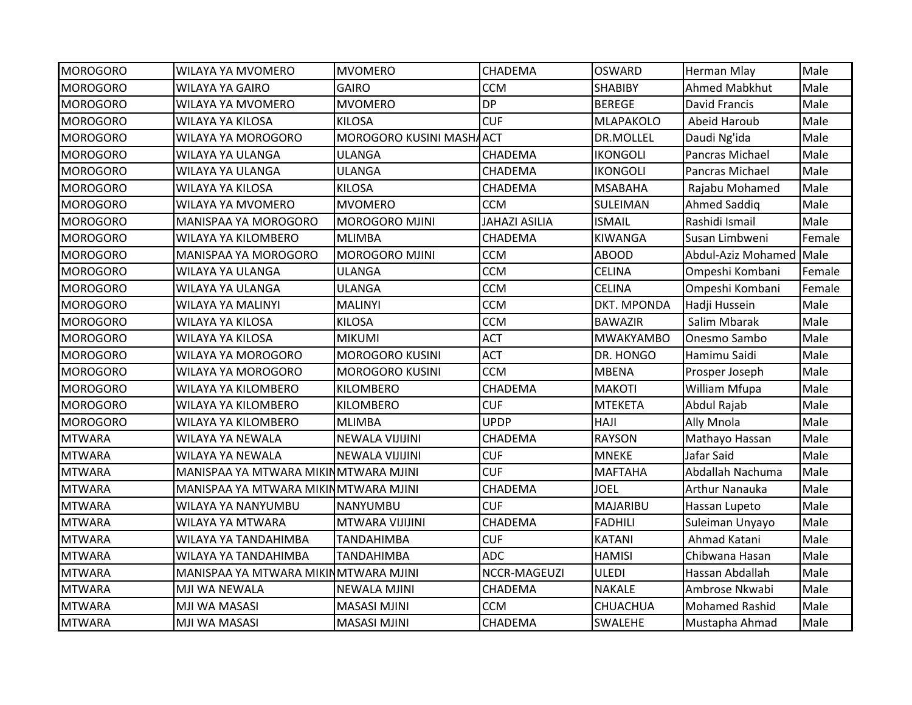| <b>MOROGORO</b> | <b>WILAYA YA MVOMERO</b>             | <b>MVOMERO</b>           | CHADEMA              | <b>OSWARD</b>    | Herman Mlay             | Male   |
|-----------------|--------------------------------------|--------------------------|----------------------|------------------|-------------------------|--------|
| <b>MOROGORO</b> | WILAYA YA GAIRO                      | <b>GAIRO</b>             | <b>CCM</b>           | <b>SHABIBY</b>   | Ahmed Mabkhut           | Male   |
| <b>MOROGORO</b> | WILAYA YA MVOMERO                    | <b>MVOMERO</b>           | <b>DP</b>            | <b>BEREGE</b>    | <b>David Francis</b>    | Male   |
| <b>MOROGORO</b> | <b>WILAYA YA KILOSA</b>              | <b>KILOSA</b>            | <b>CUF</b>           | <b>MLAPAKOLO</b> | Abeid Haroub            | Male   |
| <b>MOROGORO</b> | <b>WILAYA YA MOROGORO</b>            | MOROGORO KUSINI MASHAACT |                      | DR.MOLLEL        | Daudi Ng'ida            | Male   |
| <b>MOROGORO</b> | WILAYA YA ULANGA                     | <b>ULANGA</b>            | CHADEMA              | <b>IKONGOLI</b>  | Pancras Michael         | Male   |
| <b>MOROGORO</b> | WILAYA YA ULANGA                     | <b>ULANGA</b>            | CHADEMA              | <b>IKONGOLI</b>  | Pancras Michael         | Male   |
| <b>MOROGORO</b> | <b>WILAYA YA KILOSA</b>              | <b>KILOSA</b>            | CHADEMA              | <b>MSABAHA</b>   | Rajabu Mohamed          | Male   |
| <b>MOROGORO</b> | <b>WILAYA YA MVOMERO</b>             | <b>MVOMERO</b>           | <b>CCM</b>           | <b>SULEIMAN</b>  | Ahmed Saddig            | Male   |
| <b>MOROGORO</b> | MANISPAA YA MOROGORO                 | <b>MOROGORO MJINI</b>    | <b>JAHAZI ASILIA</b> | <b>ISMAIL</b>    | Rashidi Ismail          | Male   |
| <b>MOROGORO</b> | WILAYA YA KILOMBERO                  | <b>MLIMBA</b>            | CHADEMA              | <b>KIWANGA</b>   | Susan Limbweni          | Female |
| <b>MOROGORO</b> | <b>MANISPAA YA MOROGORO</b>          | <b>MOROGORO MJINI</b>    | <b>CCM</b>           | <b>ABOOD</b>     | Abdul-Aziz Mohamed Male |        |
| <b>MOROGORO</b> | WILAYA YA ULANGA                     | <b>ULANGA</b>            | <b>CCM</b>           | <b>CELINA</b>    | Ompeshi Kombani         | Female |
| <b>MOROGORO</b> | WILAYA YA ULANGA                     | <b>ULANGA</b>            | <b>CCM</b>           | <b>CELINA</b>    | Ompeshi Kombani         | Female |
| <b>MOROGORO</b> | WILAYA YA MALINYI                    | <b>MALINYI</b>           | <b>CCM</b>           | DKT. MPONDA      | Hadji Hussein           | Male   |
| <b>MOROGORO</b> | WILAYA YA KILOSA                     | <b>KILOSA</b>            | <b>CCM</b>           | <b>BAWAZIR</b>   | Salim Mbarak            | Male   |
| <b>MOROGORO</b> | WILAYA YA KILOSA                     | <b>MIKUMI</b>            | <b>ACT</b>           | <b>MWAKYAMBO</b> | Onesmo Sambo            | Male   |
| <b>MOROGORO</b> | WILAYA YA MOROGORO                   | <b>MOROGORO KUSINI</b>   | <b>ACT</b>           | DR. HONGO        | Hamimu Saidi            | Male   |
| <b>MOROGORO</b> | <b>WILAYA YA MOROGORO</b>            | <b>MOROGORO KUSINI</b>   | <b>CCM</b>           | <b>MBENA</b>     | Prosper Joseph          | Male   |
| <b>MOROGORO</b> | WILAYA YA KILOMBERO                  | <b>KILOMBERO</b>         | CHADEMA              | <b>MAKOTI</b>    | William Mfupa           | Male   |
| <b>MOROGORO</b> | WILAYA YA KILOMBERO                  | KILOMBERO                | <b>CUF</b>           | <b>MTEKETA</b>   | Abdul Rajab             | Male   |
| <b>MOROGORO</b> | WILAYA YA KILOMBERO                  | <b>MLIMBA</b>            | <b>UPDP</b>          | <b>HAJI</b>      | Ally Mnola              | Male   |
| <b>MTWARA</b>   | WILAYA YA NEWALA                     | <b>NEWALA VIJIJINI</b>   | CHADEMA              | <b>RAYSON</b>    | Mathayo Hassan          | Male   |
| <b>MTWARA</b>   | WILAYA YA NEWALA                     | <b>NEWALA VIJIJINI</b>   | <b>CUF</b>           | <b>MNEKE</b>     | Jafar Said              | Male   |
| <b>MTWARA</b>   | MANISPAA YA MTWARA MIKINMTWARA MJINI |                          | <b>CUF</b>           | <b>MAFTAHA</b>   | Abdallah Nachuma        | Male   |
| <b>MTWARA</b>   | MANISPAA YA MTWARA MIKINMTWARA MJINI |                          | CHADEMA              | <b>JOEL</b>      | Arthur Nanauka          | Male   |
| <b>MTWARA</b>   | WILAYA YA NANYUMBU                   | NANYUMBU                 | <b>CUF</b>           | MAJARIBU         | Hassan Lupeto           | Male   |
| <b>MTWARA</b>   | WILAYA YA MTWARA                     | MTWARA VIJIJINI          | CHADEMA              | <b>FADHILI</b>   | Suleiman Unyayo         | Male   |
| <b>MTWARA</b>   | WILAYA YA TANDAHIMBA                 | <b>TANDAHIMBA</b>        | <b>CUF</b>           | KATANI           | Ahmad Katani            | Male   |
| <b>MTWARA</b>   | WILAYA YA TANDAHIMBA                 | TANDAHIMBA               | <b>ADC</b>           | <b>HAMISI</b>    | Chibwana Hasan          | Male   |
| <b>MTWARA</b>   | MANISPAA YA MTWARA MIKINMTWARA MJINI |                          | NCCR-MAGEUZI         | <b>ULEDI</b>     | Hassan Abdallah         | Male   |
| <b>MTWARA</b>   | MJI WA NEWALA                        | NEWALA MJINI             | CHADEMA              | <b>NAKALE</b>    | Ambrose Nkwabi          | Male   |
| <b>MTWARA</b>   | MJI WA MASASI                        | <b>MASASI MJINI</b>      | <b>CCM</b>           | <b>CHUACHUA</b>  | <b>Mohamed Rashid</b>   | Male   |
| <b>MTWARA</b>   | MJI WA MASASI                        | <b>MASASI MJINI</b>      | CHADEMA              | <b>SWALEHE</b>   | Mustapha Ahmad          | Male   |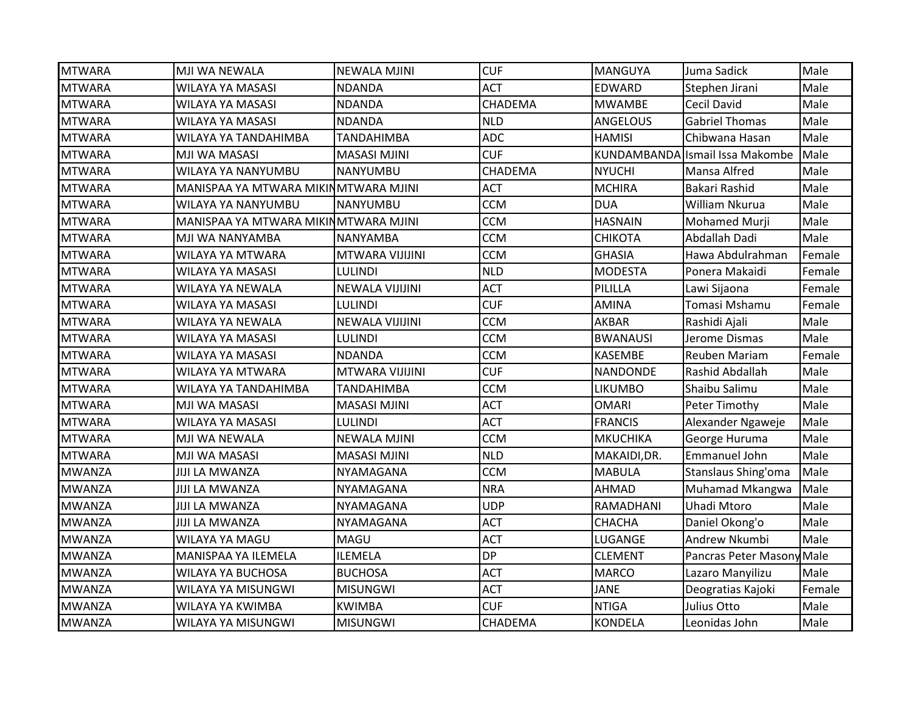| <b>MTWARA</b> | MJI WA NEWALA                        | <b>NEWALA MJINI</b>    | <b>CUF</b>     | <b>MANGUYA</b>  | Juma Sadick                     | Male   |
|---------------|--------------------------------------|------------------------|----------------|-----------------|---------------------------------|--------|
| <b>MTWARA</b> | WILAYA YA MASASI                     | <b>NDANDA</b>          | <b>ACT</b>     | <b>EDWARD</b>   | Stephen Jirani                  | Male   |
| <b>MTWARA</b> | <b>WILAYA YA MASASI</b>              | <b>NDANDA</b>          | CHADEMA        | <b>MWAMBE</b>   | <b>Cecil David</b>              | Male   |
| <b>MTWARA</b> | WILAYA YA MASASI                     | <b>NDANDA</b>          | <b>NLD</b>     | <b>ANGELOUS</b> | <b>Gabriel Thomas</b>           | Male   |
| <b>MTWARA</b> | WILAYA YA TANDAHIMBA                 | <b>TANDAHIMBA</b>      | <b>ADC</b>     | <b>HAMISI</b>   | Chibwana Hasan                  | Male   |
| <b>MTWARA</b> | MJI WA MASASI                        | <b>MASASI MJINI</b>    | <b>CUF</b>     |                 | KUNDAMBANDA Ismail Issa Makombe | Male   |
| <b>MTWARA</b> | WILAYA YA NANYUMBU                   | <b>NANYUMBU</b>        | CHADEMA        | <b>NYUCHI</b>   | <b>Mansa Alfred</b>             | Male   |
| <b>MTWARA</b> | MANISPAA YA MTWARA MIKINMTWARA MJINI |                        | <b>ACT</b>     | <b>MCHIRA</b>   | Bakari Rashid                   | Male   |
| <b>MTWARA</b> | WILAYA YA NANYUMBU                   | <b>NANYUMBU</b>        | <b>CCM</b>     | DUA             | William Nkurua                  | Male   |
| <b>MTWARA</b> | MANISPAA YA MTWARA MIKINMTWARA MJINI |                        | <b>CCM</b>     | <b>HASNAIN</b>  | Mohamed Murji                   | Male   |
| <b>MTWARA</b> | MJI WA NANYAMBA                      | <b>NANYAMBA</b>        | <b>CCM</b>     | <b>CHIKOTA</b>  | Abdallah Dadi                   | Male   |
| <b>MTWARA</b> | WILAYA YA MTWARA                     | MTWARA VIJIJINI        | <b>CCM</b>     | <b>GHASIA</b>   | Hawa Abdulrahman                | Female |
| <b>MTWARA</b> | WILAYA YA MASASI                     | <b>LULINDI</b>         | <b>NLD</b>     | <b>MODESTA</b>  | Ponera Makaidi                  | Female |
| <b>MTWARA</b> | WILAYA YA NEWALA                     | <b>NEWALA VIJIJINI</b> | <b>ACT</b>     | PILILLA         | Lawi Sijaona                    | Female |
| <b>MTWARA</b> | WILAYA YA MASASI                     | <b>LULINDI</b>         | <b>CUF</b>     | <b>AMINA</b>    | Tomasi Mshamu                   | Female |
| <b>MTWARA</b> | WILAYA YA NEWALA                     | <b>NEWALA VIJIJINI</b> | <b>CCM</b>     | AKBAR           | Rashidi Ajali                   | Male   |
| <b>MTWARA</b> | WILAYA YA MASASI                     | <b>LULINDI</b>         | <b>CCM</b>     | <b>BWANAUSI</b> | Jerome Dismas                   | Male   |
| <b>MTWARA</b> | <b>WILAYA YA MASASI</b>              | <b>NDANDA</b>          | <b>CCM</b>     | <b>KASEMBE</b>  | Reuben Mariam                   | Female |
| <b>MTWARA</b> | WILAYA YA MTWARA                     | MTWARA VIJIJINI        | <b>CUF</b>     | <b>NANDONDE</b> | Rashid Abdallah                 | Male   |
| <b>MTWARA</b> | WILAYA YA TANDAHIMBA                 | <b>TANDAHIMBA</b>      | <b>CCM</b>     | <b>LIKUMBO</b>  | Shaibu Salimu                   | Male   |
| <b>MTWARA</b> | MJI WA MASASI                        | <b>MASASI MJINI</b>    | <b>ACT</b>     | <b>OMARI</b>    | Peter Timothy                   | Male   |
| <b>MTWARA</b> | WILAYA YA MASASI                     | <b>LULINDI</b>         | <b>ACT</b>     | <b>FRANCIS</b>  | Alexander Ngaweje               | Male   |
| <b>MTWARA</b> | MJI WA NEWALA                        | <b>NEWALA MJINI</b>    | <b>CCM</b>     | <b>MKUCHIKA</b> | George Huruma                   | Male   |
| <b>MTWARA</b> | MJI WA MASASI                        | <b>MASASI MJINI</b>    | <b>NLD</b>     | MAKAIDI, DR.    | Emmanuel John                   | Male   |
| <b>MWANZA</b> | <b>JIJI LA MWANZA</b>                | NYAMAGANA              | <b>CCM</b>     | <b>MABULA</b>   | Stanslaus Shing'oma             | Male   |
| <b>MWANZA</b> | <b>JIJI LA MWANZA</b>                | NYAMAGANA              | <b>NRA</b>     | AHMAD           | Muhamad Mkangwa                 | Male   |
| <b>MWANZA</b> | <b>JIJI LA MWANZA</b>                | NYAMAGANA              | <b>UDP</b>     | RAMADHANI       | Uhadi Mtoro                     | Male   |
| <b>MWANZA</b> | <b>JIJI LA MWANZA</b>                | NYAMAGANA              | <b>ACT</b>     | <b>CHACHA</b>   | Daniel Okong'o                  | Male   |
| <b>MWANZA</b> | <b>WILAYA YA MAGU</b>                | MAGU                   | <b>ACT</b>     | LUGANGE         | Andrew Nkumbi                   | Male   |
| <b>MWANZA</b> | MANISPAA YA ILEMELA                  | <b>ILEMELA</b>         | <b>DP</b>      | <b>CLEMENT</b>  | Pancras Peter Masony Male       |        |
| <b>MWANZA</b> | WILAYA YA BUCHOSA                    | <b>BUCHOSA</b>         | <b>ACT</b>     | <b>MARCO</b>    | Lazaro Manyilizu                | Male   |
| <b>MWANZA</b> | WILAYA YA MISUNGWI                   | <b>MISUNGWI</b>        | <b>ACT</b>     | <b>JANE</b>     | Deogratias Kajoki               | Female |
| <b>MWANZA</b> | WILAYA YA KWIMBA                     | <b>KWIMBA</b>          | <b>CUF</b>     | <b>NTIGA</b>    | Julius Otto                     | Male   |
| <b>MWANZA</b> | WILAYA YA MISUNGWI                   | <b>MISUNGWI</b>        | <b>CHADEMA</b> | <b>KONDELA</b>  | Leonidas John                   | Male   |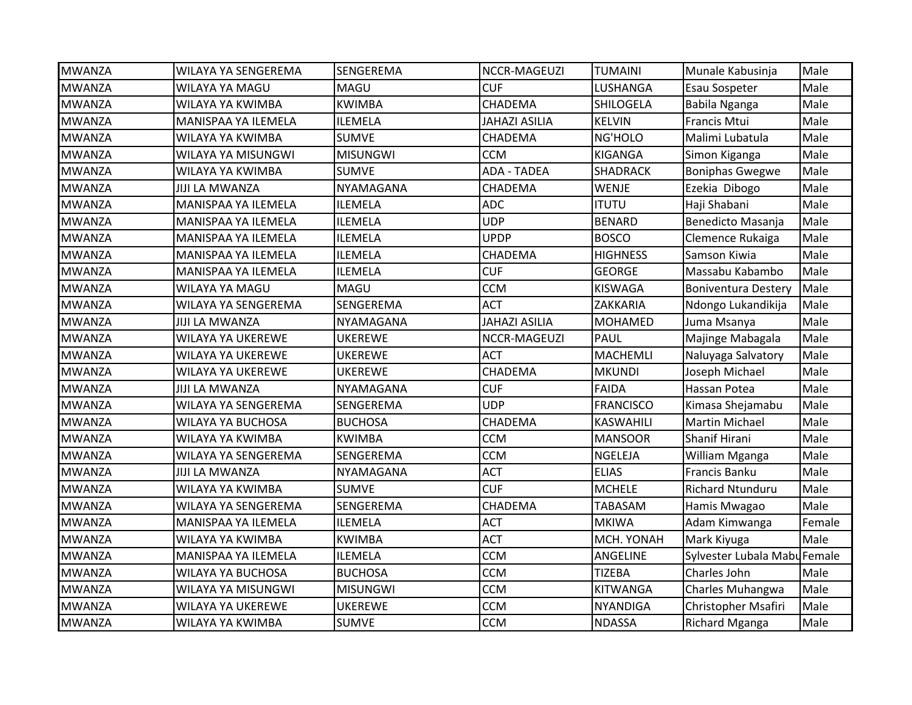| <b>MWANZA</b> | WILAYA YA SENGEREMA      | SENGEREMA        | NCCR-MAGEUZI         | <b>TUMAINI</b>   | Munale Kabusinja             | Male   |
|---------------|--------------------------|------------------|----------------------|------------------|------------------------------|--------|
| <b>MWANZA</b> | WILAYA YA MAGU           | MAGU             | <b>CUF</b>           | LUSHANGA         | Esau Sospeter                | Male   |
| <b>MWANZA</b> | WILAYA YA KWIMBA         | <b>KWIMBA</b>    | CHADEMA              | SHILOGELA        | Babila Nganga                | Male   |
| <b>MWANZA</b> | MANISPAA YA ILEMELA      | <b>ILEMELA</b>   | <b>JAHAZI ASILIA</b> | <b>KELVIN</b>    | <b>Francis Mtui</b>          | Male   |
| <b>MWANZA</b> | WILAYA YA KWIMBA         | <b>SUMVE</b>     | CHADEMA              | NG'HOLO          | Malimi Lubatula              | Male   |
| <b>MWANZA</b> | WILAYA YA MISUNGWI       | <b>MISUNGWI</b>  | <b>CCM</b>           | <b>KIGANGA</b>   | Simon Kiganga                | Male   |
| <b>MWANZA</b> | WILAYA YA KWIMBA         | <b>SUMVE</b>     | <b>ADA - TADEA</b>   | <b>SHADRACK</b>  | <b>Boniphas Gwegwe</b>       | Male   |
| <b>MWANZA</b> | <b>JIJI LA MWANZA</b>    | <b>NYAMAGANA</b> | CHADEMA              | <b>WENJE</b>     | Ezekia Dibogo                | Male   |
| <b>MWANZA</b> | MANISPAA YA ILEMELA      | <b>ILEMELA</b>   | <b>ADC</b>           | <b>ITUTU</b>     | Haji Shabani                 | Male   |
| <b>MWANZA</b> | MANISPAA YA ILEMELA      | <b>ILEMELA</b>   | <b>UDP</b>           | <b>BENARD</b>    | Benedicto Masanja            | Male   |
| <b>MWANZA</b> | MANISPAA YA ILEMELA      | <b>ILEMELA</b>   | <b>UPDP</b>          | <b>BOSCO</b>     | Clemence Rukaiga             | Male   |
| <b>MWANZA</b> | MANISPAA YA ILEMELA      | <b>ILEMELA</b>   | CHADEMA              | <b>HIGHNESS</b>  | Samson Kiwia                 | Male   |
| <b>MWANZA</b> | MANISPAA YA ILEMELA      | <b>ILEMELA</b>   | <b>CUF</b>           | <b>GEORGE</b>    | Massabu Kabambo              | Male   |
| <b>MWANZA</b> | WILAYA YA MAGU           | <b>MAGU</b>      | <b>CCM</b>           | <b>KISWAGA</b>   | <b>Boniventura Destery</b>   | Male   |
| <b>MWANZA</b> | WILAYA YA SENGEREMA      | SENGEREMA        | <b>ACT</b>           | ZAKKARIA         | Ndongo Lukandikija           | Male   |
| <b>MWANZA</b> | JIJI LA MWANZA           | NYAMAGANA        | <b>JAHAZI ASILIA</b> | <b>MOHAMED</b>   | Juma Msanya                  | Male   |
| <b>MWANZA</b> | WILAYA YA UKEREWE        | <b>UKEREWE</b>   | NCCR-MAGEUZI         | PAUL             | Majinge Mabagala             | Male   |
| <b>MWANZA</b> | WILAYA YA UKEREWE        | <b>UKEREWE</b>   | <b>ACT</b>           | <b>MACHEMLI</b>  | Naluyaga Salvatory           | Male   |
| <b>MWANZA</b> | <b>WILAYA YA UKEREWE</b> | <b>UKEREWE</b>   | CHADEMA              | <b>MKUNDI</b>    | Joseph Michael               | Male   |
| <b>MWANZA</b> | <b>JIJI LA MWANZA</b>    | <b>NYAMAGANA</b> | <b>CUF</b>           | <b>FAIDA</b>     | Hassan Potea                 | Male   |
| <b>MWANZA</b> | WILAYA YA SENGEREMA      | SENGEREMA        | <b>UDP</b>           | <b>FRANCISCO</b> | Kimasa Shejamabu             | Male   |
| <b>MWANZA</b> | WILAYA YA BUCHOSA        | <b>BUCHOSA</b>   | CHADEMA              | <b>KASWAHILI</b> | <b>Martin Michael</b>        | Male   |
| <b>MWANZA</b> | WILAYA YA KWIMBA         | <b>KWIMBA</b>    | <b>CCM</b>           | <b>MANSOOR</b>   | Shanif Hirani                | Male   |
| <b>MWANZA</b> | WILAYA YA SENGEREMA      | <b>SENGEREMA</b> | <b>CCM</b>           | <b>NGELEJA</b>   | William Mganga               | Male   |
| <b>MWANZA</b> | <b>JIJI LA MWANZA</b>    | NYAMAGANA        | <b>ACT</b>           | <b>ELIAS</b>     | Francis Banku                | Male   |
| <b>MWANZA</b> | WILAYA YA KWIMBA         | <b>SUMVE</b>     | <b>CUF</b>           | <b>MCHELE</b>    | Richard Ntunduru             | Male   |
| <b>MWANZA</b> | WILAYA YA SENGEREMA      | SENGEREMA        | CHADEMA              | <b>TABASAM</b>   | Hamis Mwagao                 | Male   |
| <b>MWANZA</b> | MANISPAA YA ILEMELA      | <b>ILEMELA</b>   | <b>ACT</b>           | <b>MKIWA</b>     | Adam Kimwanga                | Female |
| <b>MWANZA</b> | WILAYA YA KWIMBA         | <b>KWIMBA</b>    | <b>ACT</b>           | MCH. YONAH       | Mark Kiyuga                  | Male   |
| <b>MWANZA</b> | MANISPAA YA ILEMELA      | <b>ILEMELA</b>   | <b>CCM</b>           | ANGELINE         | Sylvester Lubala Mabu Female |        |
| <b>MWANZA</b> | WILAYA YA BUCHOSA        | <b>BUCHOSA</b>   | <b>CCM</b>           | <b>TIZEBA</b>    | Charles John                 | Male   |
| <b>MWANZA</b> | WILAYA YA MISUNGWI       | <b>MISUNGWI</b>  | <b>CCM</b>           | <b>KITWANGA</b>  | Charles Muhangwa             | Male   |
| <b>MWANZA</b> | WILAYA YA UKEREWE        | <b>UKEREWE</b>   | <b>CCM</b>           | <b>NYANDIGA</b>  | Christopher Msafiri          | Male   |
| <b>MWANZA</b> | WILAYA YA KWIMBA         | <b>SUMVE</b>     | <b>CCM</b>           | <b>NDASSA</b>    | <b>Richard Mganga</b>        | Male   |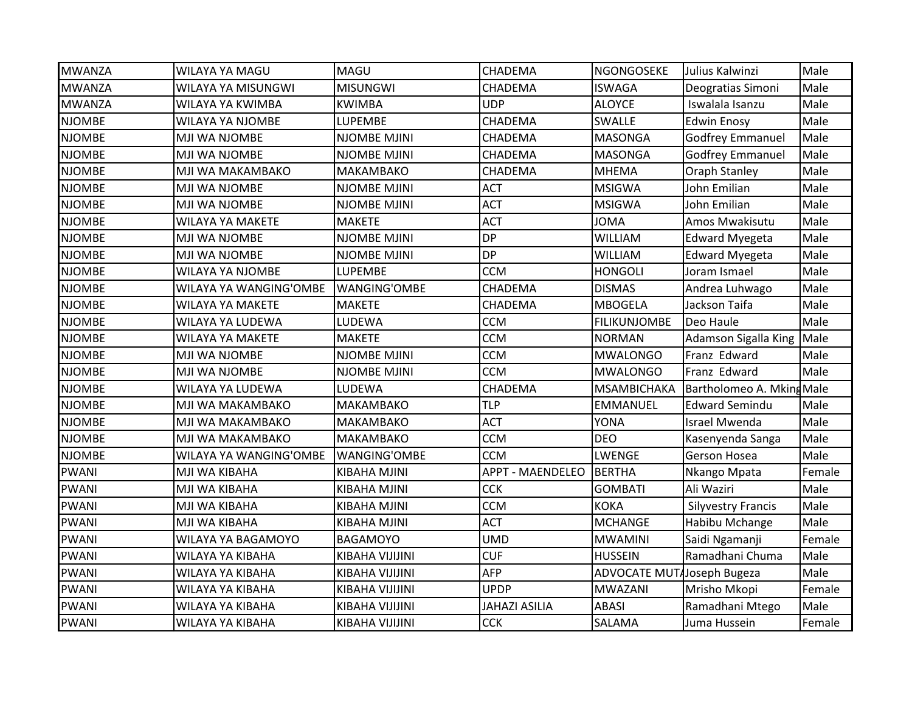| <b>MWANZA</b> | <b>WILAYA YA MAGU</b>   | MAGU                   | <b>CHADEMA</b>          | NGONGOSEKE                        | Julius Kalwinzi           | Male   |
|---------------|-------------------------|------------------------|-------------------------|-----------------------------------|---------------------------|--------|
| <b>MWANZA</b> | WILAYA YA MISUNGWI      | <b>MISUNGWI</b>        | <b>CHADEMA</b>          | <b>ISWAGA</b>                     | Deogratias Simoni         | Male   |
| <b>MWANZA</b> | WILAYA YA KWIMBA        | <b>KWIMBA</b>          | <b>UDP</b>              | <b>ALOYCE</b>                     | Iswalala Isanzu           | Male   |
| <b>NJOMBE</b> | <b>WILAYA YA NJOMBE</b> | <b>LUPEMBE</b>         | CHADEMA                 | SWALLE                            | <b>Edwin Enosy</b>        | Male   |
| <b>NJOMBE</b> | MJI WA NJOMBE           | NJOMBE MJINI           | CHADEMA                 | <b>MASONGA</b>                    | <b>Godfrey Emmanuel</b>   | Male   |
| <b>NJOMBE</b> | MJI WA NJOMBE           | NJOMBE MJINI           | CHADEMA                 | <b>MASONGA</b>                    | <b>Godfrey Emmanuel</b>   | Male   |
| <b>NJOMBE</b> | MJI WA MAKAMBAKO        | MAKAMBAKO              | <b>CHADEMA</b>          | <b>MHEMA</b>                      | Oraph Stanley             | Male   |
| <b>NJOMBE</b> | MJI WA NJOMBE           | NJOMBE MJINI           | <b>ACT</b>              | <b>MSIGWA</b>                     | John Emilian              | Male   |
| <b>NJOMBE</b> | MJI WA NJOMBE           | NJOMBE MJINI           | <b>ACT</b>              | <b>MSIGWA</b>                     | John Emilian              | Male   |
| <b>NJOMBE</b> | <b>WILAYA YA MAKETE</b> | <b>MAKETE</b>          | <b>ACT</b>              | <b>JOMA</b>                       | Amos Mwakisutu            | Male   |
| <b>NJOMBE</b> | MJI WA NJOMBE           | NJOMBE MJINI           | <b>DP</b>               | <b>WILLIAM</b>                    | <b>Edward Myegeta</b>     | Male   |
| <b>NJOMBE</b> | MJI WA NJOMBE           | NJOMBE MJINI           | <b>DP</b>               | <b>WILLIAM</b>                    | <b>Edward Myegeta</b>     | Male   |
| <b>NJOMBE</b> | <b>WILAYA YA NJOMBE</b> | LUPEMBE                | <b>CCM</b>              | <b>HONGOLI</b>                    | Joram Ismael              | Male   |
| <b>NJOMBE</b> | WILAYA YA WANGING'OMBE  | <b>WANGING'OMBE</b>    | CHADEMA                 | <b>DISMAS</b>                     | Andrea Luhwago            | Male   |
| <b>NJOMBE</b> | WILAYA YA MAKETE        | <b>MAKETE</b>          | CHADEMA                 | <b>MBOGELA</b>                    | Jackson Taifa             | Male   |
| <b>NJOMBE</b> | WILAYA YA LUDEWA        | LUDEWA                 | <b>CCM</b>              | <b>FILIKUNJOMBE</b>               | Deo Haule                 | Male   |
| <b>NJOMBE</b> | WILAYA YA MAKETE        | <b>MAKETE</b>          | <b>CCM</b>              | <b>NORMAN</b>                     | Adamson Sigalla King      | Male   |
| <b>NJOMBE</b> | MJI WA NJOMBE           | NJOMBE MJINI           | <b>CCM</b>              | <b>MWALONGO</b>                   | Franz Edward              | Male   |
| <b>NJOMBE</b> | MJI WA NJOMBE           | <b>NJOMBE MJINI</b>    | <b>CCM</b>              | <b>MWALONGO</b>                   | Franz Edward              | Male   |
| <b>NJOMBE</b> | WILAYA YA LUDEWA        | LUDEWA                 | <b>CHADEMA</b>          | <b>MSAMBICHAKA</b>                | Bartholomeo A. Mking Male |        |
| <b>NJOMBE</b> | MJI WA MAKAMBAKO        | MAKAMBAKO              | <b>TLP</b>              | <b>EMMANUEL</b>                   | <b>Edward Semindu</b>     | Male   |
| <b>NJOMBE</b> | MJI WA MAKAMBAKO        | MAKAMBAKO              | <b>ACT</b>              | YONA                              | <b>Israel Mwenda</b>      | Male   |
| <b>NJOMBE</b> | MJI WA MAKAMBAKO        | MAKAMBAKO              | <b>CCM</b>              | <b>DEO</b>                        | Kasenyenda Sanga          | Male   |
| <b>NJOMBE</b> | WILAYA YA WANGING'OMBE  | WANGING'OMBE           | <b>CCM</b>              | LWENGE                            | <b>Gerson Hosea</b>       | Male   |
| <b>PWANI</b>  | MJI WA KIBAHA           | <b>KIBAHA MJINI</b>    | <b>APPT - MAENDELEO</b> | <b>BERTHA</b>                     | Nkango Mpata              | Female |
| <b>PWANI</b>  | MJI WA KIBAHA           | <b>KIBAHA MJINI</b>    | <b>CCK</b>              | <b>GOMBATI</b>                    | Ali Waziri                | Male   |
| <b>PWANI</b>  | MJI WA KIBAHA           | KIBAHA MJINI           | <b>CCM</b>              | <b>KOKA</b>                       | <b>Silyvestry Francis</b> | Male   |
| <b>PWANI</b>  | MJI WA KIBAHA           | KIBAHA MJINI           | <b>ACT</b>              | <b>MCHANGE</b>                    | Habibu Mchange            | Male   |
| <b>PWANI</b>  | WILAYA YA BAGAMOYO      | <b>BAGAMOYO</b>        | <b>UMD</b>              | <b>MWAMINI</b>                    | Saidi Ngamanji            | Female |
| <b>PWANI</b>  | WILAYA YA KIBAHA        | KIBAHA VIJIJINI        | <b>CUF</b>              | <b>HUSSEIN</b>                    | Ramadhani Chuma           | Male   |
| <b>PWANI</b>  | WILAYA YA KIBAHA        | <b>KIBAHA VIJIJINI</b> | <b>AFP</b>              | <b>ADVOCATE MUT</b> Joseph Bugeza |                           | Male   |
| <b>PWANI</b>  | WILAYA YA KIBAHA        | KIBAHA VIJIJINI        | <b>UPDP</b>             | <b>MWAZANI</b>                    | Mrisho Mkopi              | Female |
| <b>PWANI</b>  | WILAYA YA KIBAHA        | KIBAHA VIJIJINI        | <b>JAHAZI ASILIA</b>    | <b>ABASI</b>                      | Ramadhani Mtego           | Male   |
| <b>PWANI</b>  | WILAYA YA KIBAHA        | <b>KIBAHA VIJIJINI</b> | <b>CCK</b>              | SALAMA                            | Juma Hussein              | Female |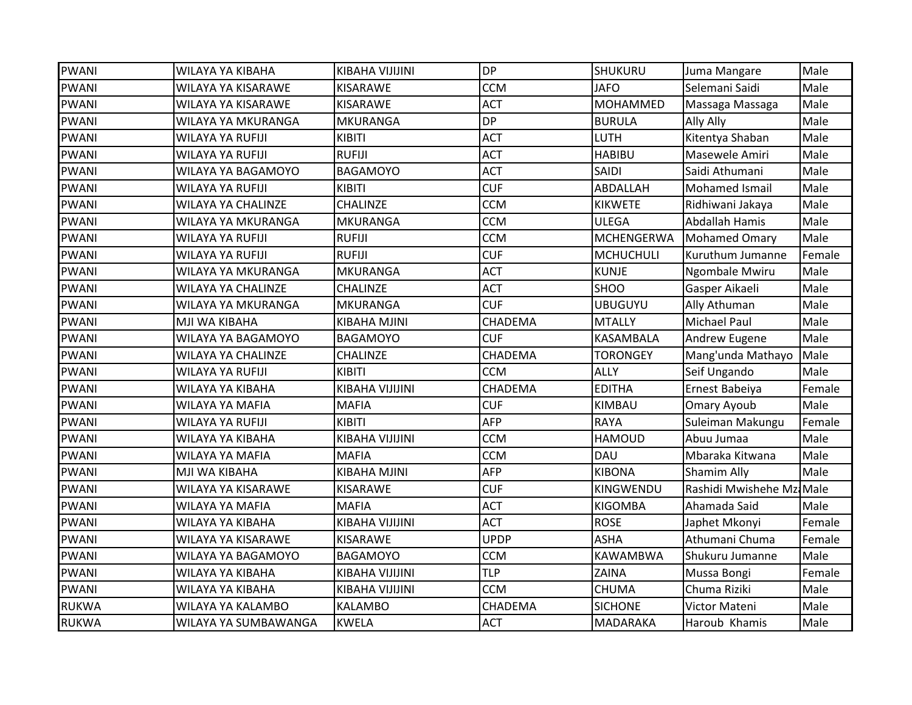| WILAYA YA KIBAHA          | KIBAHA VIJIJINI     | <b>DP</b>      | SHUKURU           | Juma Mangare        | Male                      |
|---------------------------|---------------------|----------------|-------------------|---------------------|---------------------------|
| WILAYA YA KISARAWE        | KISARAWE            | <b>CCM</b>     | <b>JAFO</b>       | Selemani Saidi      | Male                      |
| WILAYA YA KISARAWE        | KISARAWE            | <b>ACT</b>     | MOHAMMED          | Massaga Massaga     | Male                      |
| WILAYA YA MKURANGA        | <b>MKURANGA</b>     | <b>DP</b>      | <b>BURULA</b>     | Ally Ally           | Male                      |
| <b>WILAYA YA RUFIJI</b>   | KIBITI              | <b>ACT</b>     | LUTH              | Kitentya Shaban     | Male                      |
| WILAYA YA RUFIJI          | <b>RUFIJI</b>       | <b>ACT</b>     | <b>HABIBU</b>     | Masewele Amiri      | Male                      |
| WILAYA YA BAGAMOYO        | <b>BAGAMOYO</b>     | <b>ACT</b>     | SAIDI             | Saidi Athumani      | Male                      |
| <b>WILAYA YA RUFIJI</b>   | KIBITI              | <b>CUF</b>     | ABDALLAH          | Mohamed Ismail      | Male                      |
| <b>WILAYA YA CHALINZE</b> | <b>CHALINZE</b>     | <b>CCM</b>     | <b>KIKWETE</b>    | Ridhiwani Jakaya    | Male                      |
| WILAYA YA MKURANGA        | <b>MKURANGA</b>     | <b>CCM</b>     | <b>ULEGA</b>      | Abdallah Hamis      | Male                      |
| WILAYA YA RUFIJI          | <b>RUFIJI</b>       | <b>CCM</b>     | <b>MCHENGERWA</b> | Mohamed Omary       | Male                      |
| WILAYA YA RUFIJI          | <b>RUFIJI</b>       | <b>CUF</b>     | <b>MCHUCHULI</b>  | Kuruthum Jumanne    | Female                    |
| WILAYA YA MKURANGA        | <b>MKURANGA</b>     | <b>ACT</b>     | <b>KUNJE</b>      | Ngombale Mwiru      | Male                      |
| <b>WILAYA YA CHALINZE</b> | <b>CHALINZE</b>     | <b>ACT</b>     | <b>SHOO</b>       | Gasper Aikaeli      | Male                      |
| WILAYA YA MKURANGA        | <b>MKURANGA</b>     | <b>CUF</b>     | <b>UBUGUYU</b>    | Ally Athuman        | Male                      |
| MJI WA KIBAHA             | KIBAHA MJINI        | CHADEMA        | <b>MTALLY</b>     | <b>Michael Paul</b> | Male                      |
| WILAYA YA BAGAMOYO        | <b>BAGAMOYO</b>     | <b>CUF</b>     | KASAMBALA         | Andrew Eugene       | Male                      |
| WILAYA YA CHALINZE        | CHALINZE            | CHADEMA        | <b>TORONGEY</b>   | Mang'unda Mathayo   | Male                      |
| WILAYA YA RUFIJI          | KIBITI              | <b>CCM</b>     | <b>ALLY</b>       | Seif Ungando        | Male                      |
| WILAYA YA KIBAHA          | KIBAHA VIJIJINI     | CHADEMA        | <b>EDITHA</b>     | Ernest Babeiya      | Female                    |
| WILAYA YA MAFIA           | <b>MAFIA</b>        | <b>CUF</b>     | KIMBAU            | Omary Ayoub         | Male                      |
| WILAYA YA RUFIJI          | KIBITI              | <b>AFP</b>     | <b>RAYA</b>       | Suleiman Makungu    | Female                    |
| WILAYA YA KIBAHA          | KIBAHA VIJIJINI     | <b>CCM</b>     | <b>HAMOUD</b>     | Abuu Jumaa          | Male                      |
| WILAYA YA MAFIA           | <b>MAFIA</b>        | <b>CCM</b>     | DAU               | Mbaraka Kitwana     | Male                      |
| MJI WA KIBAHA             | <b>KIBAHA MJINI</b> | <b>AFP</b>     | <b>KIBONA</b>     | Shamim Ally         | Male                      |
| WILAYA YA KISARAWE        | KISARAWE            | <b>CUF</b>     | KINGWENDU         |                     |                           |
| WILAYA YA MAFIA           | MAFIA               | <b>ACT</b>     | <b>KIGOMBA</b>    | Ahamada Said        | Male                      |
| WILAYA YA KIBAHA          | KIBAHA VIJIJINI     | <b>ACT</b>     | <b>ROSE</b>       | Japhet Mkonyi       | Female                    |
| WILAYA YA KISARAWE        | KISARAWE            | <b>UPDP</b>    | <b>ASHA</b>       | Athumani Chuma      | Female                    |
| WILAYA YA BAGAMOYO        | <b>BAGAMOYO</b>     | <b>CCM</b>     | <b>KAWAMBWA</b>   | Shukuru Jumanne     | Male                      |
| WILAYA YA KIBAHA          | KIBAHA VIJIJINI     | <b>TLP</b>     | ZAINA             | Mussa Bongi         | Female                    |
| WILAYA YA KIBAHA          | KIBAHA VIJIJINI     | <b>CCM</b>     | <b>CHUMA</b>      | Chuma Riziki        | Male                      |
| WILAYA YA KALAMBO         | <b>KALAMBO</b>      | <b>CHADEMA</b> | <b>SICHONE</b>    | Victor Mateni       | Male                      |
| WILAYA YA SUMBAWANGA      | <b>KWELA</b>        | <b>ACT</b>     | <b>MADARAKA</b>   | Haroub Khamis       | Male                      |
|                           |                     |                |                   |                     | Rashidi Mwishehe Mzi Male |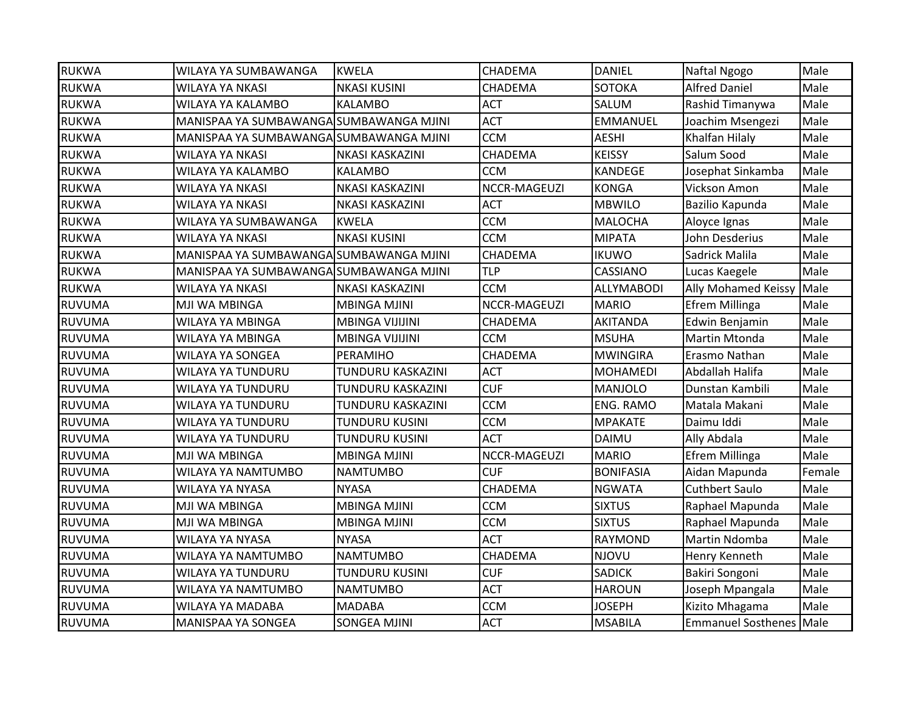| <b>RUKWA</b>  | WILAYA YA SUMBAWANGA                    | <b>KWELA</b>           | CHADEMA      | <b>DANIEL</b>     | Naftal Ngogo                   | Male   |
|---------------|-----------------------------------------|------------------------|--------------|-------------------|--------------------------------|--------|
| <b>RUKWA</b>  | <b>WILAYA YA NKASI</b>                  | <b>NKASI KUSINI</b>    | CHADEMA      | <b>SOTOKA</b>     | <b>Alfred Daniel</b>           | Male   |
| <b>RUKWA</b>  | WILAYA YA KALAMBO                       | <b>KALAMBO</b>         | <b>ACT</b>   | SALUM             | Rashid Timanywa                | Male   |
| <b>RUKWA</b>  | MANISPAA YA SUMBAWANGA SUMBAWANGA MJINI |                        | <b>ACT</b>   | EMMANUEL          | Joachim Msengezi               | Male   |
| <b>RUKWA</b>  | MANISPAA YA SUMBAWANGA SUMBAWANGA MJINI |                        | <b>CCM</b>   | <b>AESHI</b>      | Khalfan Hilaly                 | Male   |
| <b>RUKWA</b>  | WILAYA YA NKASI                         | NKASI KASKAZINI        | CHADEMA      | <b>KEISSY</b>     | Salum Sood                     | Male   |
| <b>RUKWA</b>  | WILAYA YA KALAMBO                       | KALAMBO                | <b>CCM</b>   | <b>KANDEGE</b>    | Josephat Sinkamba              | Male   |
| <b>RUKWA</b>  | <b>WILAYA YA NKASI</b>                  | NKASI KASKAZINI        | NCCR-MAGEUZI | <b>KONGA</b>      | Vickson Amon                   | Male   |
| <b>RUKWA</b>  | <b>WILAYA YA NKASI</b>                  | NKASI KASKAZINI        | <b>ACT</b>   | <b>MBWILO</b>     | Bazilio Kapunda                | Male   |
| <b>RUKWA</b>  | WILAYA YA SUMBAWANGA                    | <b>KWELA</b>           | <b>CCM</b>   | <b>MALOCHA</b>    | Aloyce Ignas                   | Male   |
| <b>RUKWA</b>  | WILAYA YA NKASI                         | <b>NKASI KUSINI</b>    | <b>CCM</b>   | <b>MIPATA</b>     | John Desderius                 | Male   |
| <b>RUKWA</b>  | MANISPAA YA SUMBAWANGA SUMBAWANGA MJINI |                        | CHADEMA      | <b>IKUWO</b>      | Sadrick Malila                 | Male   |
| <b>RUKWA</b>  | MANISPAA YA SUMBAWANGA SUMBAWANGA MJINI |                        | TLP          | CASSIANO          | Lucas Kaegele                  | Male   |
| <b>RUKWA</b>  | WILAYA YA NKASI                         | NKASI KASKAZINI        | <b>CCM</b>   | <b>ALLYMABODI</b> | <b>Ally Mohamed Keissy</b>     | Male   |
| <b>RUVUMA</b> | MJI WA MBINGA                           | <b>MBINGA MJINI</b>    | NCCR-MAGEUZI | <b>MARIO</b>      | <b>Efrem Millinga</b>          | Male   |
| <b>RUVUMA</b> | WILAYA YA MBINGA                        | <b>MBINGA VIJIJINI</b> | CHADEMA      | AKITANDA          | Edwin Benjamin                 | Male   |
| <b>RUVUMA</b> | WILAYA YA MBINGA                        | <b>MBINGA VIJIJINI</b> | <b>CCM</b>   | <b>MSUHA</b>      | <b>Martin Mtonda</b>           | Male   |
| <b>RUVUMA</b> | WILAYA YA SONGEA                        | PERAMIHO               | CHADEMA      | <b>MWINGIRA</b>   | Erasmo Nathan                  | Male   |
| RUVUMA        | <b>WILAYA YA TUNDURU</b>                | TUNDURU KASKAZINI      | <b>ACT</b>   | <b>MOHAMEDI</b>   | Abdallah Halifa                | Male   |
| <b>RUVUMA</b> | <b>WILAYA YA TUNDURU</b>                | TUNDURU KASKAZINI      | <b>CUF</b>   | <b>MANJOLO</b>    | Dunstan Kambili                | Male   |
| <b>RUVUMA</b> | <b>WILAYA YA TUNDURU</b>                | TUNDURU KASKAZINI      | <b>CCM</b>   | ENG. RAMO         | Matala Makani                  | Male   |
| <b>RUVUMA</b> | <b>WILAYA YA TUNDURU</b>                | TUNDURU KUSINI         | <b>CCM</b>   | MPAKATE           | Daimu Iddi                     | Male   |
| <b>RUVUMA</b> | <b>WILAYA YA TUNDURU</b>                | TUNDURU KUSINI         | <b>ACT</b>   | <b>DAIMU</b>      | Ally Abdala                    | Male   |
| <b>RUVUMA</b> | MJI WA MBINGA                           | <b>MBINGA MJINI</b>    | NCCR-MAGEUZI | <b>MARIO</b>      | <b>Efrem Millinga</b>          | Male   |
| <b>RUVUMA</b> | WILAYA YA NAMTUMBO                      | <b>NAMTUMBO</b>        | <b>CUF</b>   | <b>BONIFASIA</b>  | Aidan Mapunda                  | Female |
| <b>RUVUMA</b> | WILAYA YA NYASA                         | <b>NYASA</b>           | CHADEMA      | <b>NGWATA</b>     | <b>Cuthbert Saulo</b>          | Male   |
| <b>RUVUMA</b> | MJI WA MBINGA                           | <b>MBINGA MJINI</b>    | <b>CCM</b>   | <b>SIXTUS</b>     | Raphael Mapunda                | Male   |
| <b>RUVUMA</b> | MJI WA MBINGA                           | <b>MBINGA MJINI</b>    | <b>CCM</b>   | <b>SIXTUS</b>     | Raphael Mapunda                | Male   |
| <b>RUVUMA</b> | <b>WILAYA YA NYASA</b>                  | <b>NYASA</b>           | <b>ACT</b>   | <b>RAYMOND</b>    | Martin Ndomba                  | Male   |
| <b>RUVUMA</b> | WILAYA YA NAMTUMBO                      | <b>NAMTUMBO</b>        | CHADEMA      | <b>NJOVU</b>      | Henry Kenneth                  | Male   |
| <b>RUVUMA</b> | <b>WILAYA YA TUNDURU</b>                | <b>TUNDURU KUSINI</b>  | <b>CUF</b>   | <b>SADICK</b>     | Bakiri Songoni                 | Male   |
| <b>RUVUMA</b> | WILAYA YA NAMTUMBO                      | <b>NAMTUMBO</b>        | <b>ACT</b>   | <b>HAROUN</b>     | Joseph Mpangala                | Male   |
| <b>RUVUMA</b> | WILAYA YA MADABA                        | <b>MADABA</b>          | <b>CCM</b>   | <b>JOSEPH</b>     | Kizito Mhagama                 | Male   |
| <b>RUVUMA</b> | <b>MANISPAA YA SONGEA</b>               | SONGEA MJINI           | <b>ACT</b>   | <b>MSABILA</b>    | <b>Emmanuel Sosthenes Male</b> |        |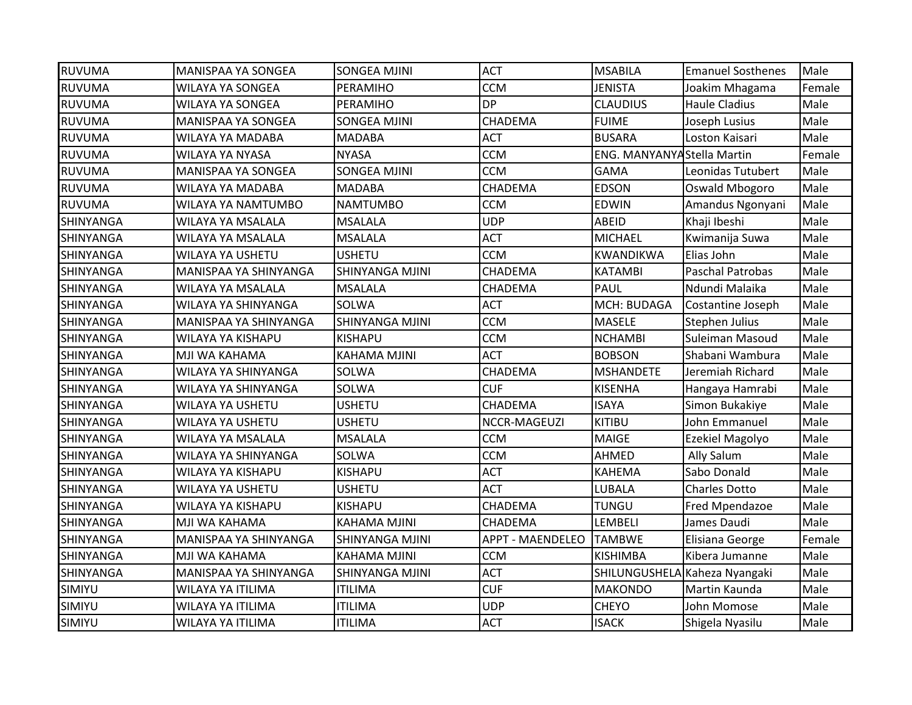| <b>RUVUMA</b>    | MANISPAA YA SONGEA    | SONGEA MJINI           | <b>ACT</b>              | <b>MSABILA</b>                     | <b>Emanuel Sosthenes</b>      | Male   |
|------------------|-----------------------|------------------------|-------------------------|------------------------------------|-------------------------------|--------|
| <b>RUVUMA</b>    | WILAYA YA SONGEA      | PERAMIHO               | <b>CCM</b>              | <b>JENISTA</b>                     | Joakim Mhagama                | Female |
| <b>RUVUMA</b>    | WILAYA YA SONGEA      | PERAMIHO               | <b>DP</b>               | <b>CLAUDIUS</b>                    | <b>Haule Cladius</b>          | Male   |
| <b>RUVUMA</b>    | MANISPAA YA SONGEA    | <b>SONGEA MJINI</b>    | CHADEMA                 | <b>FUIME</b>                       | Joseph Lusius                 | Male   |
| <b>RUVUMA</b>    | WILAYA YA MADABA      | <b>MADABA</b>          | <b>ACT</b>              | <b>BUSARA</b>                      | Loston Kaisari                | Male   |
| <b>RUVUMA</b>    | WILAYA YA NYASA       | <b>NYASA</b>           | <b>CCM</b>              | <b>ENG. MANYANYA Stella Martin</b> |                               | Female |
| <b>RUVUMA</b>    | MANISPAA YA SONGEA    | <b>SONGEA MJINI</b>    | <b>CCM</b>              | <b>GAMA</b>                        | Leonidas Tutubert             | Male   |
| <b>RUVUMA</b>    | WILAYA YA MADABA      | <b>MADABA</b>          | CHADEMA                 | <b>EDSON</b>                       | Oswald Mbogoro                | Male   |
| <b>RUVUMA</b>    | WILAYA YA NAMTUMBO    | <b>NAMTUMBO</b>        | <b>CCM</b>              | <b>EDWIN</b>                       | Amandus Ngonyani              | Male   |
| <b>SHINYANGA</b> | WILAYA YA MSALALA     | <b>MSALALA</b>         | <b>UDP</b>              | <b>ABEID</b>                       | Khaji Ibeshi                  | Male   |
| <b>SHINYANGA</b> | WILAYA YA MSALALA     | <b>MSALALA</b>         | <b>ACT</b>              | <b>MICHAEL</b>                     | Kwimanija Suwa                | Male   |
| <b>SHINYANGA</b> | WILAYA YA USHETU      | <b>USHETU</b>          | <b>CCM</b>              | <b>KWANDIKWA</b>                   | Elias John                    | Male   |
| <b>SHINYANGA</b> | MANISPAA YA SHINYANGA | SHINYANGA MJINI        | CHADEMA                 | <b>KATAMBI</b>                     | <b>Paschal Patrobas</b>       | Male   |
| <b>SHINYANGA</b> | WILAYA YA MSALALA     | <b>MSALALA</b>         | CHADEMA                 | PAUL                               | Ndundi Malaika                | Male   |
| <b>SHINYANGA</b> | WILAYA YA SHINYANGA   | <b>SOLWA</b>           | <b>ACT</b>              | MCH: BUDAGA                        | Costantine Joseph             | Male   |
| <b>SHINYANGA</b> | MANISPAA YA SHINYANGA | SHINYANGA MJINI        | <b>CCM</b>              | MASELE                             | <b>Stephen Julius</b>         | Male   |
| <b>SHINYANGA</b> | WILAYA YA KISHAPU     | KISHAPU                | <b>CCM</b>              | <b>NCHAMBI</b>                     | Suleiman Masoud               | Male   |
| <b>SHINYANGA</b> | MJI WA KAHAMA         | <b>KAHAMA MJINI</b>    | <b>ACT</b>              | <b>BOBSON</b>                      | Shabani Wambura               | Male   |
| <b>SHINYANGA</b> | WILAYA YA SHINYANGA   | <b>SOLWA</b>           | CHADEMA                 | <b>MSHANDETE</b>                   | Jeremiah Richard              | Male   |
| <b>SHINYANGA</b> | WILAYA YA SHINYANGA   | SOLWA                  | <b>CUF</b>              | <b>KISENHA</b>                     | Hangaya Hamrabi               | Male   |
| <b>SHINYANGA</b> | WILAYA YA USHETU      | <b>USHETU</b>          | CHADEMA                 | <b>ISAYA</b>                       | Simon Bukakiye                | Male   |
| <b>SHINYANGA</b> | WILAYA YA USHETU      | <b>USHETU</b>          | NCCR-MAGEUZI            | <b>KITIBU</b>                      | John Emmanuel                 | Male   |
| SHINYANGA        | WILAYA YA MSALALA     | <b>MSALALA</b>         | <b>CCM</b>              | <b>MAIGE</b>                       | Ezekiel Magolyo               | Male   |
| <b>SHINYANGA</b> | WILAYA YA SHINYANGA   | <b>SOLWA</b>           | <b>CCM</b>              | <b>AHMED</b>                       | Ally Salum                    | Male   |
| <b>SHINYANGA</b> | WILAYA YA KISHAPU     | <b>KISHAPU</b>         | <b>ACT</b>              | <b>KAHEMA</b>                      | Sabo Donald                   | Male   |
| <b>SHINYANGA</b> | WILAYA YA USHETU      | <b>USHETU</b>          | <b>ACT</b>              | LUBALA                             | <b>Charles Dotto</b>          | Male   |
| <b>SHINYANGA</b> | WILAYA YA KISHAPU     | KISHAPU                | CHADEMA                 | <b>TUNGU</b>                       | Fred Mpendazoe                | Male   |
| <b>SHINYANGA</b> | MJI WA KAHAMA         | <b>KAHAMA MJINI</b>    | CHADEMA                 | LEMBELI                            | James Daudi                   | Male   |
| SHINYANGA        | MANISPAA YA SHINYANGA | <b>SHINYANGA MJINI</b> | <b>APPT - MAENDELEO</b> | <b>TAMBWE</b>                      | Elisiana George               | Female |
| <b>SHINYANGA</b> | MJI WA KAHAMA         | <b>KAHAMA MJINI</b>    | <b>CCM</b>              | <b>KISHIMBA</b>                    | Kibera Jumanne                | Male   |
| SHINYANGA        | MANISPAA YA SHINYANGA | SHINYANGA MJINI        | <b>ACT</b>              |                                    | SHILUNGUSHELA Kaheza Nyangaki | Male   |
| SIMIYU           | WILAYA YA ITILIMA     | ITILIMA                | <b>CUF</b>              | <b>MAKONDO</b>                     | Martin Kaunda                 | Male   |
| <b>SIMIYU</b>    | WILAYA YA ITILIMA     | <b>ITILIMA</b>         | <b>UDP</b>              | <b>CHEYO</b>                       | John Momose                   | Male   |
| SIMIYU           | WILAYA YA ITILIMA     | <b>ITILIMA</b>         | <b>ACT</b>              | <b>ISACK</b>                       | Shigela Nyasilu               | Male   |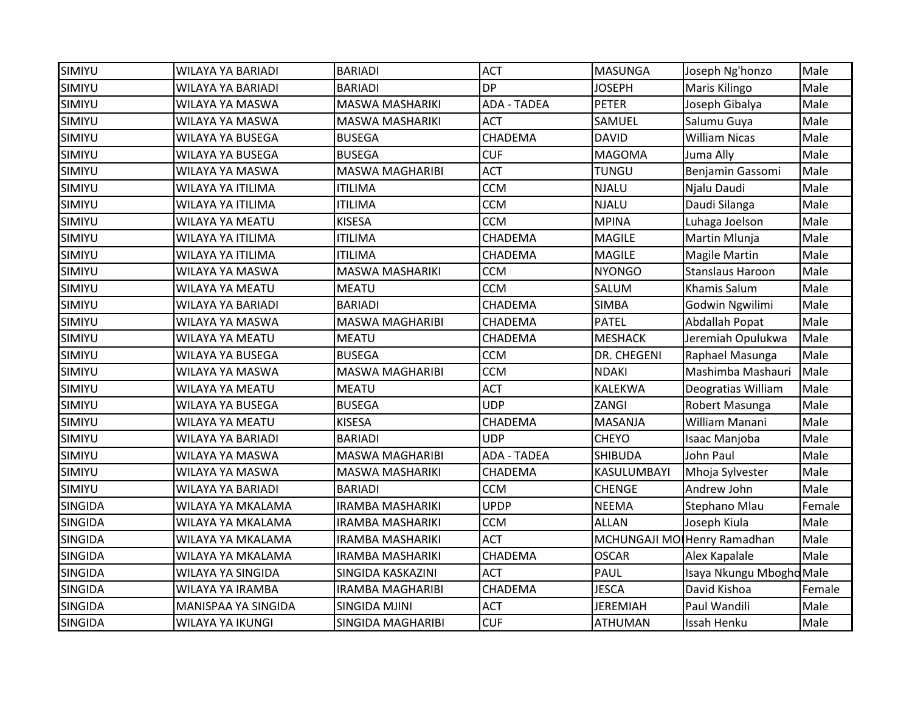| SIMIYU         | <b>WILAYA YA BARIADI</b> | <b>BARIADI</b>           | <b>ACT</b>         | <b>MASUNGA</b>  | Joseph Ng'honzo             | Male   |
|----------------|--------------------------|--------------------------|--------------------|-----------------|-----------------------------|--------|
| SIMIYU         | <b>WILAYA YA BARIADI</b> | <b>BARIADI</b>           | <b>DP</b>          | <b>JOSEPH</b>   | Maris Kilingo               | Male   |
| SIMIYU         | WILAYA YA MASWA          | <b>MASWA MASHARIKI</b>   | <b>ADA - TADEA</b> | <b>PETER</b>    | Joseph Gibalya              | Male   |
| SIMIYU         | WILAYA YA MASWA          | MASWA MASHARIKI          | <b>ACT</b>         | SAMUEL          | Salumu Guya                 | Male   |
| SIMIYU         | WILAYA YA BUSEGA         | <b>BUSEGA</b>            | CHADEMA            | <b>DAVID</b>    | <b>William Nicas</b>        | Male   |
| SIMIYU         | WILAYA YA BUSEGA         | <b>BUSEGA</b>            | <b>CUF</b>         | <b>MAGOMA</b>   | Juma Ally                   | Male   |
| SIMIYU         | WILAYA YA MASWA          | <b>MASWA MAGHARIBI</b>   | <b>ACT</b>         | <b>TUNGU</b>    | Benjamin Gassomi            | Male   |
| SIMIYU         | WILAYA YA ITILIMA        | <b>ITILIMA</b>           | <b>CCM</b>         | <b>NJALU</b>    | Njalu Daudi                 | Male   |
| SIMIYU         | WILAYA YA ITILIMA        | <b>ITILIMA</b>           | <b>CCM</b>         | <b>NJALU</b>    | Daudi Silanga               | Male   |
| SIMIYU         | WILAYA YA MEATU          | <b>KISESA</b>            | <b>CCM</b>         | <b>MPINA</b>    | Luhaga Joelson              | Male   |
| SIMIYU         | WILAYA YA ITILIMA        | <b>ITILIMA</b>           | CHADEMA            | <b>MAGILE</b>   | Martin Mlunja               | Male   |
| SIMIYU         | WILAYA YA ITILIMA        | ITILIMA                  | CHADEMA            | <b>MAGILE</b>   | <b>Magile Martin</b>        | Male   |
| SIMIYU         | WILAYA YA MASWA          | <b>MASWA MASHARIKI</b>   | <b>CCM</b>         | <b>NYONGO</b>   | <b>Stanslaus Haroon</b>     | Male   |
| SIMIYU         | WILAYA YA MEATU          | <b>MEATU</b>             | <b>CCM</b>         | SALUM           | <b>Khamis Salum</b>         | Male   |
| SIMIYU         | WILAYA YA BARIADI        | <b>BARIADI</b>           | CHADEMA            | <b>SIMBA</b>    | Godwin Ngwilimi             | Male   |
| SIMIYU         | WILAYA YA MASWA          | <b>MASWA MAGHARIBI</b>   | CHADEMA            | <b>PATEL</b>    | Abdallah Popat              | Male   |
| SIMIYU         | WILAYA YA MEATU          | <b>MEATU</b>             | CHADEMA            | <b>MESHACK</b>  | Jeremiah Opulukwa           | Male   |
| SIMIYU         | WILAYA YA BUSEGA         | <b>BUSEGA</b>            | <b>CCM</b>         | DR. CHEGENI     | Raphael Masunga             | Male   |
| SIMIYU         | WILAYA YA MASWA          | <b>MASWA MAGHARIBI</b>   | <b>CCM</b>         | <b>NDAKI</b>    | Mashimba Mashauri           | Male   |
| SIMIYU         | WILAYA YA MEATU          | <b>MEATU</b>             | <b>ACT</b>         | <b>KALEKWA</b>  | Deogratias William          | Male   |
| SIMIYU         | WILAYA YA BUSEGA         | <b>BUSEGA</b>            | <b>UDP</b>         | ZANGI           | Robert Masunga              | Male   |
| SIMIYU         | WILAYA YA MEATU          | <b>KISESA</b>            | CHADEMA            | <b>MASANJA</b>  | William Manani              | Male   |
| SIMIYU         | WILAYA YA BARIADI        | <b>BARIADI</b>           | <b>UDP</b>         | <b>CHEYO</b>    | Isaac Manjoba               | Male   |
| SIMIYU         | WILAYA YA MASWA          | <b>MASWA MAGHARIBI</b>   | <b>ADA - TADEA</b> | <b>SHIBUDA</b>  | John Paul                   | Male   |
| SIMIYU         | WILAYA YA MASWA          | <b>MASWA MASHARIKI</b>   | CHADEMA            | KASULUMBAYI     | Mhoja Sylvester             | Male   |
| SIMIYU         | WILAYA YA BARIADI        | <b>BARIADI</b>           | <b>CCM</b>         | <b>CHENGE</b>   | Andrew John                 | Male   |
| <b>SINGIDA</b> | WILAYA YA MKALAMA        | <b>IRAMBA MASHARIKI</b>  | <b>UPDP</b>        | <b>NEEMA</b>    | Stephano Mlau               | Female |
| <b>SINGIDA</b> | WILAYA YA MKALAMA        | <b>IRAMBA MASHARIKI</b>  | <b>CCM</b>         | <b>ALLAN</b>    | Joseph Kiula                | Male   |
| <b>SINGIDA</b> | WILAYA YA MKALAMA        | <b>IRAMBA MASHARIKI</b>  | <b>ACT</b>         |                 | MCHUNGAJI MO Henry Ramadhan | Male   |
| <b>SINGIDA</b> | WILAYA YA MKALAMA        | <b>IRAMBA MASHARIKI</b>  | CHADEMA            | <b>OSCAR</b>    | Alex Kapalale               | Male   |
| <b>SINGIDA</b> | WILAYA YA SINGIDA        | SINGIDA KASKAZINI        | <b>ACT</b>         | PAUL            | Isaya Nkungu Mbogho Male    |        |
| <b>SINGIDA</b> | WILAYA YA IRAMBA         | <b>IRAMBA MAGHARIBI</b>  | CHADEMA            | <b>JESCA</b>    | David Kishoa                | Female |
| <b>SINGIDA</b> | MANISPAA YA SINGIDA      | <b>SINGIDA MJINI</b>     | <b>ACT</b>         | <b>JEREMIAH</b> | Paul Wandili                | Male   |
| <b>SINGIDA</b> | WILAYA YA IKUNGI         | <b>SINGIDA MAGHARIBI</b> | <b>CUF</b>         | <b>ATHUMAN</b>  | Issah Henku                 | Male   |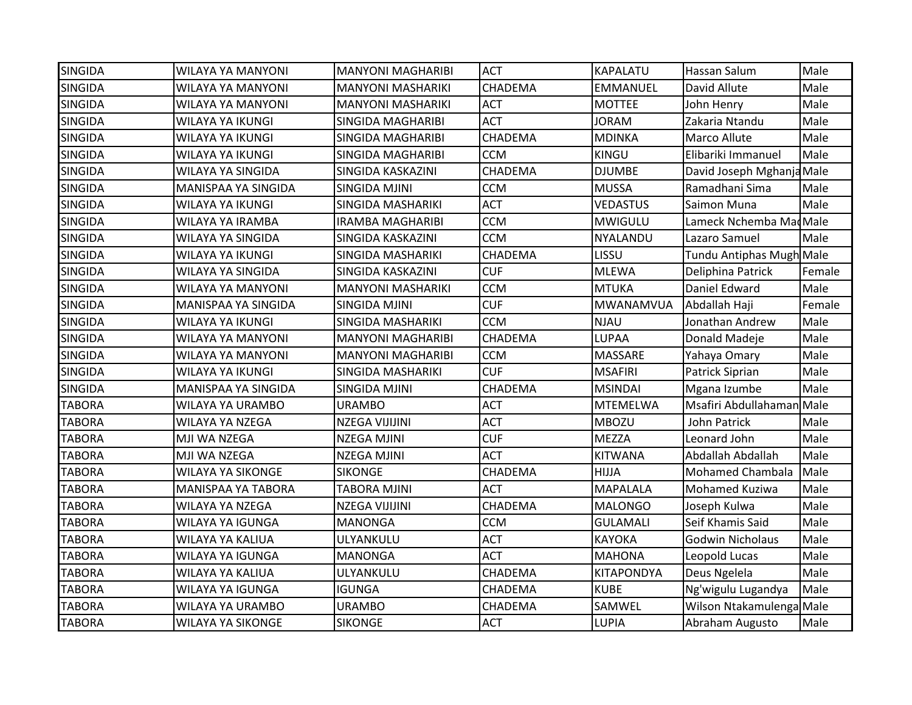| <b>SINGIDA</b> | <b>WILAYA YA MANYONI</b> | <b>MANYONI MAGHARIBI</b> | <b>ACT</b> | <b>KAPALATU</b>   | Hassan Salum              | Male   |
|----------------|--------------------------|--------------------------|------------|-------------------|---------------------------|--------|
| <b>SINGIDA</b> | <b>WILAYA YA MANYONI</b> | <b>MANYONI MASHARIKI</b> | CHADEMA    | <b>EMMANUEL</b>   | David Allute              | Male   |
| <b>SINGIDA</b> | <b>WILAYA YA MANYONI</b> | <b>MANYONI MASHARIKI</b> | <b>ACT</b> | <b>MOTTEE</b>     | John Henry                | Male   |
| <b>SINGIDA</b> | <b>WILAYA YA IKUNGI</b>  | SINGIDA MAGHARIBI        | <b>ACT</b> | <b>JORAM</b>      | Zakaria Ntandu            | Male   |
| <b>SINGIDA</b> | WILAYA YA IKUNGI         | <b>SINGIDA MAGHARIBI</b> | CHADEMA    | <b>MDINKA</b>     | Marco Allute              | Male   |
| <b>SINGIDA</b> | WILAYA YA IKUNGI         | SINGIDA MAGHARIBI        | <b>CCM</b> | KINGU             | Elibariki Immanuel        | Male   |
| <b>SINGIDA</b> | WILAYA YA SINGIDA        | SINGIDA KASKAZINI        | CHADEMA    | <b>DJUMBE</b>     | David Joseph Mghanja Male |        |
| <b>SINGIDA</b> | MANISPAA YA SINGIDA      | <b>SINGIDA MJINI</b>     | <b>CCM</b> | <b>MUSSA</b>      | Ramadhani Sima            | Male   |
| <b>SINGIDA</b> | <b>WILAYA YA IKUNGI</b>  | SINGIDA MASHARIKI        | <b>ACT</b> | <b>VEDASTUS</b>   | Saimon Muna               | Male   |
| <b>SINGIDA</b> | WILAYA YA IRAMBA         | <b>IRAMBA MAGHARIBI</b>  | <b>CCM</b> | <b>MWIGULU</b>    | Lameck Nchemba Mad Male   |        |
| <b>SINGIDA</b> | WILAYA YA SINGIDA        | SINGIDA KASKAZINI        | <b>CCM</b> | NYALANDU          | Lazaro Samuel             | Male   |
| <b>SINGIDA</b> | WILAYA YA IKUNGI         | SINGIDA MASHARIKI        | CHADEMA    | LISSU             | Tundu Antiphas Mugh Male  |        |
| <b>SINGIDA</b> | WILAYA YA SINGIDA        | SINGIDA KASKAZINI        | <b>CUF</b> | <b>MLEWA</b>      | Deliphina Patrick         | Female |
| <b>SINGIDA</b> | WILAYA YA MANYONI        | <b>MANYONI MASHARIKI</b> | <b>CCM</b> | <b>MTUKA</b>      | Daniel Edward             | Male   |
| <b>SINGIDA</b> | MANISPAA YA SINGIDA      | <b>SINGIDA MJINI</b>     | <b>CUF</b> | MWANAMVUA         | Abdallah Haji             | Female |
| <b>SINGIDA</b> | WILAYA YA IKUNGI         | SINGIDA MASHARIKI        | <b>CCM</b> | <b>NJAU</b>       | Jonathan Andrew           | Male   |
| <b>SINGIDA</b> | <b>WILAYA YA MANYONI</b> | <b>MANYONI MAGHARIBI</b> | CHADEMA    | LUPAA             | Donald Madeje             | Male   |
| <b>SINGIDA</b> | <b>WILAYA YA MANYONI</b> | <b>MANYONI MAGHARIBI</b> | <b>CCM</b> | MASSARE           | Yahaya Omary              | Male   |
| <b>SINGIDA</b> | <b>WILAYA YA IKUNGI</b>  | SINGIDA MASHARIKI        | <b>CUF</b> | <b>MSAFIRI</b>    | Patrick Siprian           | Male   |
| <b>SINGIDA</b> | MANISPAA YA SINGIDA      | <b>SINGIDA MJINI</b>     | CHADEMA    | <b>MSINDAI</b>    | Mgana Izumbe              | Male   |
| <b>TABORA</b>  | <b>WILAYA YA URAMBO</b>  | <b>URAMBO</b>            | <b>ACT</b> | <b>MTEMELWA</b>   | Msafiri Abdullahaman Male |        |
| <b>TABORA</b>  | <b>WILAYA YA NZEGA</b>   | <b>NZEGA VIJIJINI</b>    | <b>ACT</b> | <b>MBOZU</b>      | John Patrick              | Male   |
| <b>TABORA</b>  | MJI WA NZEGA             | <b>NZEGA MJINI</b>       | <b>CUF</b> | <b>MEZZA</b>      | Leonard John              | Male   |
| <b>TABORA</b>  | MJI WA NZEGA             | <b>NZEGA MJINI</b>       | <b>ACT</b> | <b>KITWANA</b>    | Abdallah Abdallah         | Male   |
| <b>TABORA</b>  | <b>WILAYA YA SIKONGE</b> | <b>SIKONGE</b>           | CHADEMA    | HIJJA             | <b>Mohamed Chambala</b>   | Male   |
| <b>TABORA</b>  | MANISPAA YA TABORA       | <b>TABORA MJINI</b>      | <b>ACT</b> | <b>MAPALALA</b>   | Mohamed Kuziwa            | Male   |
| <b>TABORA</b>  | WILAYA YA NZEGA          | NZEGA VIJIJINI           | CHADEMA    | MALONGO           | Joseph Kulwa              | Male   |
| <b>TABORA</b>  | WILAYA YA IGUNGA         | <b>MANONGA</b>           | <b>CCM</b> | <b>GULAMALI</b>   | Seif Khamis Said          | Male   |
| <b>TABORA</b>  | <b>WILAYA YA KALIUA</b>  | ULYANKULU                | <b>ACT</b> | KAYOKA            | <b>Godwin Nicholaus</b>   | Male   |
| <b>TABORA</b>  | <b>WILAYA YA IGUNGA</b>  | <b>MANONGA</b>           | <b>ACT</b> | <b>MAHONA</b>     | Leopold Lucas             | Male   |
| <b>TABORA</b>  | WILAYA YA KALIUA         | ULYANKULU                | CHADEMA    | <b>KITAPONDYA</b> | Deus Ngelela              | Male   |
| <b>TABORA</b>  | <b>WILAYA YA IGUNGA</b>  | <b>IGUNGA</b>            | CHADEMA    | <b>KUBE</b>       | Ng'wigulu Lugandya        | Male   |
| <b>TABORA</b>  | <b>WILAYA YA URAMBO</b>  | <b>URAMBO</b>            | CHADEMA    | SAMWEL            | Wilson Ntakamulenga Male  |        |
| <b>TABORA</b>  | <b>WILAYA YA SIKONGE</b> | <b>SIKONGE</b>           | <b>ACT</b> | <b>LUPIA</b>      | Abraham Augusto           | Male   |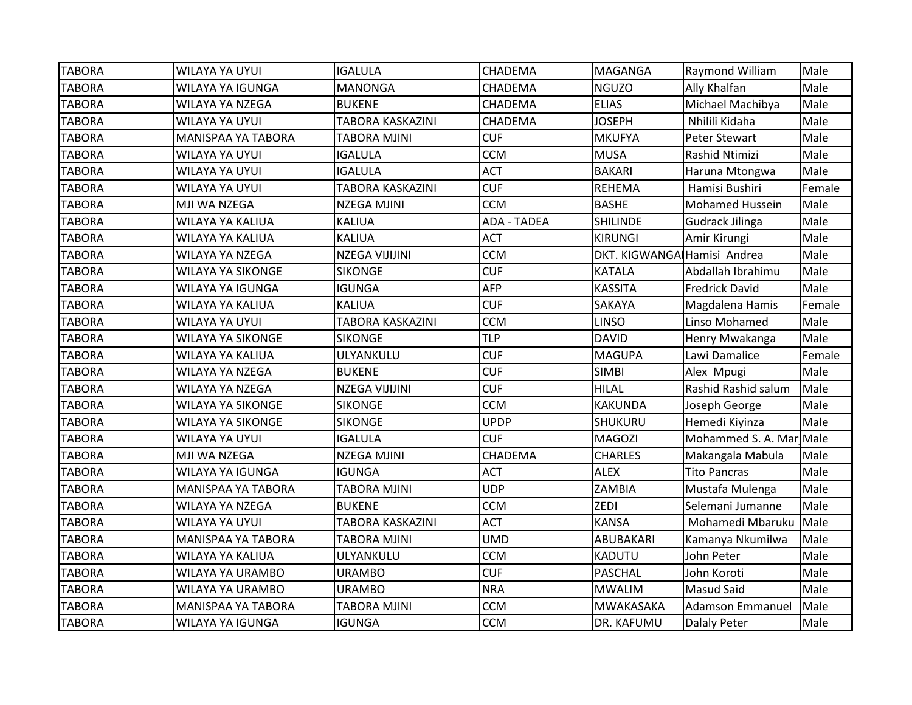| <b>TABORA</b> | WILAYA YA UYUI           | <b>IGALULA</b>          | CHADEMA            | <b>MAGANGA</b>              | Raymond William         | Male   |
|---------------|--------------------------|-------------------------|--------------------|-----------------------------|-------------------------|--------|
| <b>TABORA</b> | <b>WILAYA YA IGUNGA</b>  | <b>MANONGA</b>          | CHADEMA            | <b>NGUZO</b>                | Ally Khalfan            | Male   |
| <b>TABORA</b> | WILAYA YA NZEGA          | <b>BUKENE</b>           | CHADEMA            | <b>ELIAS</b>                | Michael Machibya        | Male   |
| <b>TABORA</b> | WILAYA YA UYUI           | <b>TABORA KASKAZINI</b> | CHADEMA            | <b>JOSEPH</b>               | Nhilili Kidaha          | Male   |
| <b>TABORA</b> | MANISPAA YA TABORA       | <b>TABORA MJINI</b>     | <b>CUF</b>         | <b>MKUFYA</b>               | Peter Stewart           | Male   |
| <b>TABORA</b> | WILAYA YA UYUI           | <b>IGALULA</b>          | <b>CCM</b>         | <b>MUSA</b>                 | Rashid Ntimizi          | Male   |
| <b>TABORA</b> | WILAYA YA UYUI           | <b>IGALULA</b>          | <b>ACT</b>         | <b>BAKARI</b>               | Haruna Mtongwa          | Male   |
| <b>TABORA</b> | WILAYA YA UYUI           | <b>TABORA KASKAZINI</b> | <b>CUF</b>         | <b>REHEMA</b>               | Hamisi Bushiri          | Female |
| <b>TABORA</b> | MJI WA NZEGA             | <b>NZEGA MJINI</b>      | <b>CCM</b>         | <b>BASHE</b>                | <b>Mohamed Hussein</b>  | Male   |
| <b>TABORA</b> | WILAYA YA KALIUA         | <b>KALIUA</b>           | <b>ADA - TADEA</b> | <b>SHILINDE</b>             | <b>Gudrack Jilinga</b>  | Male   |
| <b>TABORA</b> | WILAYA YA KALIUA         | <b>KALIUA</b>           | <b>ACT</b>         | <b>KIRUNGI</b>              | Amir Kirungi            | Male   |
| <b>TABORA</b> | <b>WILAYA YA NZEGA</b>   | <b>NZEGA VIJIJINI</b>   | <b>CCM</b>         | DKT. KIGWANGA Hamisi Andrea |                         | Male   |
| <b>TABORA</b> | <b>WILAYA YA SIKONGE</b> | <b>SIKONGE</b>          | <b>CUF</b>         | <b>KATALA</b>               | Abdallah Ibrahimu       | Male   |
| <b>TABORA</b> | <b>WILAYA YA IGUNGA</b>  | <b>IGUNGA</b>           | <b>AFP</b>         | <b>KASSITA</b>              | <b>Fredrick David</b>   | Male   |
| <b>TABORA</b> | WILAYA YA KALIUA         | <b>KALIUA</b>           | <b>CUF</b>         | SAKAYA                      | Magdalena Hamis         | Female |
| <b>TABORA</b> | WILAYA YA UYUI           | TABORA KASKAZINI        | <b>CCM</b>         | <b>LINSO</b>                | Linso Mohamed           | Male   |
| <b>TABORA</b> | <b>WILAYA YA SIKONGE</b> | <b>SIKONGE</b>          | <b>TLP</b>         | <b>DAVID</b>                | Henry Mwakanga          | Male   |
| <b>TABORA</b> | WILAYA YA KALIUA         | ULYANKULU               | <b>CUF</b>         | <b>MAGUPA</b>               | Lawi Damalice           | Female |
| <b>TABORA</b> | WILAYA YA NZEGA          | <b>BUKENE</b>           | <b>CUF</b>         | <b>SIMBI</b>                | Alex Mpugi              | Male   |
| <b>TABORA</b> | WILAYA YA NZEGA          | NZEGA VIJIJINI          | <b>CUF</b>         | <b>HILAL</b>                | Rashid Rashid salum     | Male   |
| <b>TABORA</b> | <b>WILAYA YA SIKONGE</b> | <b>SIKONGE</b>          | <b>CCM</b>         | KAKUNDA                     | Joseph George           | Male   |
| <b>TABORA</b> | <b>WILAYA YA SIKONGE</b> | <b>SIKONGE</b>          | <b>UPDP</b>        | SHUKURU                     | Hemedi Kiyinza          | Male   |
| <b>TABORA</b> | WILAYA YA UYUI           | <b>IGALULA</b>          | <b>CUF</b>         | <b>MAGOZI</b>               | Mohammed S. A. Mar Male |        |
| <b>TABORA</b> | MJI WA NZEGA             | <b>NZEGA MJINI</b>      | CHADEMA            | <b>CHARLES</b>              | Makangala Mabula        | Male   |
| <b>TABORA</b> | WILAYA YA IGUNGA         | <b>IGUNGA</b>           | <b>ACT</b>         | <b>ALEX</b>                 | <b>Tito Pancras</b>     | Male   |
| <b>TABORA</b> | MANISPAA YA TABORA       | <b>TABORA MJINI</b>     | <b>UDP</b>         | ZAMBIA                      | Mustafa Mulenga         | Male   |
| <b>TABORA</b> | WILAYA YA NZEGA          | <b>BUKENE</b>           | <b>CCM</b>         | <b>ZEDI</b>                 | Selemani Jumanne        | Male   |
| <b>TABORA</b> | WILAYA YA UYUI           | TABORA KASKAZINI        | <b>ACT</b>         | <b>KANSA</b>                | Mohamedi Mbaruku        | Male   |
| <b>TABORA</b> | MANISPAA YA TABORA       | TABORA MJINI            | <b>UMD</b>         | ABUBAKARI                   | Kamanya Nkumilwa        | Male   |
| <b>TABORA</b> | WILAYA YA KALIUA         | ULYANKULU               | <b>CCM</b>         | <b>KADUTU</b>               | John Peter              | Male   |
| <b>TABORA</b> | <b>WILAYA YA URAMBO</b>  | <b>URAMBO</b>           | <b>CUF</b>         | PASCHAL                     | John Koroti             | Male   |
| <b>TABORA</b> | <b>WILAYA YA URAMBO</b>  | <b>URAMBO</b>           | <b>NRA</b>         | <b>MWALIM</b>               | <b>Masud Said</b>       | Male   |
| <b>TABORA</b> | MANISPAA YA TABORA       | <b>TABORA MJINI</b>     | <b>CCM</b>         | MWAKASAKA                   | <b>Adamson Emmanuel</b> | Male   |
| <b>TABORA</b> | WILAYA YA IGUNGA         | <b>IGUNGA</b>           | <b>CCM</b>         | DR. KAFUMU                  | Dalaly Peter            | Male   |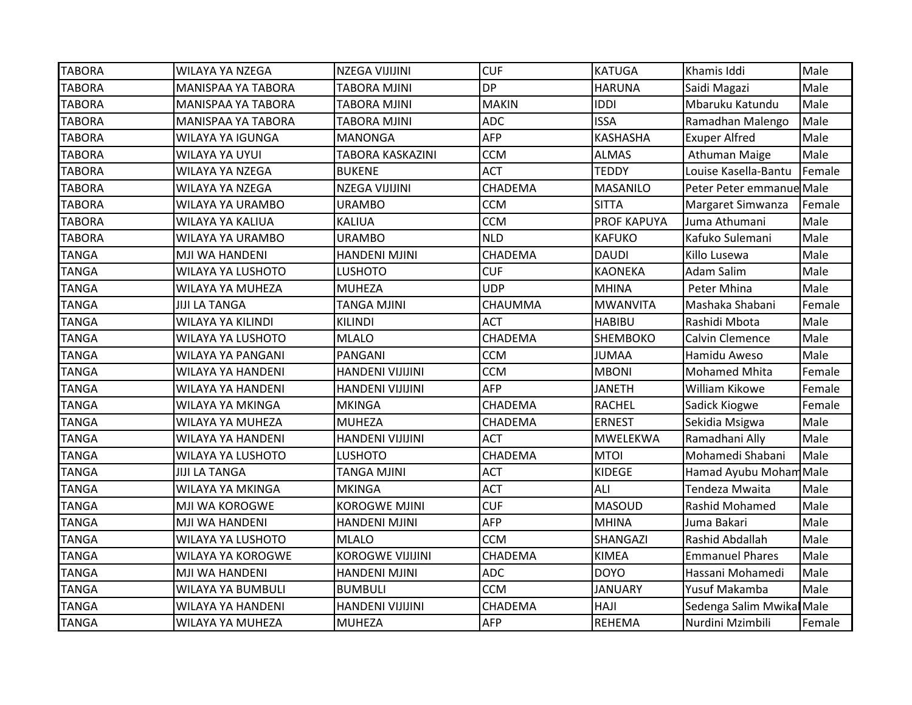| <b>TABORA</b> | <b>WILAYA YA NZEGA</b>    | NZEGA VIJIJINI          | <b>CUF</b>   | <b>KATUGA</b>   | Khamis Iddi              | Male   |
|---------------|---------------------------|-------------------------|--------------|-----------------|--------------------------|--------|
| <b>TABORA</b> | <b>MANISPAA YA TABORA</b> | <b>TABORA MJINI</b>     | <b>DP</b>    | <b>HARUNA</b>   | Saidi Magazi             | Male   |
| <b>TABORA</b> | <b>MANISPAA YA TABORA</b> | <b>TABORA MJINI</b>     | <b>MAKIN</b> | <b>IDDI</b>     | Mbaruku Katundu          | Male   |
| <b>TABORA</b> | <b>MANISPAA YA TABORA</b> | <b>TABORA MJINI</b>     | <b>ADC</b>   | <b>ISSA</b>     | Ramadhan Malengo         | Male   |
| <b>TABORA</b> | WILAYA YA IGUNGA          | <b>MANONGA</b>          | AFP          | <b>KASHASHA</b> | <b>Exuper Alfred</b>     | Male   |
| <b>TABORA</b> | WILAYA YA UYUI            | TABORA KASKAZINI        | <b>CCM</b>   | <b>ALMAS</b>    | Athuman Maige            | Male   |
| <b>TABORA</b> | WILAYA YA NZEGA           | <b>BUKENE</b>           | <b>ACT</b>   | <b>TEDDY</b>    | Louise Kasella-Bantu     | Female |
| <b>TABORA</b> | <b>WILAYA YA NZEGA</b>    | NZEGA VIJIJINI          | CHADEMA      | <b>MASANILO</b> | Peter Peter emmanue Male |        |
| <b>TABORA</b> | <b>WILAYA YA URAMBO</b>   | <b>URAMBO</b>           | <b>CCM</b>   | <b>SITTA</b>    | Margaret Simwanza        | Female |
| <b>TABORA</b> | WILAYA YA KALIUA          | <b>KALIUA</b>           | <b>CCM</b>   | PROF KAPUYA     | Juma Athumani            | Male   |
| <b>TABORA</b> | WILAYA YA URAMBO          | <b>URAMBO</b>           | <b>NLD</b>   | <b>KAFUKO</b>   | Kafuko Sulemani          | Male   |
| <b>TANGA</b>  | MJI WA HANDENI            | <b>HANDENI MJINI</b>    | CHADEMA      | <b>DAUDI</b>    | Killo Lusewa             | Male   |
| <b>TANGA</b>  | <b>WILAYA YA LUSHOTO</b>  | <b>LUSHOTO</b>          | <b>CUF</b>   | <b>KAONEKA</b>  | <b>Adam Salim</b>        | Male   |
| <b>TANGA</b>  | WILAYA YA MUHEZA          | <b>MUHEZA</b>           | <b>UDP</b>   | MHINA           | Peter Mhina              | Male   |
| <b>TANGA</b>  | <b>JIJI LA TANGA</b>      | <b>TANGA MJINI</b>      | CHAUMMA      | <b>MWANVITA</b> | Mashaka Shabani          | Female |
| <b>TANGA</b>  | <b>WILAYA YA KILINDI</b>  | <b>KILINDI</b>          | <b>ACT</b>   | <b>HABIBU</b>   | Rashidi Mbota            | Male   |
| <b>TANGA</b>  | <b>WILAYA YA LUSHOTO</b>  | <b>MLALO</b>            | CHADEMA      | <b>SHEMBOKO</b> | Calvin Clemence          | Male   |
| <b>TANGA</b>  | WILAYA YA PANGANI         | PANGANI                 | <b>CCM</b>   | <b>JUMAA</b>    | Hamidu Aweso             | Male   |
| <b>TANGA</b>  | <b>WILAYA YA HANDENI</b>  | <b>HANDENI VIJIJINI</b> | <b>CCM</b>   | <b>MBONI</b>    | <b>Mohamed Mhita</b>     | Female |
| <b>TANGA</b>  | <b>WILAYA YA HANDENI</b>  | <b>HANDENI VIJIJINI</b> | AFP          | <b>JANETH</b>   | <b>William Kikowe</b>    | Female |
| <b>TANGA</b>  | WILAYA YA MKINGA          | <b>MKINGA</b>           | CHADEMA      | <b>RACHEL</b>   | Sadick Kiogwe            | Female |
| <b>TANGA</b>  | <b>WILAYA YA MUHEZA</b>   | <b>MUHEZA</b>           | CHADEMA      | <b>ERNEST</b>   | Sekidia Msigwa           | Male   |
| <b>TANGA</b>  | <b>WILAYA YA HANDENI</b>  | <b>HANDENI VIJIJINI</b> | <b>ACT</b>   | MWELEKWA        | Ramadhani Ally           | Male   |
| <b>TANGA</b>  | <b>WILAYA YA LUSHOTO</b>  | <b>LUSHOTO</b>          | CHADEMA      | <b>MTOI</b>     | Mohamedi Shabani         | Male   |
| <b>TANGA</b>  | <b>JIJI LA TANGA</b>      | <b>TANGA MJINI</b>      | <b>ACT</b>   | <b>KIDEGE</b>   | Hamad Ayubu Moham Male   |        |
| <b>TANGA</b>  | WILAYA YA MKINGA          | <b>MKINGA</b>           | <b>ACT</b>   | ALI             | Tendeza Mwaita           | Male   |
| <b>TANGA</b>  | MJI WA KOROGWE            | KOROGWE MJINI           | <b>CUF</b>   | <b>MASOUD</b>   | Rashid Mohamed           | Male   |
| <b>TANGA</b>  | MJI WA HANDENI            | <b>HANDENI MJINI</b>    | AFP          | <b>MHINA</b>    | Juma Bakari              | Male   |
| <b>TANGA</b>  | <b>WILAYA YA LUSHOTO</b>  | <b>MLALO</b>            | <b>CCM</b>   | SHANGAZI        | Rashid Abdallah          | Male   |
| <b>TANGA</b>  | <b>WILAYA YA KOROGWE</b>  | <b>KOROGWE VIJIJINI</b> | CHADEMA      | <b>KIMEA</b>    | <b>Emmanuel Phares</b>   | Male   |
| <b>TANGA</b>  | MJI WA HANDENI            | <b>HANDENI MJINI</b>    | <b>ADC</b>   | <b>DOYO</b>     | Hassani Mohamedi         | Male   |
| <b>TANGA</b>  | <b>WILAYA YA BUMBULI</b>  | <b>BUMBULI</b>          | <b>CCM</b>   | <b>JANUARY</b>  | Yusuf Makamba            | Male   |
| <b>TANGA</b>  | <b>WILAYA YA HANDENI</b>  | <b>HANDENI VIJIJINI</b> | CHADEMA      | <b>HAJI</b>     | Sedenga Salim Mwika Male |        |
| <b>TANGA</b>  | <b>WILAYA YA MUHEZA</b>   | <b>MUHEZA</b>           | <b>AFP</b>   | <b>REHEMA</b>   | Nurdini Mzimbili         | Female |